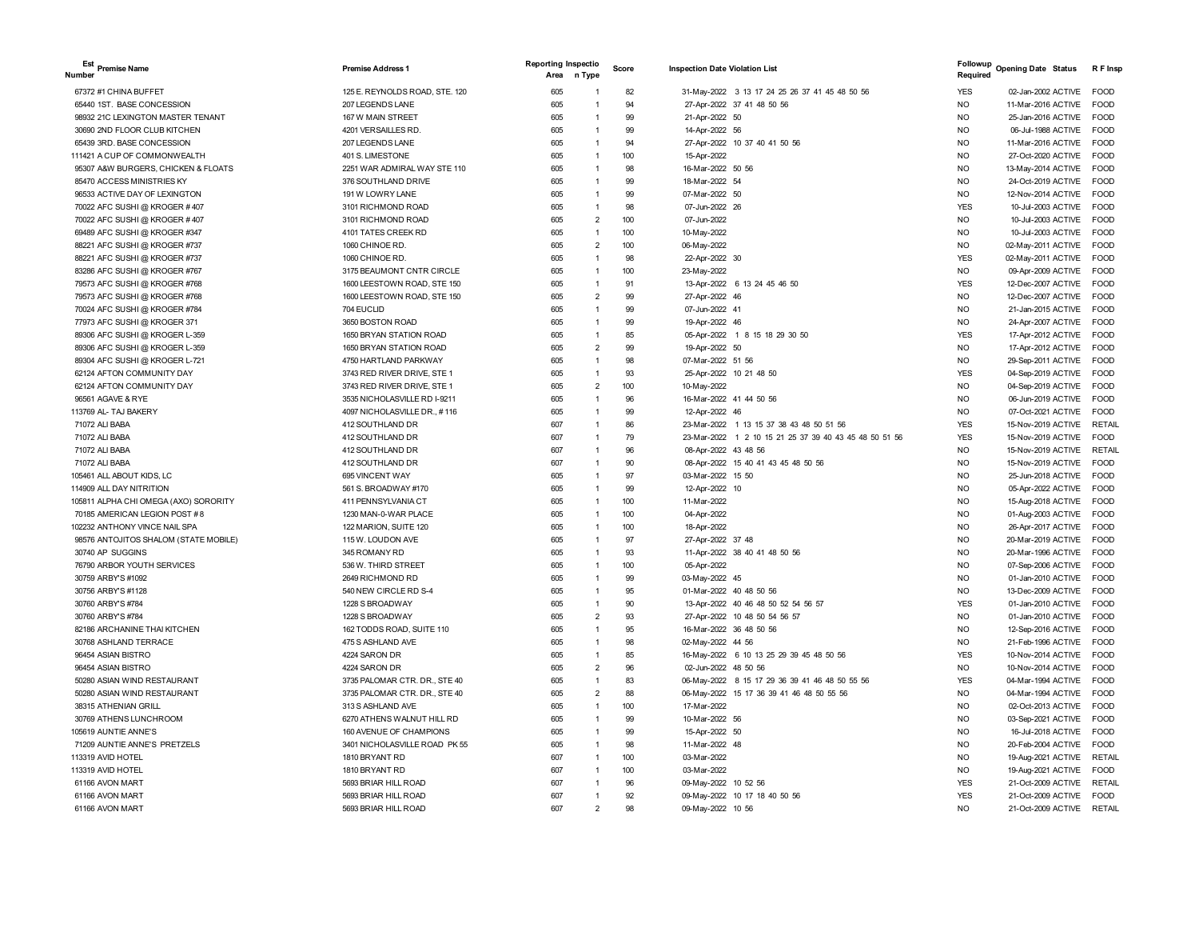| Est Premise Name<br><b>Number</b>     | <b>Premise Address 1</b>       | <b>Reporting Inspectio</b><br>n Type<br>Area | Score | <b>Inspection Date Violation List</b>                  | Followup<br><b>Opening Date Status</b><br>Required |                    | R F Insp      |
|---------------------------------------|--------------------------------|----------------------------------------------|-------|--------------------------------------------------------|----------------------------------------------------|--------------------|---------------|
| 67372 #1 CHINA BUFFET                 | 125 E. REYNOLDS ROAD, STE. 120 | 605                                          | 82    | 31-May-2022 3 13 17 24 25 26 37 41 45 48 50 56         | <b>YES</b>                                         | 02-Jan-2002 ACTIVE | FOOD          |
| 65440 1ST. BASE CONCESSION            | 207 LEGENDS LANE               | 605                                          | 94    | 27-Apr-2022 37 41 48 50 56                             | <b>NO</b>                                          | 11-Mar-2016 ACTIVE | <b>FOOD</b>   |
| 98932 21C LEXINGTON MASTER TENANT     | 167 W MAIN STREET              | 605<br>1                                     | 99    | 21-Apr-2022 50                                         | <b>NO</b>                                          | 25-Jan-2016 ACTIVE | <b>FOOD</b>   |
| 30690 2ND FLOOR CLUB KITCHEN          | 4201 VERSAILLES RD.            | 605<br>$\overline{1}$                        | 99    | 14-Apr-2022 56                                         | <b>NO</b>                                          | 06-Jul-1988 ACTIVE | <b>FOOD</b>   |
| 65439 3RD. BASE CONCESSION            | 207 LEGENDS LANE               | 605<br>$\overline{1}$                        | 94    | 27-Apr-2022 10 37 40 41 50 56                          | <b>NO</b>                                          | 11-Mar-2016 ACTIVE | FOOD          |
| 111421 A CUP OF COMMONWEALTH          | 401 S. LIMESTONE               | 605<br>$\mathbf{1}$                          | 100   | 15-Apr-2022                                            | <b>NO</b>                                          | 27-Oct-2020 ACTIVE | <b>FOOD</b>   |
| 95307 A&W BURGERS, CHICKEN & FLOATS   | 2251 WAR ADMIRAL WAY STE 110   | 605<br>$\mathbf{1}$                          | 98    | 16-Mar-2022 50 56                                      | <b>NO</b>                                          | 13-May-2014 ACTIVE | <b>FOOD</b>   |
| 85470 ACCESS MINISTRIES KY            | 376 SOUTHLAND DRIVE            | 605<br>$\overline{1}$                        | 99    | 18-Mar-2022 54                                         | <b>NO</b>                                          | 24-Oct-2019 ACTIVE | FOOD          |
| 96533 ACTIVE DAY OF LEXINGTON         | 191 W LOWRY LANE               | 605<br>$\mathbf{1}$                          | 99    | 07-Mar-2022 50                                         | <b>NO</b>                                          | 12-Nov-2014 ACTIVE | FOOD          |
| 70022 AFC SUSHI @ KROGER #407         | 3101 RICHMOND ROAD             | 605<br>$\mathbf{1}$                          | 98    | 07-Jun-2022 26                                         | <b>YES</b>                                         | 10-Jul-2003 ACTIVE | <b>FOOD</b>   |
| 70022 AFC SUSHI @ KROGER #407         | 3101 RICHMOND ROAD             | $\overline{2}$<br>605                        | 100   | 07-Jun-2022                                            | <b>NO</b>                                          | 10-Jul-2003 ACTIVE | <b>FOOD</b>   |
| 69489 AFC SUSHI @ KROGER #347         | 4101 TATES CREEK RD            | 605<br>$\overline{1}$                        | 100   | 10-May-2022                                            | <b>NO</b>                                          | 10-Jul-2003 ACTIVE | <b>FOOD</b>   |
| 88221 AFC SUSHI @ KROGER #737         | 1060 CHINOE RD.                | $\overline{2}$<br>605                        | 100   | 06-May-2022                                            | NO                                                 | 02-May-2011 ACTIVE | <b>FOOD</b>   |
| 88221 AFC SUSHI @ KROGER #737         | 1060 CHINOE RD.                | 605<br>$\mathbf{1}$                          | 98    | 22-Apr-2022 30                                         | <b>YES</b>                                         | 02-May-2011 ACTIVE | FOOD          |
| 83286 AFC SUSHI @ KROGER #767         | 3175 BEAUMONT CNTR CIRCLE      | 605<br>$\overline{1}$                        | 100   | 23-May-2022                                            | <b>NO</b>                                          | 09-Apr-2009 ACTIVE | <b>FOOD</b>   |
| 79573 AFC SUSHI @ KROGER #768         | 1600 LEESTOWN ROAD, STE 150    | 605<br>1                                     | 91    | 13-Apr-2022 6 13 24 45 46 50                           | <b>YES</b>                                         | 12-Dec-2007 ACTIVE | <b>FOOD</b>   |
| 79573 AFC SUSHI @ KROGER #768         | 1600 LEESTOWN ROAD, STE 150    | 605<br>$\overline{2}$                        | 99    | 27-Apr-2022 46                                         | <b>NO</b>                                          | 12-Dec-2007 ACTIVE | <b>FOOD</b>   |
| 70024 AFC SUSHI @ KROGER #784         | 704 EUCLID                     | 605<br>$\overline{1}$                        | 99    | 07-Jun-2022 41                                         | <b>NO</b>                                          | 21-Jan-2015 ACTIVE | <b>FOOD</b>   |
| 77973 AFC SUSHI @ KROGER 371          | 3650 BOSTON ROAD               | 605<br>$\overline{1}$                        | 99    | 19-Apr-2022 46                                         | <b>NO</b>                                          | 24-Apr-2007 ACTIVE | <b>FOOD</b>   |
| 89306 AFC SUSHI @ KROGER L-359        | 1650 BRYAN STATION ROAD        | 605<br>$\mathbf{1}$                          | 85    | 05-Apr-2022 1 8 15 18 29 30 50                         | <b>YES</b>                                         | 17-Apr-2012 ACTIVE | <b>FOOD</b>   |
| 89306 AFC SUSHI @ KROGER L-359        | 1650 BRYAN STATION ROAD        | 605<br>$\overline{2}$                        | 99    | 19-Apr-2022 50                                         | <b>NO</b>                                          | 17-Apr-2012 ACTIVE | <b>FOOD</b>   |
| 89304 AFC SUSHI @ KROGER L-721        | 4750 HARTLAND PARKWAY          | 605<br>$\overline{1}$                        | 98    | 07-Mar-2022 51 56                                      | <b>NO</b>                                          | 29-Sep-2011 ACTIVE | FOOD          |
| 62124 AFTON COMMUNITY DAY             | 3743 RED RIVER DRIVE, STE 1    | 605<br>$\mathbf{1}$                          | 93    | 25-Apr-2022 10 21 48 50                                | <b>YES</b>                                         | 04-Sep-2019 ACTIVE | <b>FOOD</b>   |
| 62124 AFTON COMMUNITY DAY             | 3743 RED RIVER DRIVE, STE 1    | $\overline{2}$<br>605                        | 100   | 10-May-2022                                            | <b>NO</b>                                          | 04-Sep-2019 ACTIVE | <b>FOOD</b>   |
| 96561 AGAVE & RYE                     | 3535 NICHOLASVILLE RD I-9211   | 605<br>1                                     | 96    | 16-Mar-2022 41 44 50 56                                | <b>NO</b>                                          | 06-Jun-2019 ACTIVE | <b>FOOD</b>   |
| 113769 AL- TAJ BAKERY                 | 4097 NICHOLASVILLE DR., #116   | 605<br>$\overline{1}$                        | 99    | 12-Apr-2022 46                                         | <b>NO</b>                                          | 07-Oct-2021 ACTIVE | <b>FOOD</b>   |
| 71072 ALI BABA                        | 412 SOUTHLAND DR               | 607<br>1                                     | 86    | 23-Mar-2022 1 13 15 37 38 43 48 50 51 56               | <b>YES</b>                                         | 15-Nov-2019 ACTIVE | RETAIL        |
| 71072 ALI BABA                        | 412 SOUTHLAND DR               | 607<br>1                                     | 79    | 23-Mar-2022 1 2 10 15 21 25 37 39 40 43 45 48 50 51 56 | <b>YES</b>                                         | 15-Nov-2019 ACTIVE | <b>FOOD</b>   |
| 71072 ALI BABA                        | 412 SOUTHLAND DR               | 607<br>1                                     | 96    | 08-Apr-2022 43 48 56                                   | <b>NO</b>                                          | 15-Nov-2019 ACTIVE | <b>RETAIL</b> |
| 71072 ALI BABA                        | 412 SOUTHLAND DR               | 607<br>$\overline{1}$                        | 90    | 08-Apr-2022 15 40 41 43 45 48 50 56                    | <b>NO</b>                                          | 15-Nov-2019 ACTIVE | <b>FOOD</b>   |
| 105461 ALL ABOUT KIDS, LC             | 695 VINCENT WAY                | 605<br>$\mathbf{1}$                          | 97    | 03-Mar-2022 15 50                                      | <b>NO</b>                                          | 25-Jun-2018 ACTIVE | <b>FOOD</b>   |
| 114909 ALL DAY NITRITION              | 561 S. BROADWAY #170           | 605<br>1                                     | 99    | 12-Apr-2022 10                                         | <b>NO</b>                                          | 05-Apr-2022 ACTIVE | <b>FOOD</b>   |
| 105811 ALPHA CHI OMEGA (AXO) SORORITY | 411 PENNSYLVANIA CT            | 605<br>$\overline{1}$                        | 100   | 11-Mar-2022                                            | N <sub>O</sub>                                     | 15-Aug-2018 ACTIVE | <b>FOOD</b>   |
| 70185 AMERICAN LEGION POST #8         | 1230 MAN-0-WAR PLACE           | 605<br>$\overline{1}$                        | 100   | 04-Apr-2022                                            | <b>NO</b>                                          | 01-Aug-2003 ACTIVE | FOOD          |
| 102232 ANTHONY VINCE NAIL SPA         | 122 MARION, SUITE 120          | 605<br>$\mathbf{1}$                          | 100   | 18-Apr-2022                                            | NO                                                 | 26-Apr-2017 ACTIVE | FOOD          |
| 98576 ANTOJITOS SHALOM (STATE MOBILE) | 115 W. LOUDON AVE              | 605<br>$\mathbf{1}$                          | 97    | 27-Apr-2022 37 48                                      | <b>NO</b>                                          | 20-Mar-2019 ACTIVE | <b>FOOD</b>   |
| 30740 AP SUGGINS                      | 345 ROMANY RD                  | 605<br>1                                     | 93    | 11-Apr-2022 38 40 41 48 50 56                          | <b>NO</b>                                          | 20-Mar-1996 ACTIVE | <b>FOOD</b>   |
| 76790 ARBOR YOUTH SERVICES            | 536 W. THIRD STREET            | 605<br>$\overline{1}$                        | 100   | 05-Apr-2022                                            | <b>NO</b>                                          | 07-Sep-2006 ACTIVE | <b>FOOD</b>   |
| 30759 ARBY'S #1092                    | 2649 RICHMOND RD               | 605<br>1                                     | 99    | 03-May-2022 45                                         | <b>NO</b>                                          | 01-Jan-2010 ACTIVE | <b>FOOD</b>   |
| 30756 ARBY'S #1128                    | 540 NEW CIRCLE RD S-4          | 605<br>$\mathbf{1}$                          | 95    | 01-Mar-2022 40 48 50 56                                | <b>NO</b>                                          | 13-Dec-2009 ACTIVE | <b>FOOD</b>   |
| 30760 ARBY'S #784                     | 1228 S BROADWAY                | 605<br>1                                     | 90    | 13-Apr-2022 40 46 48 50 52 54 56 57                    | <b>YES</b>                                         | 01-Jan-2010 ACTIVE | <b>FOOD</b>   |
| 30760 ARBY'S #784                     | 1228 S BROADWAY                | 605<br>$\overline{2}$                        | 93    | 27-Apr-2022 10 48 50 54 56 57                          | <b>NO</b>                                          | 01-Jan-2010 ACTIVE | <b>FOOD</b>   |
| 82186 ARCHANINE THAI KITCHEN          | 162 TODDS ROAD, SUITE 110      | 605<br>$\mathbf{1}$                          | 95    | 16-Mar-2022 36 48 50 56                                | <b>NO</b>                                          | 12-Sep-2016 ACTIVE | <b>FOOD</b>   |
| 30768 ASHLAND TERRACE                 | 475 S ASHLAND AVE              | 605<br>$\overline{1}$                        | 98    | 02-May-2022 44 56                                      | <b>NO</b>                                          | 21-Feb-1996 ACTIVE | <b>FOOD</b>   |
| 96454 ASIAN BISTRO                    | 4224 SARON DR                  | 605<br>$\overline{1}$                        | 85    | 16-May-2022 6 10 13 25 29 39 45 48 50 56               | <b>YES</b>                                         | 10-Nov-2014 ACTIVE | <b>FOOD</b>   |
| 96454 ASIAN BISTRO                    | 4224 SARON DR                  | 605<br>$\overline{2}$                        | 96    | 02-Jun-2022 48 50 56                                   | <b>NO</b>                                          | 10-Nov-2014 ACTIVE | <b>FOOD</b>   |
| 50280 ASIAN WIND RESTAURANT           | 3735 PALOMAR CTR. DR., STE 40  | 605<br>$\overline{1}$                        | 83    | 06-May-2022 8 15 17 29 36 39 41 46 48 50 55 56         | <b>YES</b>                                         | 04-Mar-1994 ACTIVE | FOOD          |
| 50280 ASIAN WIND RESTAURANT           | 3735 PALOMAR CTR. DR., STE 40  | 605<br>$\overline{2}$                        | 88    | 06-May-2022 15 17 36 39 41 46 48 50 55 56              | <b>NO</b>                                          | 04-Mar-1994 ACTIVE | <b>FOOD</b>   |
| 38315 ATHENIAN GRILL                  | 313 S ASHLAND AVE              | 605<br>$\overline{1}$                        | 100   | 17-Mar-2022                                            | <b>NO</b>                                          | 02-Oct-2013 ACTIVE | <b>FOOD</b>   |
| 30769 ATHENS LUNCHROOM                | 6270 ATHENS WALNUT HILL RD     | 605<br>1                                     | 99    | 10-Mar-2022 56                                         | <b>NO</b>                                          | 03-Sep-2021 ACTIVE | <b>FOOD</b>   |
| 105619 AUNTIE ANNE'S                  | 160 AVENUE OF CHAMPIONS        | 605<br>1                                     | 99    | 15-Apr-2022 50                                         | <b>NO</b>                                          | 16-Jul-2018 ACTIVE | <b>FOOD</b>   |
| 71209 AUNTIE ANNE'S PRETZELS          | 3401 NICHOLASVILLE ROAD PK 55  | 605<br>1                                     | 98    | 11-Mar-2022 48                                         | NO.                                                | 20-Feb-2004 ACTIVE | <b>FOOD</b>   |
| 113319 AVID HOTEL                     | 1810 BRYANT RD                 | 607<br>$\mathbf{1}$                          | 100   | 03-Mar-2022                                            | NO.                                                | 19-Aug-2021 ACTIVE | RETAIL        |
| 113319 AVID HOTEL                     | 1810 BRYANT RD                 | 607<br>1                                     | 100   | 03-Mar-2022                                            | <b>NO</b>                                          | 19-Aug-2021 ACTIVE | <b>FOOD</b>   |
| 61166 AVON MART                       | 5693 BRIAR HILL ROAD           | 607<br>$\overline{1}$                        | 96    | 09-May-2022 10 52 56                                   | <b>YES</b>                                         | 21-Oct-2009 ACTIVE | <b>RETAIL</b> |
| 61166 AVON MART                       | 5693 BRIAR HILL ROAD           | 607<br>$\overline{1}$                        | 92    | 09-May-2022 10 17 18 40 50 56                          | <b>YES</b>                                         | 21-Oct-2009 ACTIVE | <b>EOOD</b>   |
| 61166 AVON MART                       | 5693 BRIAR HILL ROAD           | 607<br>$\overline{2}$                        | 98    | 09-May-2022 10 56                                      | N <sub>O</sub>                                     | 21-Oct-2009 ACTIVE | <b>RETAIL</b> |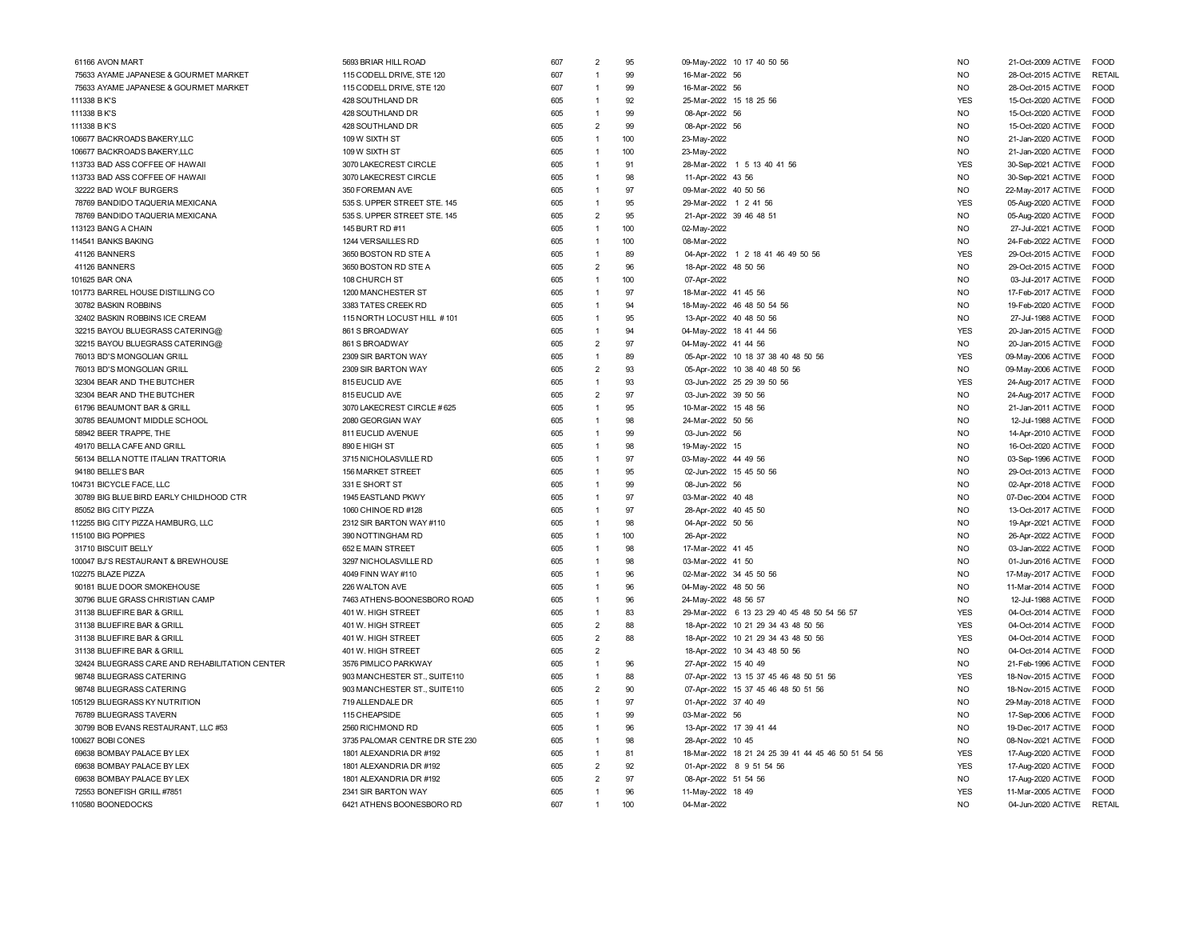| 61166 AVON MART                                | 5693 BRIAR HILL ROAD           | 607 | $\mathcal{P}$  | 95  | 09-May-2022 10 17 40 50 56                         | <b>NO</b>      | 21-Oct-2009 ACTIVE FOOD                   |
|------------------------------------------------|--------------------------------|-----|----------------|-----|----------------------------------------------------|----------------|-------------------------------------------|
| 75633 AYAME JAPANESE & GOURMET MARKET          | 115 CODELL DRIVE, STE 120      | 607 | $\overline{1}$ | 99  | 16-Mar-2022 56                                     | <b>NO</b>      | RETAIL<br>28-Oct-2015 ACTIVE              |
| 75633 AYAME JAPANESE & GOURMET MARKET          | 115 CODELL DRIVE, STE 120      | 607 | 1              | 99  | 16-Mar-2022 56                                     | <b>NO</b>      | 28-Oct-2015 ACTIVE<br><b>FOOD</b>         |
| 111338 B K'S                                   | 428 SOUTHLAND DR               | 605 | $\overline{1}$ | 92  | 25-Mar-2022 15 18 25 56                            | <b>YES</b>     | 15-Oct-2020 ACTIVE FOOD                   |
| 111338 B K'S                                   | 428 SOUTHLAND DR               | 605 | $\overline{1}$ | 99  | 08-Apr-2022 56                                     | NO             | 15-Oct-2020 ACTIVE<br><b>FOOD</b>         |
| 111338 B K'S                                   | 428 SOUTHLAND DR               | 605 | $\overline{2}$ | 99  | 08-Apr-2022 56                                     | <b>NO</b>      | <b>FOOD</b><br>15-Oct-2020 ACTIVE         |
| 106677 BACKROADS BAKERY,LLC                    | 109 W SIXTH ST                 | 605 | $\overline{1}$ | 100 | 23-May-2022                                        | NO.            | 21-Jan-2020 ACTIVE<br>FOOD                |
| 106677 BACKROADS BAKERY,LLC                    | 109 W SIXTH ST                 | 605 | $\overline{1}$ | 100 | 23-May-2022                                        | NO.            | 21-Jan-2020 ACTIVE<br><b>FOOD</b>         |
| 113733 BAD ASS COFFEE OF HAWAII                | 3070 LAKECREST CIRCLE          | 605 | $\overline{1}$ | 91  | 28-Mar-2022 1 5 13 40 41 56                        | <b>YES</b>     | 30-Sep-2021 ACTIVE<br><b>FOOD</b>         |
| 113733 BAD ASS COFFEE OF HAWAII                | 3070 LAKECREST CIRCLE          | 605 | $\overline{1}$ | 98  | 11-Apr-2022 43 56                                  | <b>NO</b>      | 30-Sep-2021 ACTIVE<br><b>FOOD</b>         |
|                                                |                                |     | $\overline{1}$ |     |                                                    |                |                                           |
| 32222 BAD WOLF BURGERS                         | 350 FOREMAN AVE                | 605 |                | 97  | 09-Mar-2022 40 50 56                               | <b>NO</b>      | 22-May-2017 ACTIVE<br><b>FOOD</b>         |
| 78769 BANDIDO TAQUERIA MEXICANA                | 535 S. UPPER STREET STE. 145   | 605 | $\overline{1}$ | 95  | 29-Mar-2022 1 2 41 56                              | <b>YES</b>     | 05-Aug-2020 ACTIVE<br>FOOD                |
| 78769 BANDIDO TAQUERIA MEXICANA                | 535 S. UPPER STREET STE. 145   | 605 | $\overline{2}$ | 95  | 21-Apr-2022 39 46 48 51                            | N <sub>O</sub> | 05-Aug-2020 ACTIVE<br><b>FOOD</b>         |
| 113123 BANG A CHAIN                            | 145 BURT RD #11                | 605 | $\overline{1}$ | 100 | 02-May-2022                                        | N <sub>O</sub> | 27-Jul-2021 ACTIVE<br><b>FOOD</b>         |
| 114541 BANKS BAKING                            | 1244 VERSAILLES RD             | 605 | $\overline{1}$ | 100 | 08-Mar-2022                                        | <b>NO</b>      | 24-Feb-2022 ACTIVE FOOD                   |
| 41126 BANNERS                                  | 3650 BOSTON RD STE A           | 605 | $\overline{1}$ | 89  | 04-Apr-2022 1 2 18 41 46 49 50 56                  | <b>YES</b>     | 29-Oct-2015 ACTIVE<br>FOOD                |
| 41126 BANNERS                                  | 3650 BOSTON RD STE A           | 605 | $\overline{2}$ | 96  | 18-Apr-2022 48 50 56                               | NO.            | <b>FOOD</b><br>29-Oct-2015 ACTIVE         |
| 101625 BAR ONA                                 | 108 CHURCH ST                  | 605 | $\overline{1}$ | 100 | 07-Apr-2022                                        | <b>NO</b>      | 03-Jul-2017 ACTIVE FOOD                   |
| 101773 BARREL HOUSE DISTILLING CO              | 1200 MANCHESTER ST             | 605 | $\overline{1}$ | 97  | 18-Mar-2022 41 45 56                               | <b>NO</b>      | 17-Feb-2017 ACTIVE FOOD                   |
| 30782 BASKIN ROBBINS                           | 3383 TATES CREEK RD            | 605 | $\overline{1}$ | 94  | 18-May-2022 46 48 50 54 56                         | NO.            | 19-Feb-2020 ACTIVE<br><b>FOOD</b>         |
| 32402 BASKIN ROBBINS ICE CREAM                 | 115 NORTH LOCUST HILL #101     | 605 | $\overline{1}$ | 95  | 13-Apr-2022 40 48 50 56                            | NO             | <b>FOOD</b><br>27-Jul-1988 ACTIVE         |
| 32215 BAYOU BLUEGRASS CATERING@                | 861 S BROADWAY                 | 605 | $\overline{1}$ | 94  | 04-May-2022 18 41 44 56                            | <b>YES</b>     | 20-Jan-2015 ACTIVE FOOD                   |
| 32215 BAYOU BLUEGRASS CATERING@                | 861 S BROADWAY                 | 605 | $\overline{2}$ | 97  | 04-May-2022 41 44 56                               | <b>NO</b>      | <b>FOOD</b><br>20-Jan-2015 ACTIVE         |
| 76013 BD'S MONGOLIAN GRILL                     | 2309 SIR BARTON WAY            | 605 | $\overline{1}$ | 89  | 05-Apr-2022 10 18 37 38 40 48 50 56                | <b>YES</b>     | 09-May-2006 ACTIVE<br><b>FOOD</b>         |
| 76013 BD'S MONGOLIAN GRILL                     | 2309 SIR BARTON WAY            | 605 | $\overline{2}$ | 93  | 05-Apr-2022 10 38 40 48 50 56                      | <b>NO</b>      | 09-May-2006 ACTIVE<br><b>FOOD</b>         |
| 32304 BEAR AND THE BUTCHER                     | 815 EUCLID AVE                 | 605 | $\overline{1}$ | 93  | 03-Jun-2022 25 29 39 50 56                         | <b>YES</b>     | 24-Aug-2017 ACTIVE FOOD                   |
| 32304 BEAR AND THE BUTCHER                     | 815 EUCLID AVE                 | 605 | $\overline{2}$ | 97  | 03-Jun-2022 39 50 56                               | <b>NO</b>      | 24-Aug-2017 ACTIVE<br><b>FOOD</b>         |
| 61796 BEAUMONT BAR & GRILL                     | 3070 LAKECREST CIRCLE #625     | 605 | $\overline{1}$ | 95  | 10-Mar-2022 15 48 56                               | N <sub>O</sub> | FOOD<br>21-Jan-2011 ACTIVE                |
| 30785 BEAUMONT MIDDLE SCHOOL                   | 2080 GEORGIAN WAY              | 605 | $\overline{1}$ | 98  | 24-Mar-2022 50 56                                  | N <sub>O</sub> | <b>FOOD</b><br>12-Jul-1988 ACTIVE         |
| 58942 BEER TRAPPE. THE                         | 811 EUCLID AVENUE              | 605 | $\overline{1}$ | 99  | 03-Jun-2022 56                                     | <b>NO</b>      | 14-Apr-2010 ACTIVE FOOD                   |
| 49170 BELLA CAFE AND GRILL                     | 890 E HIGH ST                  | 605 | $\overline{1}$ | 98  | 19-May-2022 15                                     | <b>NO</b>      | 16-Oct-2020 ACTIVE<br><b>FOOD</b>         |
| 56134 BELLA NOTTE ITALIAN TRATTORIA            | 3715 NICHOLASVILLE RD          | 605 | $\overline{1}$ | 97  | 03-May-2022 44 49 56                               | <b>NO</b>      | FOOD                                      |
|                                                |                                |     | $\overline{1}$ | 95  |                                                    |                | 03-Sep-1996 ACTIVE                        |
| 94180 BELLE'S BAR                              | <b>156 MARKET STREET</b>       | 605 |                |     | 02-Jun-2022 15 45 50 56                            | N <sub>O</sub> | 29-Oct-2013 ACTIVE<br><b>FOOD</b>         |
| 104731 BICYCLE FACE, LLC                       | 331 E SHORT ST                 | 605 | $\overline{1}$ | 99  | 08-Jun-2022 56                                     | N <sub>O</sub> | 02-Apr-2018 ACTIVE FOOD                   |
| 30789 BIG BLUE BIRD EARLY CHILDHOOD CTR        | 1945 EASTLAND PKWY             | 605 | $\overline{1}$ | 97  | 03-Mar-2022 40 48                                  | <b>NO</b>      | <b>FOOD</b><br>07-Dec-2004 ACTIVE         |
| 85052 BIG CITY PIZZA                           | 1060 CHINOE RD #128            | 605 | $\overline{1}$ | 97  | 28-Apr-2022 40 45 50                               | N <sub>O</sub> | <b>FOOD</b><br>13-Oct-2017 ACTIVE         |
| 112255 BIG CITY PIZZA HAMBURG, LLC             | 2312 SIR BARTON WAY #110       | 605 | $\overline{1}$ | 98  | 04-Apr-2022 50 56                                  | <b>NO</b>      | 19-Apr-2021 ACTIVE FOOD                   |
| 115100 BIG POPPIES                             | 390 NOTTINGHAM RD              | 605 | $\overline{1}$ | 100 | 26-Apr-2022                                        | <b>NO</b>      | 26-Apr-2022 ACTIVE<br><b>FOOD</b>         |
| 31710 BISCUIT BELLY                            | 652 E MAIN STREET              | 605 | $\overline{1}$ | 98  | 17-Mar-2022 41 45                                  | <b>NO</b>      | 03-Jan-2022 ACTIVE<br><b>FOOD</b>         |
| 100047 BJ'S RESTAURANT & BREWHOUSE             | 3297 NICHOLASVILLE RD          | 605 | $\overline{1}$ | 98  | 03-Mar-2022 41 50                                  | <b>NO</b>      | FOOD<br>01-Jun-2016 ACTIVE                |
| 102275 BLAZE PIZZA                             | 4049 FINN WAY #110             | 605 | $\overline{1}$ | 96  | 02-Mar-2022 34 45 50 56                            | NO.            | 17-May-2017 ACTIVE<br><b>FOOD</b>         |
| 90181 BLUE DOOR SMOKEHOUSE                     | 226 WALTON AVE                 | 605 | $\overline{1}$ | 96  | 04-May-2022 48 50 56                               | <b>NO</b>      | 11-Mar-2014 ACTIVE<br><b>FOOD</b>         |
| 30796 BLUE GRASS CHRISTIAN CAMP                | 7463 ATHENS-BOONESBORO ROAD    | 605 | $\overline{1}$ | 96  | 24-May-2022 48 56 57                               | NO.            | 12-Jul-1988 ACTIVE<br><b>FOOD</b>         |
| 31138 BLUEFIRE BAR & GRILL                     | 401 W. HIGH STREET             | 605 | $\overline{1}$ | 83  | 29-Mar-2022 6 13 23 29 40 45 48 50 54 56 57        | <b>YES</b>     | 04-Oct-2014 ACTIVE<br><b>FOOD</b>         |
| 31138 BLUEFIRE BAR & GRILL                     | 401 W. HIGH STREET             | 605 | $\overline{2}$ | 88  | 18-Apr-2022 10 21 29 34 43 48 50 56                | <b>YES</b>     | 04-Oct-2014 ACTIVE FOOD                   |
| 31138 BLUEFIRE BAR & GRILL                     | 401 W. HIGH STREET             | 605 | $\overline{2}$ | 88  | 18-Apr-2022 10 21 29 34 43 48 50 56                | <b>YES</b>     | <b>FOOD</b><br>04-Oct-2014 ACTIVE         |
| 31138 BLUEFIRE BAR & GRILL                     | 401 W. HIGH STREET             | 605 | $\overline{2}$ |     | 18-Apr-2022 10 34 43 48 50 56                      | N <sub>O</sub> | 04-Oct-2014 ACTIVE<br><b>EOOD</b>         |
| 32424 BLUEGRASS CARE AND REHABILITATION CENTER | 3576 PIMLICO PARKWAY           | 605 | $\overline{1}$ | 96  | 27-Apr-2022 15 40 49                               | <b>NO</b>      | 21-Feb-1996 ACTIVE<br><b>FOOD</b>         |
| 98748 BLUEGRASS CATERING                       | 903 MANCHESTER ST., SUITE110   | 605 | $\overline{1}$ | 88  | 07-Apr-2022 13 15 37 45 46 48 50 51 56             | <b>YES</b>     | 18-Nov-2015 ACTIVE FOOD                   |
| 98748 BLUEGRASS CATERING                       | 903 MANCHESTER ST., SUITE110   | 605 | $\overline{2}$ | 90  | 07-Apr-2022 15 37 45 46 48 50 51 56                | <b>NO</b>      | 18-Nov-2015 ACTIVE<br><b>FOOD</b>         |
| 105129 BLUEGRASS KY NUTRITION                  | 719 ALLENDALE DR               | 605 | $\overline{1}$ | 97  | 01-Apr-2022 37 40 49                               | N <sub>O</sub> | 29-May-2018 ACTIVE<br><b>FOOD</b>         |
| 76789 BLUEGRASS TAVERN                         | 115 CHEAPSIDE                  | 605 | $\overline{1}$ | 99  | 03-Mar-2022 56                                     | NO             | <b>FOOD</b><br>17-Sep-2006 ACTIVE         |
| 30799 BOB EVANS RESTAURANT, LLC #53            | 2560 RICHMOND RD               | 605 | $\overline{1}$ | 96  | 13-Apr-2022 17 39 41 44                            | <b>NO</b>      | <b>FOOD</b><br>19-Dec-2017 ACTIVE         |
| 100627 BOBI CONES                              | 3735 PALOMAR CENTRE DR STE 230 | 605 | $\overline{1}$ | 98  | 28-Apr-2022 10 45                                  | <b>NO</b>      | 08-Nov-2021 ACTIVE<br>FOOD                |
| 69638 BOMBAY PALACE BY LEX                     | 1801 ALEXANDRIA DR #192        | 605 | $\overline{1}$ | 81  | 18-Mar-2022 18 21 24 25 39 41 44 45 46 50 51 54 56 | <b>YES</b>     | FOOD<br>17-Aug-2020 ACTIVE                |
|                                                |                                | 605 | $\overline{2}$ | 92  | 01-Apr-2022 8 9 51 54 56                           | <b>YES</b>     |                                           |
| 69638 BOMBAY PALACE BY LEX                     | 1801 ALEXANDRIA DR #192        | 605 | $\overline{2}$ | 97  |                                                    | <b>NO</b>      | 17-Aug-2020 ACTIVE<br>FOOD<br><b>FOOD</b> |
| 69638 BOMBAY PALACE BY LEX                     | 1801 ALEXANDRIA DR #192        |     |                |     | 08-Apr-2022 51 54 56                               |                | 17-Aug-2020 ACTIVE                        |
| 72553 BONEFISH GRILL #7851                     | 2341 SIR BARTON WAY            | 605 | $\overline{1}$ | 96  | 11-May-2022 18 49                                  | <b>YES</b>     | 11-Mar-2005 ACTIVE<br><b>FOOD</b>         |
| 110580 BOONEDOCKS                              | 6421 ATHENS BOONESBORO RD      | 607 | $\overline{1}$ | 100 | 04-Mar-2022                                        | <b>NO</b>      | 04-Jun-2020 ACTIVE RETAIL                 |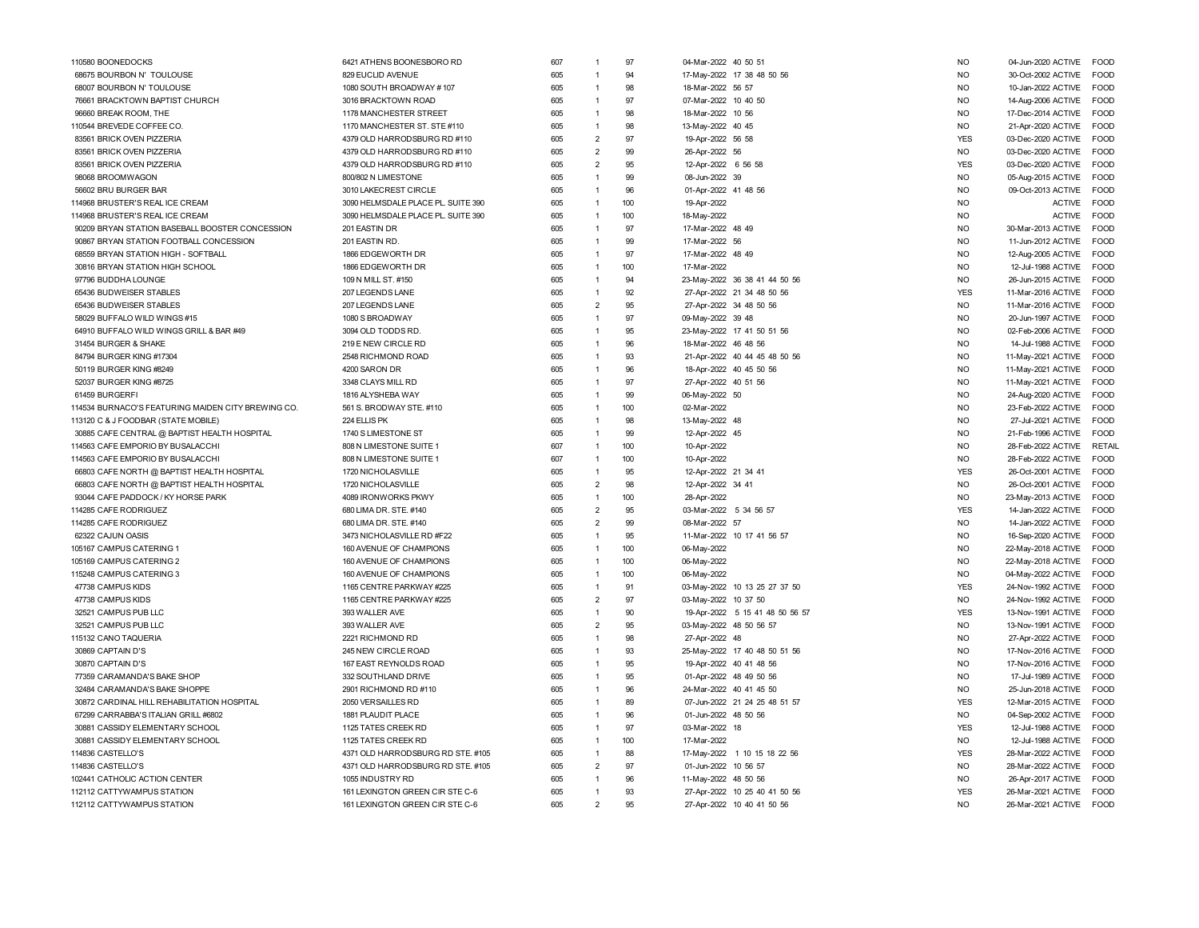| 110580 BOONEDOCKS                                  | 6421 ATHENS BOONESBORO RD          | 607 | -1             | 97  | 04-Mar-2022 40 50 51            | N <sub>O</sub> | 04-Jun-2020 ACTIVE | <b>FOOD</b>   |
|----------------------------------------------------|------------------------------------|-----|----------------|-----|---------------------------------|----------------|--------------------|---------------|
| 68675 BOURBON N' TOULOUSE                          | 829 EUCLID AVENUE                  | 605 | $\overline{1}$ | 94  | 17-May-2022 17 38 48 50 56      | <b>NO</b>      | 30-Oct-2002 ACTIVE | <b>EOOL</b>   |
| 68007 BOURBON N' TOULOUSE                          | 1080 SOUTH BROADWAY #107           | 605 | $\overline{1}$ | 98  | 18-Mar-2022 56 57               | <b>NO</b>      | 10-Jan-2022 ACTIVE | <b>FOOD</b>   |
| 76661 BRACKTOWN BAPTIST CHURCH                     | 3016 BRACKTOWN ROAD                | 605 | $\overline{1}$ | 97  | 07-Mar-2022 10 40 50            | <b>NO</b>      | 14-Aug-2006 ACTIVE | FOOD          |
| 96660 BREAK ROOM, THE                              | 1178 MANCHESTER STREET             | 605 | $\overline{1}$ | 98  | 18-Mar-2022 10 56               | <b>NO</b>      | 17-Dec-2014 ACTIVE | FOOD          |
| 110544 BREVEDE COFFEE CO                           | 1170 MANCHESTER ST. STE #110       | 605 | $\overline{1}$ | 98  | 13-May-2022 40 45               | <b>NO</b>      | 21-Apr-2020 ACTIVE | <b>FOOD</b>   |
| 83561 BRICK OVEN PIZZERIA                          | 4379 OLD HARRODSBURG RD #110       | 605 | $\overline{2}$ | 97  | 19-Apr-2022 56 58               | <b>YES</b>     | 03-Dec-2020 ACTIVE | <b>FOOD</b>   |
| 83561 BRICK OVEN PIZZERIA                          | 4379 OLD HARRODSBURG RD #110       | 605 | $\overline{2}$ | 99  | 26-Apr-2022 56                  | <b>NO</b>      | 03-Dec-2020 ACTIVE | <b>FOOD</b>   |
| 83561 BRICK OVEN PIZZERIA                          | 4379 OLD HARRODSBURG RD #110       | 605 | $\overline{2}$ | 95  | 12-Apr-2022 6 56 58             | <b>YES</b>     | 03-Dec-2020 ACTIVE | <b>FOOD</b>   |
| 98068 BROOMWAGON                                   | 800/802 N LIMESTONE                | 605 | $\overline{1}$ | 99  | 08-Jun-2022 39                  | <b>NO</b>      | 05-Aug-2015 ACTIVE | <b>FOOD</b>   |
| 56602 BRU BURGER BAR                               | 3010 LAKECREST CIRCLE              | 605 | $\overline{1}$ | 96  | 01-Apr-2022 41 48 56            | N <sub>O</sub> | 09-Oct-2013 ACTIVE | <b>FOOD</b>   |
| 114968 BRUSTER'S REAL ICE CREAM                    | 3090 HELMSDALE PLACE PL. SUITE 390 | 605 | $\overline{1}$ | 100 | 19-Apr-2022                     | N <sub>O</sub> | <b>ACTIVE</b>      | <b>FOOD</b>   |
| 114968 BRUSTER'S REAL ICE CREAM                    | 3090 HELMSDALE PLACE PL. SUITE 390 | 605 | $\overline{1}$ | 100 | 18-May-2022                     | N <sub>O</sub> | <b>ACTIVE</b>      | <b>FOOD</b>   |
| 90209 BRYAN STATION BASEBALL BOOSTER CONCESSION    | 201 EASTIN DR                      | 605 | $\overline{1}$ | 97  | 17-Mar-2022 48 49               | N <sub>O</sub> | 30-Mar-2013 ACTIVE | <b>FOOD</b>   |
|                                                    |                                    |     | $\overline{1}$ | 99  | 17-Mar-2022 56                  |                |                    |               |
| 90867 BRYAN STATION FOOTBALL CONCESSION            | 201 EASTIN RD.                     | 605 |                | 97  |                                 | <b>NO</b>      | 11-Jun-2012 ACTIVE | <b>FOOD</b>   |
| 68559 BRYAN STATION HIGH - SOFTBALL                | 1866 EDGEWORTH DR                  | 605 | $\overline{1}$ |     | 17-Mar-2022 48 49               | <b>NO</b>      | 12-Aug-2005 ACTIVE | <b>FOOD</b>   |
| 30816 BRYAN STATION HIGH SCHOOL                    | 1866 EDGEWORTH DR                  | 605 | $\overline{1}$ | 100 | 17-Mar-2022                     | <b>NO</b>      | 12-Jul-1988 ACTIVE | FOOD          |
| 97796 BUDDHA LOUNGE                                | 109 N MILL ST. #150                | 605 | $\overline{1}$ | 94  | 23-May-2022 36 38 41 44 50 56   | <b>NO</b>      | 26-Jun-2015 ACTIVE | <b>FOOD</b>   |
| 65436 BUDWEISER STABLES                            | 207 LEGENDS LANE                   | 605 | $\overline{1}$ | 92  | 27-Apr-2022 21 34 48 50 56      | <b>YES</b>     | 11-Mar-2016 ACTIVE | <b>FOOD</b>   |
| 65436 BUDWEISER STABLES                            | 207 LEGENDS LANE                   | 605 | $\overline{2}$ | 95  | 27-Apr-2022 34 48 50 56         | <b>NO</b>      | 11-Mar-2016 ACTIVE | <b>EOOD</b>   |
| 58029 BUFFALO WILD WINGS #15                       | 1080 S BROADWAY                    | 605 | $\overline{1}$ | 97  | 09-May-2022 39 48               | <b>NO</b>      | 20-Jun-1997 ACTIVE | <b>EOOD</b>   |
| 64910 BUFFALO WILD WINGS GRILL & BAR #49           | 3094 OLD TODDS RD                  | 605 | $\overline{1}$ | 95  | 23-May-2022 17 41 50 51 56      | <b>NO</b>      | 02-Feb-2006 ACTIVE | FOOD          |
| 31454 BURGER & SHAKE                               | 219 E NEW CIRCLE RD                | 605 | $\overline{1}$ | 96  | 18-Mar-2022 46 48 56            | N <sub>O</sub> | 14-Jul-1988 ACTIVE | <b>FOOD</b>   |
| 84794 BURGER KING #17304                           | 2548 RICHMOND ROAD                 | 605 | $\overline{1}$ | 93  | 21-Apr-2022 40 44 45 48 50 56   | N <sub>O</sub> | 11-May-2021 ACTIVE | <b>FOOD</b>   |
| 50119 BURGER KING #8249                            | 4200 SARON DR                      | 605 | $\overline{1}$ | 96  | 18-Apr-2022 40 45 50 56         | N <sub>O</sub> | 11-May-2021 ACTIVE | <b>FOOD</b>   |
| 52037 BURGER KING #8725                            | 3348 CLAYS MILL RD                 | 605 | $\overline{1}$ | 97  | 27-Apr-2022 40 51 56            | <b>NO</b>      | 11-May-2021 ACTIVE | FOOD          |
| 61459 BURGERFI                                     | 1816 ALYSHEBA WAY                  | 605 | $\overline{1}$ | 99  | 06-May-2022 50                  | <b>NO</b>      | 24-Aug-2020 ACTIVE | <b>FOOD</b>   |
| 114534 BURNACO'S FEATURING MAIDEN CITY BREWING CO. | 561 S. BRODWAY STE. #110           | 605 | $\overline{1}$ | 100 | 02-Mar-2022                     | <b>NO</b>      | 23-Feb-2022 ACTIVE | FOOD          |
| 113120 C & J FOODBAR (STATE MOBILE)                | 224 ELLIS PK                       | 605 | $\overline{1}$ | 98  | 13-May-2022 48                  | <b>NO</b>      | 27-Jul-2021 ACTIVE | <b>FOOD</b>   |
| 30885 CAFE CENTRAL @ BAPTIST HEALTH HOSPITAL       | 1740 S LIMESTONE ST                | 605 | $\overline{1}$ | 99  | 12-Apr-2022 45                  | N <sub>O</sub> | 21-Feb-1996 ACTIVE | <b>FOOD</b>   |
| 114563 CAFE EMPORIO BY BUSALACCHI                  | 808 N LIMESTONE SUITE 1            | 607 | $\overline{1}$ | 100 | 10-Apr-2022                     | N <sub>O</sub> | 28-Feb-2022 ACTIVE | <b>RETAIL</b> |
| 114563 CAFE EMPORIO BY BUSALACCHI                  | 808 N LIMESTONE SUITE 1            | 607 | $\overline{1}$ | 100 | 10-Apr-2022                     | N <sub>O</sub> | 28-Feb-2022 ACTIVE | <b>FOOD</b>   |
| 66803 CAFE NORTH @ BAPTIST HEALTH HOSPITAL         | 1720 NICHOLASVILLE                 | 605 | $\overline{1}$ | 95  | 12-Apr-2022 21 34 41            | <b>YES</b>     | 26-Oct-2001 ACTIVE | <b>FOOD</b>   |
| 66803 CAFE NORTH @ BAPTIST HEALTH HOSPITAL         | 1720 NICHOLASVILLE                 | 605 | $\overline{2}$ | 98  | 12-Apr-2022 34 41               | <b>NO</b>      | 26-Oct-2001 ACTIVE | <b>FOOD</b>   |
| 93044 CAFE PADDOCK / KY HORSE PARK                 | 4089 IRONWORKS PKWY                | 605 | $\overline{1}$ | 100 | 28-Apr-2022                     | N <sub>O</sub> | 23-May-2013 ACTIVE | <b>FOOD</b>   |
| 114285 CAFE RODRIGUEZ                              | 680 LIMA DR. STE. #140             | 605 | $\overline{2}$ | 95  | 03-Mar-2022 5 34 56 57          | <b>YES</b>     | 14-Jan-2022 ACTIVE | <b>FOOD</b>   |
| 114285 CAFE RODRIGUEZ                              | 680 LIMA DR. STE. #140             | 605 | $\overline{2}$ | 99  | 08-Mar-2022 57                  | <b>NO</b>      | 14-Jan-2022 ACTIVE | <b>FOOD</b>   |
| 62322 CAJUN OASIS                                  | 3473 NICHOLASVILLE RD #F22         | 605 | $\overline{1}$ | 95  | 11-Mar-2022 10 17 41 56 57      | N <sub>O</sub> | 16-Sep-2020 ACTIVE | <b>FOOD</b>   |
| 105167 CAMPUS CATERING 1                           | 160 AVENUE OF CHAMPIONS            | 605 | $\overline{1}$ | 100 | 06-May-2022                     | <b>NO</b>      | 22-May-2018 ACTIVE | <b>FOOD</b>   |
| 105169 CAMPUS CATERING 2                           | 160 AVENUE OF CHAMPIONS            | 605 | $\overline{1}$ | 100 | 06-May-2022                     | <b>NO</b>      | 22-May-2018 ACTIVE | FOOD          |
| 115248 CAMPUS CATERING 3                           | 160 AVENUE OF CHAMPIONS            | 605 | $\overline{1}$ | 100 | 06-May-2022                     | <b>NO</b>      | 04-May-2022 ACTIVE | <b>FOOD</b>   |
| 47738 CAMPUS KIDS                                  | 1165 CENTRE PARKWAY #225           | 605 | $\overline{1}$ | 91  | 03-May-2022 10 13 25 27 37 50   | <b>YES</b>     | 24-Nov-1992 ACTIVE | <b>FOOD</b>   |
| 47738 CAMPUS KIDS                                  | 1165 CENTRE PARKWAY #225           | 605 | $\overline{2}$ | 97  | 03-May-2022 10 37 50            | <b>NO</b>      | 24-Nov-1992 ACTIVE | <b>EOOD</b>   |
| 32521 CAMPUS PUB LLC                               | 393 WALLER AVE                     | 605 | $\overline{1}$ | 90  | 19-Apr-2022 5 15 41 48 50 56 57 | <b>YES</b>     | 13-Nov-1991 ACTIVE | <b>FOOD</b>   |
| 32521 CAMPUS PUB LLC                               | 393 WALLER AVE                     | 605 | $\overline{2}$ | 95  | 03-May-2022 48 50 56 57         | <b>NO</b>      | 13-Nov-1991 ACTIVE | <b>FOOD</b>   |
| 115132 CANO TAQUERIA                               | 2221 RICHMOND RD                   | 605 | $\overline{1}$ | 98  | 27-Apr-2022 48                  | N <sub>O</sub> | 27-Apr-2022 ACTIVE | <b>FOOD</b>   |
| 30869 CAPTAIN D'S                                  | 245 NEW CIRCLE ROAD                | 605 | $\overline{1}$ | 93  | 25-May-2022 17 40 48 50 51 56   | <b>NO</b>      | 17-Nov-2016 ACTIVE | <b>FOOD</b>   |
| 30870 CAPTAIN D'S                                  | 167 EAST REYNOLDS ROAD             | 605 | $\overline{1}$ | 95  | 19-Apr-2022 40 41 48 56         | N <sub>O</sub> | 17-Nov-2016 ACTIVE | <b>FOOD</b>   |
|                                                    | 332 SOUTHLAND DRIVE                | 605 | $\overline{1}$ | 95  | 01-Apr-2022 48 49 50 56         | N <sub>O</sub> |                    | <b>FOOD</b>   |
| 77359 CARAMANDA'S BAKE SHOP                        |                                    |     | $\overline{1}$ |     |                                 |                | 17-Jul-1989 ACTIVE |               |
| 32484 CARAMANDA'S BAKE SHOPPE                      | 2901 RICHMOND RD #110              | 605 |                | 96  | 24-Mar-2022 40 41 45 50         | <b>NO</b>      | 25-Jun-2018 ACTIVE | <b>FOOD</b>   |
| 30872 CARDINAL HILL REHABILITATION HOSPITAL        | 2050 VERSAILLES RD                 | 605 | $\overline{1}$ | 89  | 07-Jun-2022 21 24 25 48 51 57   | <b>YES</b>     | 12-Mar-2015 ACTIVE | FOOD          |
| 67299 CARRABBA'S ITALIAN GRILL #6802               | 1881 PLAUDIT PLACE                 | 605 | $\overline{1}$ | 96  | 01-Jun-2022 48 50 56            | <b>NO</b>      | 04-Sep-2002 ACTIVE | <b>FOOD</b>   |
| 30881 CASSIDY ELEMENTARY SCHOOL                    | 1125 TATES CREEK RD                | 605 | $\overline{1}$ | 97  | 03-Mar-2022 18                  | <b>YES</b>     | 12-Jul-1988 ACTIVE | <b>FOOL</b>   |
| 30881 CASSIDY ELEMENTARY SCHOOL                    | 1125 TATES CREEK RD                | 605 | $\overline{1}$ | 100 | 17-Mar-2022                     | <b>NO</b>      | 12-Jul-1988 ACTIVE | <b>FOOD</b>   |
| 114836 CASTELLO'S                                  | 4371 OLD HARRODSBURG RD STE. #105  | 605 | $\overline{1}$ | 88  | 17-May-2022 1 10 15 18 22 56    | <b>YES</b>     | 28-Mar-2022 ACTIVE | <b>FOOD</b>   |
| 114836 CASTELLO'S                                  | 4371 OLD HARRODSBURG RD STE. #105  | 605 | $\overline{2}$ | 97  | 01-Jun-2022 10 56 57            | <b>NO</b>      | 28-Mar-2022 ACTIVE | <b>EOOD</b>   |
| 102441 CATHOLIC ACTION CENTER                      | 1055 INDUSTRY RD                   | 605 | $\overline{1}$ | 96  | 11-May-2022 48 50 56            | <b>NO</b>      | 26-Apr-2017 ACTIVE | <b>EOOL</b>   |
| 112112 CATTYWAMPUS STATION                         | 161 LEXINGTON GREEN CIR STE C-6    | 605 | $\overline{1}$ | 93  | 27-Apr-2022 10 25 40 41 50 56   | <b>YES</b>     | 26-Mar-2021 ACTIVE | <b>EOOD</b>   |
| 112112 CATTYWAMPUS STATION                         | 161 LEXINGTON GREEN CIR STE C-6    | 605 | $\mathcal{P}$  | 95  | 27-Apr-2022 10 40 41 50 56      | <b>NO</b>      | 26-Mar-2021 ACTIVE | <b>FOOD</b>   |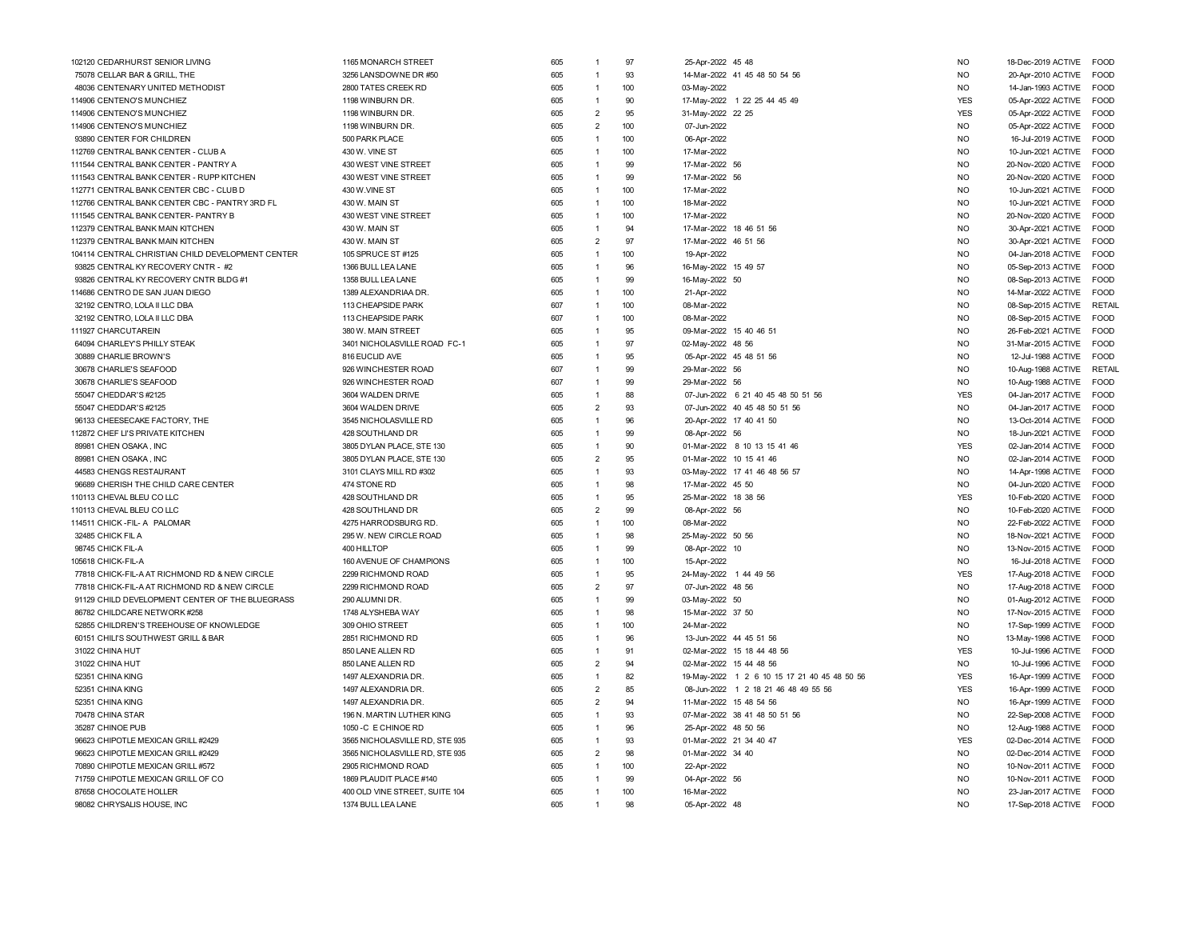| 14-Mar-2022 41 45 48 50 54 56<br>75078 CELLAR BAR & GRILL. THE<br>3256 LANSDOWNE DR #50<br>605<br>93<br><b>NO</b><br>$\overline{1}$<br>2800 TATES CREEK RD<br>48036 CENTENARY UNITED METHODIST<br>605<br>$\overline{1}$<br>100<br>03-May-2022<br>N <sub>O</sub><br>114906 CENTENO'S MUNCHIEZ<br>605<br>90<br>17-May-2022 1 22 25 44 45 49<br><b>YES</b><br>1198 WINBURN DR.<br>$\overline{1}$<br>$\overline{2}$<br>114906 CENTENO'S MUNCHIEZ<br>605<br>95<br><b>YES</b><br>1198 WINBURN DR.<br>31-May-2022 22 25<br>$\overline{2}$<br>114906 CENTENO'S MUNCHIEZ<br>605<br>100<br>07-Jun-2022<br><b>NO</b><br>1198 WINBURN DR.<br>605<br>$\overline{1}$<br>100<br>N <sub>O</sub><br>93890 CENTER FOR CHILDREN<br>500 PARK PLACE<br>06-Apr-2022<br>605<br>100<br><b>NO</b><br>112769 CENTRAL BANK CENTER - CLUB A<br>430 W. VINE ST<br>$\overline{1}$<br>17-Mar-2022<br>99<br>111544 CENTRAL BANK CENTER - PANTRY A<br>430 WEST VINE STREET<br>605<br>$\overline{1}$<br>17-Mar-2022 56<br>N <sub>O</sub><br>111543 CENTRAL BANK CENTER - RUPP KITCHEN<br>430 WEST VINE STREET<br>605<br>99<br>17-Mar-2022 56<br>N <sub>O</sub><br>$\overline{1}$<br>605<br>100<br><b>NO</b><br>112771 CENTRAL BANK CENTER CBC - CLUB D<br>430 W.VINE ST<br>$\overline{1}$<br>17-Mar-2022<br>605<br>100<br><b>NO</b><br>112766 CENTRAL BANK CENTER CBC - PANTRY 3RD FL<br>430 W. MAIN ST<br>$\overline{1}$<br>18-Mar-2022<br>111545 CENTRAL BANK CENTER- PANTRY B<br>430 WEST VINE STREET<br>605<br>100<br><b>NO</b><br>$\overline{1}$<br>17-Mar-2022<br>112379 CENTRAL BANK MAIN KITCHEN<br>430 W. MAIN ST<br>605<br>$\overline{1}$<br>94<br>17-Mar-2022 18 46 51 56<br>N <sub>O</sub><br>$\overline{2}$<br>97<br>605<br>17-Mar-2022 46 51 56<br><b>NO</b><br>112379 CENTRAL BANK MAIN KITCHEN<br>430 W. MAIN ST<br>100<br>104114 CENTRAL CHRISTIAN CHILD DEVELOPMENT CENTER<br>605<br>$\overline{1}$<br>N <sub>O</sub><br>105 SPRUCE ST #125<br>19-Apr-2022<br>605<br>$\overline{1}$<br>96<br><b>NO</b><br>93825 CENTRAL KY RECOVERY CNTR - #2<br>1366 BULL LEA LANE<br>16-May-2022 15 49 57<br>605<br>99<br>N <sub>O</sub><br>93826 CENTRAL KY RECOVERY CNTR BLDG #1<br>1358 BULL LEA LANE<br>$\overline{1}$<br>16-May-2022 50<br>605<br>114686 CENTRO DE SAN JUAN DIEGO<br>1389 ALEXANDRIAA DR.<br>$\overline{1}$<br>100<br>21-Apr-2022<br><b>NO</b><br>607<br>100<br><b>NO</b><br>32192 CENTRO, LOLA II LLC DBA<br>113 CHEAPSIDE PARK<br>$\overline{1}$<br>08-Mar-2022<br>607<br>100<br><b>NO</b><br>32192 CENTRO, LOLA II LLC DBA<br>113 CHEAPSIDE PARK<br>$\overline{1}$<br>08-Mar-2022<br>08-Sep-2015 ACTIVE<br>111927 CHARCUTAREIN<br>380 W. MAIN STREET<br>605<br>95<br>09-Mar-2022 15 40 46 51<br>N <sub>O</sub><br>$\overline{1}$<br>26-Feb-2021 ACTIVE<br>64094 CHARLEY'S PHILLY STEAK<br>3401 NICHOLASVILLE ROAD FC-1<br>605<br>97<br>02-May-2022 48 56<br>N <sub>O</sub><br>1<br><b>NO</b><br>30889 CHARLIE BROWN'S<br>816 EUCLID AVE<br>605<br>$\overline{1}$<br>95<br>05-Apr-2022 45 48 51 56<br>12-Jul-1988 ACTIVE<br>926 WINCHESTER ROAD<br>607<br>99<br>29-Mar-2022 56<br><b>NO</b><br>30678 CHARLIE'S SEAFOOD<br>$\overline{1}$<br>10-Aug-1988 ACTIVE<br>607<br>99<br><b>NO</b><br>926 WINCHESTER ROAD<br>$\overline{1}$<br>29-Mar-2022 56<br>10-Aug-1988 ACTIVE<br>30678 CHARLIE'S SEAFOOD<br>88<br>605<br><b>YES</b><br>55047 CHEDDAR'S #2125<br>3604 WALDEN DRIVE<br>$\overline{1}$<br>07-Jun-2022 6 21 40 45 48 50 51 56<br>04-Jan-2017 ACTIVE<br>$\overline{2}$<br>605<br>93<br><b>NO</b><br>55047 CHEDDAR'S #2125<br>3604 WALDEN DRIVE<br>07-Jun-2022 40 45 48 50 51 56<br>04-Jan-2017 ACTIVE<br>96<br>605<br>N <sub>O</sub><br>96133 CHEESECAKE FACTORY, THE<br>3545 NICHOLASVILLE RD<br>$\mathbf{1}$<br>20-Apr-2022 17 40 41 50<br>13-Oct-2014 ACTIVE<br>99<br>112872 CHEF LI'S PRIVATE KITCHEN<br>428 SOUTHLAND DR<br>605<br>08-Apr-2022 56<br>NO.<br>18-Jun-2021 ACTIVE<br>1<br>90<br>89981 CHEN OSAKA, INC<br>3805 DYLAN PLACE, STE 130<br>605<br>$\overline{1}$<br>01-Mar-2022 8 10 13 15 41 46<br><b>YES</b><br>02-Jan-2014 ACTIVE<br>605<br>$\overline{2}$<br>95<br>01-Mar-2022 10 15 41 46<br><b>NO</b><br>89981 CHEN OSAKA, INC<br>3805 DYLAN PLACE, STE 130<br>02-Jan-2014 ACTIVE<br>605<br>93<br>03-May-2022 17 41 46 48 56 57<br><b>NO</b><br>44583 CHENGS RESTAURANT<br>3101 CLAYS MILL RD #302<br>$\overline{1}$<br>14-Apr-1998 ACTIVE<br>96689 CHERISH THE CHILD CARE CENTER<br>474 STONE RD<br>605<br>98<br>17-Mar-2022 45 50<br><b>NO</b><br>$\overline{1}$<br>04-Jun-2020 ACTIVE<br><b>YES</b><br>110113 CHEVAL BLEU CO LLC<br>428 SOUTHLAND DR<br>605<br>$\overline{1}$<br>95<br>25-Mar-2022 18 38 56<br>10-Feb-2020 ACTIVE<br>605<br>$\overline{2}$<br>99<br>110113 CHEVAL BLEU CO LLC<br>428 SOUTHLAND DR<br>08-Apr-2022 56<br>N <sub>O</sub><br>10-Feb-2020 ACTIVE<br>605<br>100<br><b>NO</b><br>4275 HARRODSBURG RD.<br>$\overline{1}$<br>08-Mar-2022<br>22-Feb-2022 ACTIVE FOOD<br>114511 CHICK-FIL- A PALOMAR<br>605<br>98<br>295 W. NEW CIRCLE ROAD<br>$\overline{1}$<br>25-May-2022 50 56<br><b>NO</b><br>32485 CHICK FIL A<br>18-Nov-2021 ACTIVE<br>605<br>99<br>98745 CHICK FIL-A<br>400 HILLTOP<br>$\overline{1}$<br>08-Apr-2022 10<br>N <sub>O</sub><br>13-Nov-2015 ACTIVE<br>605<br>105618 CHICK-FIL-A<br>160 AVENUE OF CHAMPIONS<br>$\overline{1}$<br>100<br>15-Apr-2022<br><b>NO</b><br>16-Jul-2018 ACTIVE<br>77818 CHICK-FIL-A AT RICHMOND RD & NEW CIRCLE<br>605<br>95<br>24-May-2022 1 44 49 56<br><b>YES</b><br>2299 RICHMOND ROAD<br>$\overline{1}$<br>17-Aug-2018 ACTIVE<br>77818 CHICK-FIL-A AT RICHMOND RD & NEW CIRCLE<br>2299 RICHMOND ROAD<br>605<br>$\overline{2}$<br>97<br>07-Jun-2022 48 56<br><b>NO</b><br>17-Aug-2018 ACTIVE<br>91129 CHILD DEVELOPMENT CENTER OF THE BLUEGRASS<br>290 ALUMNI DR.<br>605<br>99<br>03-May-2022 50<br>N <sub>O</sub><br>01-Aug-2012 ACTIVE<br>$\overline{1}$<br>86782 CHILDCARE NETWORK #258<br>1748 ALYSHEBA WAY<br>605<br>98<br>15-Mar-2022 37 50<br>N <sub>O</sub><br>17-Nov-2015 ACTIVE<br>$\overline{1}$<br>605<br>100<br><b>NO</b><br>52855 CHILDREN'S TREEHOUSE OF KNOWLEDGE<br>309 OHIO STREET<br>$\overline{1}$<br>24-Mar-2022<br>17-Sep-1999 ACTIVE<br>605<br><b>NO</b><br>60151 CHILI'S SOUTHWEST GRILL & BAR<br>2851 RICHMOND RD<br>$\overline{1}$<br>96<br>13-Jun-2022 44 45 51 56<br>605<br>91<br><b>YES</b><br>850 LANE ALLEN RD<br>$\overline{1}$<br>02-Mar-2022 15 18 44 48 56<br>31022 CHINA HUT<br>$\overline{c}$<br>605<br>94<br><b>NO</b><br>02-Mar-2022 15 44 48 56<br>31022 CHINA HUT<br>850 LANE ALLEN RD<br>605<br>$\overline{1}$<br>82<br><b>YES</b><br>52351 CHINA KING<br>1497 ALEXANDRIA DR.<br>19-May-2022 1 2 6 10 15 17 21 40 45 48 50 56<br>$\overline{2}$<br>605<br>85<br>08-Jun-2022 1 2 18 21 46 48 49 55 56<br><b>YES</b><br>52351 CHINA KING<br>1497 ALEXANDRIA DR.<br>605<br>$\overline{2}$<br>94<br><b>NO</b><br>52351 CHINA KING<br>1497 ALEXANDRIA DR.<br>11-Mar-2022 15 48 54 56<br>93<br>70478 CHINA STAR<br>196 N. MARTIN LUTHER KING<br>605<br>$\overline{1}$<br>07-Mar-2022 38 41 48 50 51 56<br>N <sub>O</sub><br>35287 CHINOE PUB<br>1050 - C E CHINOE RD<br>605<br>$\overline{1}$<br>96<br>25-Apr-2022 48 50 56<br>N <sub>O</sub><br>605<br>93<br><b>YES</b><br>96623 CHIPOTLE MEXICAN GRILL #2429<br>3565 NICHOLASVILLE RD, STE 935<br>$\overline{1}$<br>01-Mar-2022 21 34 40 47<br>605<br>$\overline{2}$<br>98<br>01-Mar-2022 34 40<br><b>NO</b><br>96623 CHIPOTLE MEXICAN GRILL #2429<br>3565 NICHOLASVILLE RD, STE 935<br>605<br>$\overline{1}$<br>100<br><b>NO</b><br>2905 RICHMOND ROAD<br>22-Apr-2022<br>70890 CHIPOTLE MEXICAN GRILL #572<br>605<br>99<br>04-Apr-2022 56<br>N <sub>O</sub><br>71759 CHIPOTLE MEXICAN GRILL OF CO<br>1869 PLAUDIT PLACE #140<br>$\overline{1}$<br>400 OLD VINE STREET, SUITE 104<br>605<br>100<br>N <sub>O</sub><br>87658 CHOCOLATE HOLLER<br>$\overline{1}$<br>16-Mar-2022<br><b>NO</b><br>98<br>05-Apr-2022 48<br>98082 CHRYSALIS HOUSE, INC | 102120 CEDARHURST SENIOR LIVING | 1165 MONARCH STREET | 605 | 1 | 97 | 25-Apr-2022 45 48 | <b>NO</b> | 18-Dec-2019 ACTIVE      | FOOD                       |
|----------------------------------------------------------------------------------------------------------------------------------------------------------------------------------------------------------------------------------------------------------------------------------------------------------------------------------------------------------------------------------------------------------------------------------------------------------------------------------------------------------------------------------------------------------------------------------------------------------------------------------------------------------------------------------------------------------------------------------------------------------------------------------------------------------------------------------------------------------------------------------------------------------------------------------------------------------------------------------------------------------------------------------------------------------------------------------------------------------------------------------------------------------------------------------------------------------------------------------------------------------------------------------------------------------------------------------------------------------------------------------------------------------------------------------------------------------------------------------------------------------------------------------------------------------------------------------------------------------------------------------------------------------------------------------------------------------------------------------------------------------------------------------------------------------------------------------------------------------------------------------------------------------------------------------------------------------------------------------------------------------------------------------------------------------------------------------------------------------------------------------------------------------------------------------------------------------------------------------------------------------------------------------------------------------------------------------------------------------------------------------------------------------------------------------------------------------------------------------------------------------------------------------------------------------------------------------------------------------------------------------------------------------------------------------------------------------------------------------------------------------------------------------------------------------------------------------------------------------------------------------------------------------------------------------------------------------------------------------------------------------------------------------------------------------------------------------------------------------------------------------------------------------------------------------------------------------------------------------------------------------------------------------------------------------------------------------------------------------------------------------------------------------------------------------------------------------------------------------------------------------------------------------------------------------------------------------------------------------------------------------------------------------------------------------------------------------------------------------------------------------------------------------------------------------------------------------------------------------------------------------------------------------------------------------------------------------------------------------------------------------------------------------------------------------------------------------------------------------------------------------------------------------------------------------------------------------------------------------------------------------------------------------------------------------------------------------------------------------------------------------------------------------------------------------------------------------------------------------------------------------------------------------------------------------------------------------------------------------------------------------------------------------------------------------------------------------------------------------------------------------------------------------------------------------------------------------------------------------------------------------------------------------------------------------------------------------------------------------------------------------------------------------------------------------------------------------------------------------------------------------------------------------------------------------------------------------------------------------------------------------------------------------------------------------------------------------------------------------------------------------------------------------------------------------------------------------------------------------------------------------------------------------------------------------------------------------------------------------------------------------------------------------------------------------------------------------------------------------------------------------------------------------------------------------------------------------------------------------------------------------------------------------------------------------------------------------------------------------------------------------------------------------------------------------------------------------------------------------------------------------------------------------------------------------------------------------------------------------------------------------------------------------------------------------------------------------------------------------------------------------------------------------------------------------------------------------------------------------------------------------------------------------------------------------------------------------------------------------------------------------------------------------------------------------------------------------------------------------------------------------------------------------------------------------------------------------------------------------------------------------------------------------------------------------------------------------------------------------------------------------------------------------------------------------------------------------------------------------------------------------------------------------------------------------------------------------------------------------------------------------------------------------------------------------------------------------------------------------------------------------------------------------------------------------------------------------------------------------------------------------------------------------------------------------------------------------------------------------------------------------------------------------------------------------------------------------------------------------------------------------------------------------------------------------------------------------------------------------------------------------------------------------------------------------|---------------------------------|---------------------|-----|---|----|-------------------|-----------|-------------------------|----------------------------|
|                                                                                                                                                                                                                                                                                                                                                                                                                                                                                                                                                                                                                                                                                                                                                                                                                                                                                                                                                                                                                                                                                                                                                                                                                                                                                                                                                                                                                                                                                                                                                                                                                                                                                                                                                                                                                                                                                                                                                                                                                                                                                                                                                                                                                                                                                                                                                                                                                                                                                                                                                                                                                                                                                                                                                                                                                                                                                                                                                                                                                                                                                                                                                                                                                                                                                                                                                                                                                                                                                                                                                                                                                                                                                                                                                                                                                                                                                                                                                                                                                                                                                                                                                                                                                                                                                                                                                                                                                                                                                                                                                                                                                                                                                                                                                                                                                                                                                                                                                                                                                                                                                                                                                                                                                                                                                                                                                                                                                                                                                                                                                                                                                                                                                                                                                                                                                                                                                                                                                                                                                                                                                                                                                                                                                                                                                                                                                                                                                                                                                                                                                                                                                                                                                                                                                                                                                                                                                                                                                                                                                                                                                                                                                                                                                                                                                                                                                                                                                                                                                                                                                                                                                                                                                                                                                                                                                                                                                                                                  |                                 |                     |     |   |    |                   |           | 20-Apr-2010 ACTIVE      | FOOD                       |
|                                                                                                                                                                                                                                                                                                                                                                                                                                                                                                                                                                                                                                                                                                                                                                                                                                                                                                                                                                                                                                                                                                                                                                                                                                                                                                                                                                                                                                                                                                                                                                                                                                                                                                                                                                                                                                                                                                                                                                                                                                                                                                                                                                                                                                                                                                                                                                                                                                                                                                                                                                                                                                                                                                                                                                                                                                                                                                                                                                                                                                                                                                                                                                                                                                                                                                                                                                                                                                                                                                                                                                                                                                                                                                                                                                                                                                                                                                                                                                                                                                                                                                                                                                                                                                                                                                                                                                                                                                                                                                                                                                                                                                                                                                                                                                                                                                                                                                                                                                                                                                                                                                                                                                                                                                                                                                                                                                                                                                                                                                                                                                                                                                                                                                                                                                                                                                                                                                                                                                                                                                                                                                                                                                                                                                                                                                                                                                                                                                                                                                                                                                                                                                                                                                                                                                                                                                                                                                                                                                                                                                                                                                                                                                                                                                                                                                                                                                                                                                                                                                                                                                                                                                                                                                                                                                                                                                                                                                                                  |                                 |                     |     |   |    |                   |           | 14-Jan-1993 ACTIVE      | <b>FOOD</b>                |
|                                                                                                                                                                                                                                                                                                                                                                                                                                                                                                                                                                                                                                                                                                                                                                                                                                                                                                                                                                                                                                                                                                                                                                                                                                                                                                                                                                                                                                                                                                                                                                                                                                                                                                                                                                                                                                                                                                                                                                                                                                                                                                                                                                                                                                                                                                                                                                                                                                                                                                                                                                                                                                                                                                                                                                                                                                                                                                                                                                                                                                                                                                                                                                                                                                                                                                                                                                                                                                                                                                                                                                                                                                                                                                                                                                                                                                                                                                                                                                                                                                                                                                                                                                                                                                                                                                                                                                                                                                                                                                                                                                                                                                                                                                                                                                                                                                                                                                                                                                                                                                                                                                                                                                                                                                                                                                                                                                                                                                                                                                                                                                                                                                                                                                                                                                                                                                                                                                                                                                                                                                                                                                                                                                                                                                                                                                                                                                                                                                                                                                                                                                                                                                                                                                                                                                                                                                                                                                                                                                                                                                                                                                                                                                                                                                                                                                                                                                                                                                                                                                                                                                                                                                                                                                                                                                                                                                                                                                                                  |                                 |                     |     |   |    |                   |           | 05-Apr-2022 ACTIVE      | <b>FOOD</b>                |
|                                                                                                                                                                                                                                                                                                                                                                                                                                                                                                                                                                                                                                                                                                                                                                                                                                                                                                                                                                                                                                                                                                                                                                                                                                                                                                                                                                                                                                                                                                                                                                                                                                                                                                                                                                                                                                                                                                                                                                                                                                                                                                                                                                                                                                                                                                                                                                                                                                                                                                                                                                                                                                                                                                                                                                                                                                                                                                                                                                                                                                                                                                                                                                                                                                                                                                                                                                                                                                                                                                                                                                                                                                                                                                                                                                                                                                                                                                                                                                                                                                                                                                                                                                                                                                                                                                                                                                                                                                                                                                                                                                                                                                                                                                                                                                                                                                                                                                                                                                                                                                                                                                                                                                                                                                                                                                                                                                                                                                                                                                                                                                                                                                                                                                                                                                                                                                                                                                                                                                                                                                                                                                                                                                                                                                                                                                                                                                                                                                                                                                                                                                                                                                                                                                                                                                                                                                                                                                                                                                                                                                                                                                                                                                                                                                                                                                                                                                                                                                                                                                                                                                                                                                                                                                                                                                                                                                                                                                                                  |                                 |                     |     |   |    |                   |           | 05-Apr-2022 ACTIVE      | <b>FOOD</b>                |
|                                                                                                                                                                                                                                                                                                                                                                                                                                                                                                                                                                                                                                                                                                                                                                                                                                                                                                                                                                                                                                                                                                                                                                                                                                                                                                                                                                                                                                                                                                                                                                                                                                                                                                                                                                                                                                                                                                                                                                                                                                                                                                                                                                                                                                                                                                                                                                                                                                                                                                                                                                                                                                                                                                                                                                                                                                                                                                                                                                                                                                                                                                                                                                                                                                                                                                                                                                                                                                                                                                                                                                                                                                                                                                                                                                                                                                                                                                                                                                                                                                                                                                                                                                                                                                                                                                                                                                                                                                                                                                                                                                                                                                                                                                                                                                                                                                                                                                                                                                                                                                                                                                                                                                                                                                                                                                                                                                                                                                                                                                                                                                                                                                                                                                                                                                                                                                                                                                                                                                                                                                                                                                                                                                                                                                                                                                                                                                                                                                                                                                                                                                                                                                                                                                                                                                                                                                                                                                                                                                                                                                                                                                                                                                                                                                                                                                                                                                                                                                                                                                                                                                                                                                                                                                                                                                                                                                                                                                                                  |                                 |                     |     |   |    |                   |           | 05-Apr-2022 ACTIVE      | FOOD                       |
|                                                                                                                                                                                                                                                                                                                                                                                                                                                                                                                                                                                                                                                                                                                                                                                                                                                                                                                                                                                                                                                                                                                                                                                                                                                                                                                                                                                                                                                                                                                                                                                                                                                                                                                                                                                                                                                                                                                                                                                                                                                                                                                                                                                                                                                                                                                                                                                                                                                                                                                                                                                                                                                                                                                                                                                                                                                                                                                                                                                                                                                                                                                                                                                                                                                                                                                                                                                                                                                                                                                                                                                                                                                                                                                                                                                                                                                                                                                                                                                                                                                                                                                                                                                                                                                                                                                                                                                                                                                                                                                                                                                                                                                                                                                                                                                                                                                                                                                                                                                                                                                                                                                                                                                                                                                                                                                                                                                                                                                                                                                                                                                                                                                                                                                                                                                                                                                                                                                                                                                                                                                                                                                                                                                                                                                                                                                                                                                                                                                                                                                                                                                                                                                                                                                                                                                                                                                                                                                                                                                                                                                                                                                                                                                                                                                                                                                                                                                                                                                                                                                                                                                                                                                                                                                                                                                                                                                                                                                                  |                                 |                     |     |   |    |                   |           | 16-Jul-2019 ACTIVE      | <b>FOOD</b>                |
|                                                                                                                                                                                                                                                                                                                                                                                                                                                                                                                                                                                                                                                                                                                                                                                                                                                                                                                                                                                                                                                                                                                                                                                                                                                                                                                                                                                                                                                                                                                                                                                                                                                                                                                                                                                                                                                                                                                                                                                                                                                                                                                                                                                                                                                                                                                                                                                                                                                                                                                                                                                                                                                                                                                                                                                                                                                                                                                                                                                                                                                                                                                                                                                                                                                                                                                                                                                                                                                                                                                                                                                                                                                                                                                                                                                                                                                                                                                                                                                                                                                                                                                                                                                                                                                                                                                                                                                                                                                                                                                                                                                                                                                                                                                                                                                                                                                                                                                                                                                                                                                                                                                                                                                                                                                                                                                                                                                                                                                                                                                                                                                                                                                                                                                                                                                                                                                                                                                                                                                                                                                                                                                                                                                                                                                                                                                                                                                                                                                                                                                                                                                                                                                                                                                                                                                                                                                                                                                                                                                                                                                                                                                                                                                                                                                                                                                                                                                                                                                                                                                                                                                                                                                                                                                                                                                                                                                                                                                                  |                                 |                     |     |   |    |                   |           | 10-Jun-2021 ACTIVE      | FOOD                       |
|                                                                                                                                                                                                                                                                                                                                                                                                                                                                                                                                                                                                                                                                                                                                                                                                                                                                                                                                                                                                                                                                                                                                                                                                                                                                                                                                                                                                                                                                                                                                                                                                                                                                                                                                                                                                                                                                                                                                                                                                                                                                                                                                                                                                                                                                                                                                                                                                                                                                                                                                                                                                                                                                                                                                                                                                                                                                                                                                                                                                                                                                                                                                                                                                                                                                                                                                                                                                                                                                                                                                                                                                                                                                                                                                                                                                                                                                                                                                                                                                                                                                                                                                                                                                                                                                                                                                                                                                                                                                                                                                                                                                                                                                                                                                                                                                                                                                                                                                                                                                                                                                                                                                                                                                                                                                                                                                                                                                                                                                                                                                                                                                                                                                                                                                                                                                                                                                                                                                                                                                                                                                                                                                                                                                                                                                                                                                                                                                                                                                                                                                                                                                                                                                                                                                                                                                                                                                                                                                                                                                                                                                                                                                                                                                                                                                                                                                                                                                                                                                                                                                                                                                                                                                                                                                                                                                                                                                                                                                  |                                 |                     |     |   |    |                   |           | 20-Nov-2020 ACTIVE      | <b>FOOD</b>                |
|                                                                                                                                                                                                                                                                                                                                                                                                                                                                                                                                                                                                                                                                                                                                                                                                                                                                                                                                                                                                                                                                                                                                                                                                                                                                                                                                                                                                                                                                                                                                                                                                                                                                                                                                                                                                                                                                                                                                                                                                                                                                                                                                                                                                                                                                                                                                                                                                                                                                                                                                                                                                                                                                                                                                                                                                                                                                                                                                                                                                                                                                                                                                                                                                                                                                                                                                                                                                                                                                                                                                                                                                                                                                                                                                                                                                                                                                                                                                                                                                                                                                                                                                                                                                                                                                                                                                                                                                                                                                                                                                                                                                                                                                                                                                                                                                                                                                                                                                                                                                                                                                                                                                                                                                                                                                                                                                                                                                                                                                                                                                                                                                                                                                                                                                                                                                                                                                                                                                                                                                                                                                                                                                                                                                                                                                                                                                                                                                                                                                                                                                                                                                                                                                                                                                                                                                                                                                                                                                                                                                                                                                                                                                                                                                                                                                                                                                                                                                                                                                                                                                                                                                                                                                                                                                                                                                                                                                                                                                  |                                 |                     |     |   |    |                   |           | 20-Nov-2020 ACTIVE      | <b>FOOD</b>                |
|                                                                                                                                                                                                                                                                                                                                                                                                                                                                                                                                                                                                                                                                                                                                                                                                                                                                                                                                                                                                                                                                                                                                                                                                                                                                                                                                                                                                                                                                                                                                                                                                                                                                                                                                                                                                                                                                                                                                                                                                                                                                                                                                                                                                                                                                                                                                                                                                                                                                                                                                                                                                                                                                                                                                                                                                                                                                                                                                                                                                                                                                                                                                                                                                                                                                                                                                                                                                                                                                                                                                                                                                                                                                                                                                                                                                                                                                                                                                                                                                                                                                                                                                                                                                                                                                                                                                                                                                                                                                                                                                                                                                                                                                                                                                                                                                                                                                                                                                                                                                                                                                                                                                                                                                                                                                                                                                                                                                                                                                                                                                                                                                                                                                                                                                                                                                                                                                                                                                                                                                                                                                                                                                                                                                                                                                                                                                                                                                                                                                                                                                                                                                                                                                                                                                                                                                                                                                                                                                                                                                                                                                                                                                                                                                                                                                                                                                                                                                                                                                                                                                                                                                                                                                                                                                                                                                                                                                                                                                  |                                 |                     |     |   |    |                   |           | 10-Jun-2021 ACTIVE      | <b>FOOD</b>                |
|                                                                                                                                                                                                                                                                                                                                                                                                                                                                                                                                                                                                                                                                                                                                                                                                                                                                                                                                                                                                                                                                                                                                                                                                                                                                                                                                                                                                                                                                                                                                                                                                                                                                                                                                                                                                                                                                                                                                                                                                                                                                                                                                                                                                                                                                                                                                                                                                                                                                                                                                                                                                                                                                                                                                                                                                                                                                                                                                                                                                                                                                                                                                                                                                                                                                                                                                                                                                                                                                                                                                                                                                                                                                                                                                                                                                                                                                                                                                                                                                                                                                                                                                                                                                                                                                                                                                                                                                                                                                                                                                                                                                                                                                                                                                                                                                                                                                                                                                                                                                                                                                                                                                                                                                                                                                                                                                                                                                                                                                                                                                                                                                                                                                                                                                                                                                                                                                                                                                                                                                                                                                                                                                                                                                                                                                                                                                                                                                                                                                                                                                                                                                                                                                                                                                                                                                                                                                                                                                                                                                                                                                                                                                                                                                                                                                                                                                                                                                                                                                                                                                                                                                                                                                                                                                                                                                                                                                                                                                  |                                 |                     |     |   |    |                   |           | 10-Jun-2021 ACTIVE      | <b>FOOD</b>                |
|                                                                                                                                                                                                                                                                                                                                                                                                                                                                                                                                                                                                                                                                                                                                                                                                                                                                                                                                                                                                                                                                                                                                                                                                                                                                                                                                                                                                                                                                                                                                                                                                                                                                                                                                                                                                                                                                                                                                                                                                                                                                                                                                                                                                                                                                                                                                                                                                                                                                                                                                                                                                                                                                                                                                                                                                                                                                                                                                                                                                                                                                                                                                                                                                                                                                                                                                                                                                                                                                                                                                                                                                                                                                                                                                                                                                                                                                                                                                                                                                                                                                                                                                                                                                                                                                                                                                                                                                                                                                                                                                                                                                                                                                                                                                                                                                                                                                                                                                                                                                                                                                                                                                                                                                                                                                                                                                                                                                                                                                                                                                                                                                                                                                                                                                                                                                                                                                                                                                                                                                                                                                                                                                                                                                                                                                                                                                                                                                                                                                                                                                                                                                                                                                                                                                                                                                                                                                                                                                                                                                                                                                                                                                                                                                                                                                                                                                                                                                                                                                                                                                                                                                                                                                                                                                                                                                                                                                                                                                  |                                 |                     |     |   |    |                   |           | 20-Nov-2020 ACTIVE      | FOOD                       |
|                                                                                                                                                                                                                                                                                                                                                                                                                                                                                                                                                                                                                                                                                                                                                                                                                                                                                                                                                                                                                                                                                                                                                                                                                                                                                                                                                                                                                                                                                                                                                                                                                                                                                                                                                                                                                                                                                                                                                                                                                                                                                                                                                                                                                                                                                                                                                                                                                                                                                                                                                                                                                                                                                                                                                                                                                                                                                                                                                                                                                                                                                                                                                                                                                                                                                                                                                                                                                                                                                                                                                                                                                                                                                                                                                                                                                                                                                                                                                                                                                                                                                                                                                                                                                                                                                                                                                                                                                                                                                                                                                                                                                                                                                                                                                                                                                                                                                                                                                                                                                                                                                                                                                                                                                                                                                                                                                                                                                                                                                                                                                                                                                                                                                                                                                                                                                                                                                                                                                                                                                                                                                                                                                                                                                                                                                                                                                                                                                                                                                                                                                                                                                                                                                                                                                                                                                                                                                                                                                                                                                                                                                                                                                                                                                                                                                                                                                                                                                                                                                                                                                                                                                                                                                                                                                                                                                                                                                                                                  |                                 |                     |     |   |    |                   |           | 30-Apr-2021 ACTIVE      | <b>FOOD</b>                |
|                                                                                                                                                                                                                                                                                                                                                                                                                                                                                                                                                                                                                                                                                                                                                                                                                                                                                                                                                                                                                                                                                                                                                                                                                                                                                                                                                                                                                                                                                                                                                                                                                                                                                                                                                                                                                                                                                                                                                                                                                                                                                                                                                                                                                                                                                                                                                                                                                                                                                                                                                                                                                                                                                                                                                                                                                                                                                                                                                                                                                                                                                                                                                                                                                                                                                                                                                                                                                                                                                                                                                                                                                                                                                                                                                                                                                                                                                                                                                                                                                                                                                                                                                                                                                                                                                                                                                                                                                                                                                                                                                                                                                                                                                                                                                                                                                                                                                                                                                                                                                                                                                                                                                                                                                                                                                                                                                                                                                                                                                                                                                                                                                                                                                                                                                                                                                                                                                                                                                                                                                                                                                                                                                                                                                                                                                                                                                                                                                                                                                                                                                                                                                                                                                                                                                                                                                                                                                                                                                                                                                                                                                                                                                                                                                                                                                                                                                                                                                                                                                                                                                                                                                                                                                                                                                                                                                                                                                                                                  |                                 |                     |     |   |    |                   |           | 30-Apr-2021 ACTIVE      | FOOD                       |
|                                                                                                                                                                                                                                                                                                                                                                                                                                                                                                                                                                                                                                                                                                                                                                                                                                                                                                                                                                                                                                                                                                                                                                                                                                                                                                                                                                                                                                                                                                                                                                                                                                                                                                                                                                                                                                                                                                                                                                                                                                                                                                                                                                                                                                                                                                                                                                                                                                                                                                                                                                                                                                                                                                                                                                                                                                                                                                                                                                                                                                                                                                                                                                                                                                                                                                                                                                                                                                                                                                                                                                                                                                                                                                                                                                                                                                                                                                                                                                                                                                                                                                                                                                                                                                                                                                                                                                                                                                                                                                                                                                                                                                                                                                                                                                                                                                                                                                                                                                                                                                                                                                                                                                                                                                                                                                                                                                                                                                                                                                                                                                                                                                                                                                                                                                                                                                                                                                                                                                                                                                                                                                                                                                                                                                                                                                                                                                                                                                                                                                                                                                                                                                                                                                                                                                                                                                                                                                                                                                                                                                                                                                                                                                                                                                                                                                                                                                                                                                                                                                                                                                                                                                                                                                                                                                                                                                                                                                                                  |                                 |                     |     |   |    |                   |           | 04-Jan-2018 ACTIVE      | <b>FOOD</b>                |
|                                                                                                                                                                                                                                                                                                                                                                                                                                                                                                                                                                                                                                                                                                                                                                                                                                                                                                                                                                                                                                                                                                                                                                                                                                                                                                                                                                                                                                                                                                                                                                                                                                                                                                                                                                                                                                                                                                                                                                                                                                                                                                                                                                                                                                                                                                                                                                                                                                                                                                                                                                                                                                                                                                                                                                                                                                                                                                                                                                                                                                                                                                                                                                                                                                                                                                                                                                                                                                                                                                                                                                                                                                                                                                                                                                                                                                                                                                                                                                                                                                                                                                                                                                                                                                                                                                                                                                                                                                                                                                                                                                                                                                                                                                                                                                                                                                                                                                                                                                                                                                                                                                                                                                                                                                                                                                                                                                                                                                                                                                                                                                                                                                                                                                                                                                                                                                                                                                                                                                                                                                                                                                                                                                                                                                                                                                                                                                                                                                                                                                                                                                                                                                                                                                                                                                                                                                                                                                                                                                                                                                                                                                                                                                                                                                                                                                                                                                                                                                                                                                                                                                                                                                                                                                                                                                                                                                                                                                                                  |                                 |                     |     |   |    |                   |           | 05-Sep-2013 ACTIVE      | <b>FOOD</b>                |
|                                                                                                                                                                                                                                                                                                                                                                                                                                                                                                                                                                                                                                                                                                                                                                                                                                                                                                                                                                                                                                                                                                                                                                                                                                                                                                                                                                                                                                                                                                                                                                                                                                                                                                                                                                                                                                                                                                                                                                                                                                                                                                                                                                                                                                                                                                                                                                                                                                                                                                                                                                                                                                                                                                                                                                                                                                                                                                                                                                                                                                                                                                                                                                                                                                                                                                                                                                                                                                                                                                                                                                                                                                                                                                                                                                                                                                                                                                                                                                                                                                                                                                                                                                                                                                                                                                                                                                                                                                                                                                                                                                                                                                                                                                                                                                                                                                                                                                                                                                                                                                                                                                                                                                                                                                                                                                                                                                                                                                                                                                                                                                                                                                                                                                                                                                                                                                                                                                                                                                                                                                                                                                                                                                                                                                                                                                                                                                                                                                                                                                                                                                                                                                                                                                                                                                                                                                                                                                                                                                                                                                                                                                                                                                                                                                                                                                                                                                                                                                                                                                                                                                                                                                                                                                                                                                                                                                                                                                                                  |                                 |                     |     |   |    |                   |           | 08-Sep-2013 ACTIVE      | <b>FOOD</b>                |
|                                                                                                                                                                                                                                                                                                                                                                                                                                                                                                                                                                                                                                                                                                                                                                                                                                                                                                                                                                                                                                                                                                                                                                                                                                                                                                                                                                                                                                                                                                                                                                                                                                                                                                                                                                                                                                                                                                                                                                                                                                                                                                                                                                                                                                                                                                                                                                                                                                                                                                                                                                                                                                                                                                                                                                                                                                                                                                                                                                                                                                                                                                                                                                                                                                                                                                                                                                                                                                                                                                                                                                                                                                                                                                                                                                                                                                                                                                                                                                                                                                                                                                                                                                                                                                                                                                                                                                                                                                                                                                                                                                                                                                                                                                                                                                                                                                                                                                                                                                                                                                                                                                                                                                                                                                                                                                                                                                                                                                                                                                                                                                                                                                                                                                                                                                                                                                                                                                                                                                                                                                                                                                                                                                                                                                                                                                                                                                                                                                                                                                                                                                                                                                                                                                                                                                                                                                                                                                                                                                                                                                                                                                                                                                                                                                                                                                                                                                                                                                                                                                                                                                                                                                                                                                                                                                                                                                                                                                                                  |                                 |                     |     |   |    |                   |           | 14-Mar-2022 ACTIVE      | <b>FOOD</b>                |
|                                                                                                                                                                                                                                                                                                                                                                                                                                                                                                                                                                                                                                                                                                                                                                                                                                                                                                                                                                                                                                                                                                                                                                                                                                                                                                                                                                                                                                                                                                                                                                                                                                                                                                                                                                                                                                                                                                                                                                                                                                                                                                                                                                                                                                                                                                                                                                                                                                                                                                                                                                                                                                                                                                                                                                                                                                                                                                                                                                                                                                                                                                                                                                                                                                                                                                                                                                                                                                                                                                                                                                                                                                                                                                                                                                                                                                                                                                                                                                                                                                                                                                                                                                                                                                                                                                                                                                                                                                                                                                                                                                                                                                                                                                                                                                                                                                                                                                                                                                                                                                                                                                                                                                                                                                                                                                                                                                                                                                                                                                                                                                                                                                                                                                                                                                                                                                                                                                                                                                                                                                                                                                                                                                                                                                                                                                                                                                                                                                                                                                                                                                                                                                                                                                                                                                                                                                                                                                                                                                                                                                                                                                                                                                                                                                                                                                                                                                                                                                                                                                                                                                                                                                                                                                                                                                                                                                                                                                                                  |                                 |                     |     |   |    |                   |           | 08-Sep-2015 ACTIVE      | RETAIL                     |
|                                                                                                                                                                                                                                                                                                                                                                                                                                                                                                                                                                                                                                                                                                                                                                                                                                                                                                                                                                                                                                                                                                                                                                                                                                                                                                                                                                                                                                                                                                                                                                                                                                                                                                                                                                                                                                                                                                                                                                                                                                                                                                                                                                                                                                                                                                                                                                                                                                                                                                                                                                                                                                                                                                                                                                                                                                                                                                                                                                                                                                                                                                                                                                                                                                                                                                                                                                                                                                                                                                                                                                                                                                                                                                                                                                                                                                                                                                                                                                                                                                                                                                                                                                                                                                                                                                                                                                                                                                                                                                                                                                                                                                                                                                                                                                                                                                                                                                                                                                                                                                                                                                                                                                                                                                                                                                                                                                                                                                                                                                                                                                                                                                                                                                                                                                                                                                                                                                                                                                                                                                                                                                                                                                                                                                                                                                                                                                                                                                                                                                                                                                                                                                                                                                                                                                                                                                                                                                                                                                                                                                                                                                                                                                                                                                                                                                                                                                                                                                                                                                                                                                                                                                                                                                                                                                                                                                                                                                                                  |                                 |                     |     |   |    |                   |           |                         | <b>FOOD</b>                |
|                                                                                                                                                                                                                                                                                                                                                                                                                                                                                                                                                                                                                                                                                                                                                                                                                                                                                                                                                                                                                                                                                                                                                                                                                                                                                                                                                                                                                                                                                                                                                                                                                                                                                                                                                                                                                                                                                                                                                                                                                                                                                                                                                                                                                                                                                                                                                                                                                                                                                                                                                                                                                                                                                                                                                                                                                                                                                                                                                                                                                                                                                                                                                                                                                                                                                                                                                                                                                                                                                                                                                                                                                                                                                                                                                                                                                                                                                                                                                                                                                                                                                                                                                                                                                                                                                                                                                                                                                                                                                                                                                                                                                                                                                                                                                                                                                                                                                                                                                                                                                                                                                                                                                                                                                                                                                                                                                                                                                                                                                                                                                                                                                                                                                                                                                                                                                                                                                                                                                                                                                                                                                                                                                                                                                                                                                                                                                                                                                                                                                                                                                                                                                                                                                                                                                                                                                                                                                                                                                                                                                                                                                                                                                                                                                                                                                                                                                                                                                                                                                                                                                                                                                                                                                                                                                                                                                                                                                                                                  |                                 |                     |     |   |    |                   |           |                         | <b>FOOD</b>                |
|                                                                                                                                                                                                                                                                                                                                                                                                                                                                                                                                                                                                                                                                                                                                                                                                                                                                                                                                                                                                                                                                                                                                                                                                                                                                                                                                                                                                                                                                                                                                                                                                                                                                                                                                                                                                                                                                                                                                                                                                                                                                                                                                                                                                                                                                                                                                                                                                                                                                                                                                                                                                                                                                                                                                                                                                                                                                                                                                                                                                                                                                                                                                                                                                                                                                                                                                                                                                                                                                                                                                                                                                                                                                                                                                                                                                                                                                                                                                                                                                                                                                                                                                                                                                                                                                                                                                                                                                                                                                                                                                                                                                                                                                                                                                                                                                                                                                                                                                                                                                                                                                                                                                                                                                                                                                                                                                                                                                                                                                                                                                                                                                                                                                                                                                                                                                                                                                                                                                                                                                                                                                                                                                                                                                                                                                                                                                                                                                                                                                                                                                                                                                                                                                                                                                                                                                                                                                                                                                                                                                                                                                                                                                                                                                                                                                                                                                                                                                                                                                                                                                                                                                                                                                                                                                                                                                                                                                                                                                  |                                 |                     |     |   |    |                   |           | 31-Mar-2015 ACTIVE FOOD |                            |
|                                                                                                                                                                                                                                                                                                                                                                                                                                                                                                                                                                                                                                                                                                                                                                                                                                                                                                                                                                                                                                                                                                                                                                                                                                                                                                                                                                                                                                                                                                                                                                                                                                                                                                                                                                                                                                                                                                                                                                                                                                                                                                                                                                                                                                                                                                                                                                                                                                                                                                                                                                                                                                                                                                                                                                                                                                                                                                                                                                                                                                                                                                                                                                                                                                                                                                                                                                                                                                                                                                                                                                                                                                                                                                                                                                                                                                                                                                                                                                                                                                                                                                                                                                                                                                                                                                                                                                                                                                                                                                                                                                                                                                                                                                                                                                                                                                                                                                                                                                                                                                                                                                                                                                                                                                                                                                                                                                                                                                                                                                                                                                                                                                                                                                                                                                                                                                                                                                                                                                                                                                                                                                                                                                                                                                                                                                                                                                                                                                                                                                                                                                                                                                                                                                                                                                                                                                                                                                                                                                                                                                                                                                                                                                                                                                                                                                                                                                                                                                                                                                                                                                                                                                                                                                                                                                                                                                                                                                                                  |                                 |                     |     |   |    |                   |           |                         | <b>FOOD</b>                |
|                                                                                                                                                                                                                                                                                                                                                                                                                                                                                                                                                                                                                                                                                                                                                                                                                                                                                                                                                                                                                                                                                                                                                                                                                                                                                                                                                                                                                                                                                                                                                                                                                                                                                                                                                                                                                                                                                                                                                                                                                                                                                                                                                                                                                                                                                                                                                                                                                                                                                                                                                                                                                                                                                                                                                                                                                                                                                                                                                                                                                                                                                                                                                                                                                                                                                                                                                                                                                                                                                                                                                                                                                                                                                                                                                                                                                                                                                                                                                                                                                                                                                                                                                                                                                                                                                                                                                                                                                                                                                                                                                                                                                                                                                                                                                                                                                                                                                                                                                                                                                                                                                                                                                                                                                                                                                                                                                                                                                                                                                                                                                                                                                                                                                                                                                                                                                                                                                                                                                                                                                                                                                                                                                                                                                                                                                                                                                                                                                                                                                                                                                                                                                                                                                                                                                                                                                                                                                                                                                                                                                                                                                                                                                                                                                                                                                                                                                                                                                                                                                                                                                                                                                                                                                                                                                                                                                                                                                                                                  |                                 |                     |     |   |    |                   |           |                         | RETAIL                     |
|                                                                                                                                                                                                                                                                                                                                                                                                                                                                                                                                                                                                                                                                                                                                                                                                                                                                                                                                                                                                                                                                                                                                                                                                                                                                                                                                                                                                                                                                                                                                                                                                                                                                                                                                                                                                                                                                                                                                                                                                                                                                                                                                                                                                                                                                                                                                                                                                                                                                                                                                                                                                                                                                                                                                                                                                                                                                                                                                                                                                                                                                                                                                                                                                                                                                                                                                                                                                                                                                                                                                                                                                                                                                                                                                                                                                                                                                                                                                                                                                                                                                                                                                                                                                                                                                                                                                                                                                                                                                                                                                                                                                                                                                                                                                                                                                                                                                                                                                                                                                                                                                                                                                                                                                                                                                                                                                                                                                                                                                                                                                                                                                                                                                                                                                                                                                                                                                                                                                                                                                                                                                                                                                                                                                                                                                                                                                                                                                                                                                                                                                                                                                                                                                                                                                                                                                                                                                                                                                                                                                                                                                                                                                                                                                                                                                                                                                                                                                                                                                                                                                                                                                                                                                                                                                                                                                                                                                                                                                  |                                 |                     |     |   |    |                   |           |                         | <b>FOOD</b>                |
|                                                                                                                                                                                                                                                                                                                                                                                                                                                                                                                                                                                                                                                                                                                                                                                                                                                                                                                                                                                                                                                                                                                                                                                                                                                                                                                                                                                                                                                                                                                                                                                                                                                                                                                                                                                                                                                                                                                                                                                                                                                                                                                                                                                                                                                                                                                                                                                                                                                                                                                                                                                                                                                                                                                                                                                                                                                                                                                                                                                                                                                                                                                                                                                                                                                                                                                                                                                                                                                                                                                                                                                                                                                                                                                                                                                                                                                                                                                                                                                                                                                                                                                                                                                                                                                                                                                                                                                                                                                                                                                                                                                                                                                                                                                                                                                                                                                                                                                                                                                                                                                                                                                                                                                                                                                                                                                                                                                                                                                                                                                                                                                                                                                                                                                                                                                                                                                                                                                                                                                                                                                                                                                                                                                                                                                                                                                                                                                                                                                                                                                                                                                                                                                                                                                                                                                                                                                                                                                                                                                                                                                                                                                                                                                                                                                                                                                                                                                                                                                                                                                                                                                                                                                                                                                                                                                                                                                                                                                                  |                                 |                     |     |   |    |                   |           |                         | <b>EOOD</b>                |
|                                                                                                                                                                                                                                                                                                                                                                                                                                                                                                                                                                                                                                                                                                                                                                                                                                                                                                                                                                                                                                                                                                                                                                                                                                                                                                                                                                                                                                                                                                                                                                                                                                                                                                                                                                                                                                                                                                                                                                                                                                                                                                                                                                                                                                                                                                                                                                                                                                                                                                                                                                                                                                                                                                                                                                                                                                                                                                                                                                                                                                                                                                                                                                                                                                                                                                                                                                                                                                                                                                                                                                                                                                                                                                                                                                                                                                                                                                                                                                                                                                                                                                                                                                                                                                                                                                                                                                                                                                                                                                                                                                                                                                                                                                                                                                                                                                                                                                                                                                                                                                                                                                                                                                                                                                                                                                                                                                                                                                                                                                                                                                                                                                                                                                                                                                                                                                                                                                                                                                                                                                                                                                                                                                                                                                                                                                                                                                                                                                                                                                                                                                                                                                                                                                                                                                                                                                                                                                                                                                                                                                                                                                                                                                                                                                                                                                                                                                                                                                                                                                                                                                                                                                                                                                                                                                                                                                                                                                                                  |                                 |                     |     |   |    |                   |           |                         | <b>FOOD</b>                |
|                                                                                                                                                                                                                                                                                                                                                                                                                                                                                                                                                                                                                                                                                                                                                                                                                                                                                                                                                                                                                                                                                                                                                                                                                                                                                                                                                                                                                                                                                                                                                                                                                                                                                                                                                                                                                                                                                                                                                                                                                                                                                                                                                                                                                                                                                                                                                                                                                                                                                                                                                                                                                                                                                                                                                                                                                                                                                                                                                                                                                                                                                                                                                                                                                                                                                                                                                                                                                                                                                                                                                                                                                                                                                                                                                                                                                                                                                                                                                                                                                                                                                                                                                                                                                                                                                                                                                                                                                                                                                                                                                                                                                                                                                                                                                                                                                                                                                                                                                                                                                                                                                                                                                                                                                                                                                                                                                                                                                                                                                                                                                                                                                                                                                                                                                                                                                                                                                                                                                                                                                                                                                                                                                                                                                                                                                                                                                                                                                                                                                                                                                                                                                                                                                                                                                                                                                                                                                                                                                                                                                                                                                                                                                                                                                                                                                                                                                                                                                                                                                                                                                                                                                                                                                                                                                                                                                                                                                                                                  |                                 |                     |     |   |    |                   |           |                         | FOOD                       |
|                                                                                                                                                                                                                                                                                                                                                                                                                                                                                                                                                                                                                                                                                                                                                                                                                                                                                                                                                                                                                                                                                                                                                                                                                                                                                                                                                                                                                                                                                                                                                                                                                                                                                                                                                                                                                                                                                                                                                                                                                                                                                                                                                                                                                                                                                                                                                                                                                                                                                                                                                                                                                                                                                                                                                                                                                                                                                                                                                                                                                                                                                                                                                                                                                                                                                                                                                                                                                                                                                                                                                                                                                                                                                                                                                                                                                                                                                                                                                                                                                                                                                                                                                                                                                                                                                                                                                                                                                                                                                                                                                                                                                                                                                                                                                                                                                                                                                                                                                                                                                                                                                                                                                                                                                                                                                                                                                                                                                                                                                                                                                                                                                                                                                                                                                                                                                                                                                                                                                                                                                                                                                                                                                                                                                                                                                                                                                                                                                                                                                                                                                                                                                                                                                                                                                                                                                                                                                                                                                                                                                                                                                                                                                                                                                                                                                                                                                                                                                                                                                                                                                                                                                                                                                                                                                                                                                                                                                                                                  |                                 |                     |     |   |    |                   |           |                         | <b>FOOD</b>                |
|                                                                                                                                                                                                                                                                                                                                                                                                                                                                                                                                                                                                                                                                                                                                                                                                                                                                                                                                                                                                                                                                                                                                                                                                                                                                                                                                                                                                                                                                                                                                                                                                                                                                                                                                                                                                                                                                                                                                                                                                                                                                                                                                                                                                                                                                                                                                                                                                                                                                                                                                                                                                                                                                                                                                                                                                                                                                                                                                                                                                                                                                                                                                                                                                                                                                                                                                                                                                                                                                                                                                                                                                                                                                                                                                                                                                                                                                                                                                                                                                                                                                                                                                                                                                                                                                                                                                                                                                                                                                                                                                                                                                                                                                                                                                                                                                                                                                                                                                                                                                                                                                                                                                                                                                                                                                                                                                                                                                                                                                                                                                                                                                                                                                                                                                                                                                                                                                                                                                                                                                                                                                                                                                                                                                                                                                                                                                                                                                                                                                                                                                                                                                                                                                                                                                                                                                                                                                                                                                                                                                                                                                                                                                                                                                                                                                                                                                                                                                                                                                                                                                                                                                                                                                                                                                                                                                                                                                                                                                  |                                 |                     |     |   |    |                   |           |                         | <b>FOOD</b>                |
|                                                                                                                                                                                                                                                                                                                                                                                                                                                                                                                                                                                                                                                                                                                                                                                                                                                                                                                                                                                                                                                                                                                                                                                                                                                                                                                                                                                                                                                                                                                                                                                                                                                                                                                                                                                                                                                                                                                                                                                                                                                                                                                                                                                                                                                                                                                                                                                                                                                                                                                                                                                                                                                                                                                                                                                                                                                                                                                                                                                                                                                                                                                                                                                                                                                                                                                                                                                                                                                                                                                                                                                                                                                                                                                                                                                                                                                                                                                                                                                                                                                                                                                                                                                                                                                                                                                                                                                                                                                                                                                                                                                                                                                                                                                                                                                                                                                                                                                                                                                                                                                                                                                                                                                                                                                                                                                                                                                                                                                                                                                                                                                                                                                                                                                                                                                                                                                                                                                                                                                                                                                                                                                                                                                                                                                                                                                                                                                                                                                                                                                                                                                                                                                                                                                                                                                                                                                                                                                                                                                                                                                                                                                                                                                                                                                                                                                                                                                                                                                                                                                                                                                                                                                                                                                                                                                                                                                                                                                                  |                                 |                     |     |   |    |                   |           |                         | <b>EOOD</b>                |
|                                                                                                                                                                                                                                                                                                                                                                                                                                                                                                                                                                                                                                                                                                                                                                                                                                                                                                                                                                                                                                                                                                                                                                                                                                                                                                                                                                                                                                                                                                                                                                                                                                                                                                                                                                                                                                                                                                                                                                                                                                                                                                                                                                                                                                                                                                                                                                                                                                                                                                                                                                                                                                                                                                                                                                                                                                                                                                                                                                                                                                                                                                                                                                                                                                                                                                                                                                                                                                                                                                                                                                                                                                                                                                                                                                                                                                                                                                                                                                                                                                                                                                                                                                                                                                                                                                                                                                                                                                                                                                                                                                                                                                                                                                                                                                                                                                                                                                                                                                                                                                                                                                                                                                                                                                                                                                                                                                                                                                                                                                                                                                                                                                                                                                                                                                                                                                                                                                                                                                                                                                                                                                                                                                                                                                                                                                                                                                                                                                                                                                                                                                                                                                                                                                                                                                                                                                                                                                                                                                                                                                                                                                                                                                                                                                                                                                                                                                                                                                                                                                                                                                                                                                                                                                                                                                                                                                                                                                                                  |                                 |                     |     |   |    |                   |           |                         | <b>FOOD</b>                |
|                                                                                                                                                                                                                                                                                                                                                                                                                                                                                                                                                                                                                                                                                                                                                                                                                                                                                                                                                                                                                                                                                                                                                                                                                                                                                                                                                                                                                                                                                                                                                                                                                                                                                                                                                                                                                                                                                                                                                                                                                                                                                                                                                                                                                                                                                                                                                                                                                                                                                                                                                                                                                                                                                                                                                                                                                                                                                                                                                                                                                                                                                                                                                                                                                                                                                                                                                                                                                                                                                                                                                                                                                                                                                                                                                                                                                                                                                                                                                                                                                                                                                                                                                                                                                                                                                                                                                                                                                                                                                                                                                                                                                                                                                                                                                                                                                                                                                                                                                                                                                                                                                                                                                                                                                                                                                                                                                                                                                                                                                                                                                                                                                                                                                                                                                                                                                                                                                                                                                                                                                                                                                                                                                                                                                                                                                                                                                                                                                                                                                                                                                                                                                                                                                                                                                                                                                                                                                                                                                                                                                                                                                                                                                                                                                                                                                                                                                                                                                                                                                                                                                                                                                                                                                                                                                                                                                                                                                                                                  |                                 |                     |     |   |    |                   |           |                         | FOOD                       |
|                                                                                                                                                                                                                                                                                                                                                                                                                                                                                                                                                                                                                                                                                                                                                                                                                                                                                                                                                                                                                                                                                                                                                                                                                                                                                                                                                                                                                                                                                                                                                                                                                                                                                                                                                                                                                                                                                                                                                                                                                                                                                                                                                                                                                                                                                                                                                                                                                                                                                                                                                                                                                                                                                                                                                                                                                                                                                                                                                                                                                                                                                                                                                                                                                                                                                                                                                                                                                                                                                                                                                                                                                                                                                                                                                                                                                                                                                                                                                                                                                                                                                                                                                                                                                                                                                                                                                                                                                                                                                                                                                                                                                                                                                                                                                                                                                                                                                                                                                                                                                                                                                                                                                                                                                                                                                                                                                                                                                                                                                                                                                                                                                                                                                                                                                                                                                                                                                                                                                                                                                                                                                                                                                                                                                                                                                                                                                                                                                                                                                                                                                                                                                                                                                                                                                                                                                                                                                                                                                                                                                                                                                                                                                                                                                                                                                                                                                                                                                                                                                                                                                                                                                                                                                                                                                                                                                                                                                                                                  |                                 |                     |     |   |    |                   |           |                         |                            |
|                                                                                                                                                                                                                                                                                                                                                                                                                                                                                                                                                                                                                                                                                                                                                                                                                                                                                                                                                                                                                                                                                                                                                                                                                                                                                                                                                                                                                                                                                                                                                                                                                                                                                                                                                                                                                                                                                                                                                                                                                                                                                                                                                                                                                                                                                                                                                                                                                                                                                                                                                                                                                                                                                                                                                                                                                                                                                                                                                                                                                                                                                                                                                                                                                                                                                                                                                                                                                                                                                                                                                                                                                                                                                                                                                                                                                                                                                                                                                                                                                                                                                                                                                                                                                                                                                                                                                                                                                                                                                                                                                                                                                                                                                                                                                                                                                                                                                                                                                                                                                                                                                                                                                                                                                                                                                                                                                                                                                                                                                                                                                                                                                                                                                                                                                                                                                                                                                                                                                                                                                                                                                                                                                                                                                                                                                                                                                                                                                                                                                                                                                                                                                                                                                                                                                                                                                                                                                                                                                                                                                                                                                                                                                                                                                                                                                                                                                                                                                                                                                                                                                                                                                                                                                                                                                                                                                                                                                                                                  |                                 |                     |     |   |    |                   |           |                         | <b>FOOD</b><br><b>EOOD</b> |
|                                                                                                                                                                                                                                                                                                                                                                                                                                                                                                                                                                                                                                                                                                                                                                                                                                                                                                                                                                                                                                                                                                                                                                                                                                                                                                                                                                                                                                                                                                                                                                                                                                                                                                                                                                                                                                                                                                                                                                                                                                                                                                                                                                                                                                                                                                                                                                                                                                                                                                                                                                                                                                                                                                                                                                                                                                                                                                                                                                                                                                                                                                                                                                                                                                                                                                                                                                                                                                                                                                                                                                                                                                                                                                                                                                                                                                                                                                                                                                                                                                                                                                                                                                                                                                                                                                                                                                                                                                                                                                                                                                                                                                                                                                                                                                                                                                                                                                                                                                                                                                                                                                                                                                                                                                                                                                                                                                                                                                                                                                                                                                                                                                                                                                                                                                                                                                                                                                                                                                                                                                                                                                                                                                                                                                                                                                                                                                                                                                                                                                                                                                                                                                                                                                                                                                                                                                                                                                                                                                                                                                                                                                                                                                                                                                                                                                                                                                                                                                                                                                                                                                                                                                                                                                                                                                                                                                                                                                                                  |                                 |                     |     |   |    |                   |           |                         |                            |
|                                                                                                                                                                                                                                                                                                                                                                                                                                                                                                                                                                                                                                                                                                                                                                                                                                                                                                                                                                                                                                                                                                                                                                                                                                                                                                                                                                                                                                                                                                                                                                                                                                                                                                                                                                                                                                                                                                                                                                                                                                                                                                                                                                                                                                                                                                                                                                                                                                                                                                                                                                                                                                                                                                                                                                                                                                                                                                                                                                                                                                                                                                                                                                                                                                                                                                                                                                                                                                                                                                                                                                                                                                                                                                                                                                                                                                                                                                                                                                                                                                                                                                                                                                                                                                                                                                                                                                                                                                                                                                                                                                                                                                                                                                                                                                                                                                                                                                                                                                                                                                                                                                                                                                                                                                                                                                                                                                                                                                                                                                                                                                                                                                                                                                                                                                                                                                                                                                                                                                                                                                                                                                                                                                                                                                                                                                                                                                                                                                                                                                                                                                                                                                                                                                                                                                                                                                                                                                                                                                                                                                                                                                                                                                                                                                                                                                                                                                                                                                                                                                                                                                                                                                                                                                                                                                                                                                                                                                                                  |                                 |                     |     |   |    |                   |           |                         |                            |
|                                                                                                                                                                                                                                                                                                                                                                                                                                                                                                                                                                                                                                                                                                                                                                                                                                                                                                                                                                                                                                                                                                                                                                                                                                                                                                                                                                                                                                                                                                                                                                                                                                                                                                                                                                                                                                                                                                                                                                                                                                                                                                                                                                                                                                                                                                                                                                                                                                                                                                                                                                                                                                                                                                                                                                                                                                                                                                                                                                                                                                                                                                                                                                                                                                                                                                                                                                                                                                                                                                                                                                                                                                                                                                                                                                                                                                                                                                                                                                                                                                                                                                                                                                                                                                                                                                                                                                                                                                                                                                                                                                                                                                                                                                                                                                                                                                                                                                                                                                                                                                                                                                                                                                                                                                                                                                                                                                                                                                                                                                                                                                                                                                                                                                                                                                                                                                                                                                                                                                                                                                                                                                                                                                                                                                                                                                                                                                                                                                                                                                                                                                                                                                                                                                                                                                                                                                                                                                                                                                                                                                                                                                                                                                                                                                                                                                                                                                                                                                                                                                                                                                                                                                                                                                                                                                                                                                                                                                                                  |                                 |                     |     |   |    |                   |           |                         | FOOD                       |
|                                                                                                                                                                                                                                                                                                                                                                                                                                                                                                                                                                                                                                                                                                                                                                                                                                                                                                                                                                                                                                                                                                                                                                                                                                                                                                                                                                                                                                                                                                                                                                                                                                                                                                                                                                                                                                                                                                                                                                                                                                                                                                                                                                                                                                                                                                                                                                                                                                                                                                                                                                                                                                                                                                                                                                                                                                                                                                                                                                                                                                                                                                                                                                                                                                                                                                                                                                                                                                                                                                                                                                                                                                                                                                                                                                                                                                                                                                                                                                                                                                                                                                                                                                                                                                                                                                                                                                                                                                                                                                                                                                                                                                                                                                                                                                                                                                                                                                                                                                                                                                                                                                                                                                                                                                                                                                                                                                                                                                                                                                                                                                                                                                                                                                                                                                                                                                                                                                                                                                                                                                                                                                                                                                                                                                                                                                                                                                                                                                                                                                                                                                                                                                                                                                                                                                                                                                                                                                                                                                                                                                                                                                                                                                                                                                                                                                                                                                                                                                                                                                                                                                                                                                                                                                                                                                                                                                                                                                                                  |                                 |                     |     |   |    |                   |           |                         | <b>FOOD</b>                |
|                                                                                                                                                                                                                                                                                                                                                                                                                                                                                                                                                                                                                                                                                                                                                                                                                                                                                                                                                                                                                                                                                                                                                                                                                                                                                                                                                                                                                                                                                                                                                                                                                                                                                                                                                                                                                                                                                                                                                                                                                                                                                                                                                                                                                                                                                                                                                                                                                                                                                                                                                                                                                                                                                                                                                                                                                                                                                                                                                                                                                                                                                                                                                                                                                                                                                                                                                                                                                                                                                                                                                                                                                                                                                                                                                                                                                                                                                                                                                                                                                                                                                                                                                                                                                                                                                                                                                                                                                                                                                                                                                                                                                                                                                                                                                                                                                                                                                                                                                                                                                                                                                                                                                                                                                                                                                                                                                                                                                                                                                                                                                                                                                                                                                                                                                                                                                                                                                                                                                                                                                                                                                                                                                                                                                                                                                                                                                                                                                                                                                                                                                                                                                                                                                                                                                                                                                                                                                                                                                                                                                                                                                                                                                                                                                                                                                                                                                                                                                                                                                                                                                                                                                                                                                                                                                                                                                                                                                                                                  |                                 |                     |     |   |    |                   |           |                         | <b>FOOD</b>                |
|                                                                                                                                                                                                                                                                                                                                                                                                                                                                                                                                                                                                                                                                                                                                                                                                                                                                                                                                                                                                                                                                                                                                                                                                                                                                                                                                                                                                                                                                                                                                                                                                                                                                                                                                                                                                                                                                                                                                                                                                                                                                                                                                                                                                                                                                                                                                                                                                                                                                                                                                                                                                                                                                                                                                                                                                                                                                                                                                                                                                                                                                                                                                                                                                                                                                                                                                                                                                                                                                                                                                                                                                                                                                                                                                                                                                                                                                                                                                                                                                                                                                                                                                                                                                                                                                                                                                                                                                                                                                                                                                                                                                                                                                                                                                                                                                                                                                                                                                                                                                                                                                                                                                                                                                                                                                                                                                                                                                                                                                                                                                                                                                                                                                                                                                                                                                                                                                                                                                                                                                                                                                                                                                                                                                                                                                                                                                                                                                                                                                                                                                                                                                                                                                                                                                                                                                                                                                                                                                                                                                                                                                                                                                                                                                                                                                                                                                                                                                                                                                                                                                                                                                                                                                                                                                                                                                                                                                                                                                  |                                 |                     |     |   |    |                   |           |                         | FOOD                       |
|                                                                                                                                                                                                                                                                                                                                                                                                                                                                                                                                                                                                                                                                                                                                                                                                                                                                                                                                                                                                                                                                                                                                                                                                                                                                                                                                                                                                                                                                                                                                                                                                                                                                                                                                                                                                                                                                                                                                                                                                                                                                                                                                                                                                                                                                                                                                                                                                                                                                                                                                                                                                                                                                                                                                                                                                                                                                                                                                                                                                                                                                                                                                                                                                                                                                                                                                                                                                                                                                                                                                                                                                                                                                                                                                                                                                                                                                                                                                                                                                                                                                                                                                                                                                                                                                                                                                                                                                                                                                                                                                                                                                                                                                                                                                                                                                                                                                                                                                                                                                                                                                                                                                                                                                                                                                                                                                                                                                                                                                                                                                                                                                                                                                                                                                                                                                                                                                                                                                                                                                                                                                                                                                                                                                                                                                                                                                                                                                                                                                                                                                                                                                                                                                                                                                                                                                                                                                                                                                                                                                                                                                                                                                                                                                                                                                                                                                                                                                                                                                                                                                                                                                                                                                                                                                                                                                                                                                                                                                  |                                 |                     |     |   |    |                   |           |                         | FOOD                       |
|                                                                                                                                                                                                                                                                                                                                                                                                                                                                                                                                                                                                                                                                                                                                                                                                                                                                                                                                                                                                                                                                                                                                                                                                                                                                                                                                                                                                                                                                                                                                                                                                                                                                                                                                                                                                                                                                                                                                                                                                                                                                                                                                                                                                                                                                                                                                                                                                                                                                                                                                                                                                                                                                                                                                                                                                                                                                                                                                                                                                                                                                                                                                                                                                                                                                                                                                                                                                                                                                                                                                                                                                                                                                                                                                                                                                                                                                                                                                                                                                                                                                                                                                                                                                                                                                                                                                                                                                                                                                                                                                                                                                                                                                                                                                                                                                                                                                                                                                                                                                                                                                                                                                                                                                                                                                                                                                                                                                                                                                                                                                                                                                                                                                                                                                                                                                                                                                                                                                                                                                                                                                                                                                                                                                                                                                                                                                                                                                                                                                                                                                                                                                                                                                                                                                                                                                                                                                                                                                                                                                                                                                                                                                                                                                                                                                                                                                                                                                                                                                                                                                                                                                                                                                                                                                                                                                                                                                                                                                  |                                 |                     |     |   |    |                   |           |                         | <b>FOOD</b>                |
|                                                                                                                                                                                                                                                                                                                                                                                                                                                                                                                                                                                                                                                                                                                                                                                                                                                                                                                                                                                                                                                                                                                                                                                                                                                                                                                                                                                                                                                                                                                                                                                                                                                                                                                                                                                                                                                                                                                                                                                                                                                                                                                                                                                                                                                                                                                                                                                                                                                                                                                                                                                                                                                                                                                                                                                                                                                                                                                                                                                                                                                                                                                                                                                                                                                                                                                                                                                                                                                                                                                                                                                                                                                                                                                                                                                                                                                                                                                                                                                                                                                                                                                                                                                                                                                                                                                                                                                                                                                                                                                                                                                                                                                                                                                                                                                                                                                                                                                                                                                                                                                                                                                                                                                                                                                                                                                                                                                                                                                                                                                                                                                                                                                                                                                                                                                                                                                                                                                                                                                                                                                                                                                                                                                                                                                                                                                                                                                                                                                                                                                                                                                                                                                                                                                                                                                                                                                                                                                                                                                                                                                                                                                                                                                                                                                                                                                                                                                                                                                                                                                                                                                                                                                                                                                                                                                                                                                                                                                                  |                                 |                     |     |   |    |                   |           |                         | <b>FOOD</b>                |
|                                                                                                                                                                                                                                                                                                                                                                                                                                                                                                                                                                                                                                                                                                                                                                                                                                                                                                                                                                                                                                                                                                                                                                                                                                                                                                                                                                                                                                                                                                                                                                                                                                                                                                                                                                                                                                                                                                                                                                                                                                                                                                                                                                                                                                                                                                                                                                                                                                                                                                                                                                                                                                                                                                                                                                                                                                                                                                                                                                                                                                                                                                                                                                                                                                                                                                                                                                                                                                                                                                                                                                                                                                                                                                                                                                                                                                                                                                                                                                                                                                                                                                                                                                                                                                                                                                                                                                                                                                                                                                                                                                                                                                                                                                                                                                                                                                                                                                                                                                                                                                                                                                                                                                                                                                                                                                                                                                                                                                                                                                                                                                                                                                                                                                                                                                                                                                                                                                                                                                                                                                                                                                                                                                                                                                                                                                                                                                                                                                                                                                                                                                                                                                                                                                                                                                                                                                                                                                                                                                                                                                                                                                                                                                                                                                                                                                                                                                                                                                                                                                                                                                                                                                                                                                                                                                                                                                                                                                                                  |                                 |                     |     |   |    |                   |           |                         | <b>FOOD</b>                |
|                                                                                                                                                                                                                                                                                                                                                                                                                                                                                                                                                                                                                                                                                                                                                                                                                                                                                                                                                                                                                                                                                                                                                                                                                                                                                                                                                                                                                                                                                                                                                                                                                                                                                                                                                                                                                                                                                                                                                                                                                                                                                                                                                                                                                                                                                                                                                                                                                                                                                                                                                                                                                                                                                                                                                                                                                                                                                                                                                                                                                                                                                                                                                                                                                                                                                                                                                                                                                                                                                                                                                                                                                                                                                                                                                                                                                                                                                                                                                                                                                                                                                                                                                                                                                                                                                                                                                                                                                                                                                                                                                                                                                                                                                                                                                                                                                                                                                                                                                                                                                                                                                                                                                                                                                                                                                                                                                                                                                                                                                                                                                                                                                                                                                                                                                                                                                                                                                                                                                                                                                                                                                                                                                                                                                                                                                                                                                                                                                                                                                                                                                                                                                                                                                                                                                                                                                                                                                                                                                                                                                                                                                                                                                                                                                                                                                                                                                                                                                                                                                                                                                                                                                                                                                                                                                                                                                                                                                                                                  |                                 |                     |     |   |    |                   |           | 13-May-1998 ACTIVE      | <b>FOOD</b>                |
|                                                                                                                                                                                                                                                                                                                                                                                                                                                                                                                                                                                                                                                                                                                                                                                                                                                                                                                                                                                                                                                                                                                                                                                                                                                                                                                                                                                                                                                                                                                                                                                                                                                                                                                                                                                                                                                                                                                                                                                                                                                                                                                                                                                                                                                                                                                                                                                                                                                                                                                                                                                                                                                                                                                                                                                                                                                                                                                                                                                                                                                                                                                                                                                                                                                                                                                                                                                                                                                                                                                                                                                                                                                                                                                                                                                                                                                                                                                                                                                                                                                                                                                                                                                                                                                                                                                                                                                                                                                                                                                                                                                                                                                                                                                                                                                                                                                                                                                                                                                                                                                                                                                                                                                                                                                                                                                                                                                                                                                                                                                                                                                                                                                                                                                                                                                                                                                                                                                                                                                                                                                                                                                                                                                                                                                                                                                                                                                                                                                                                                                                                                                                                                                                                                                                                                                                                                                                                                                                                                                                                                                                                                                                                                                                                                                                                                                                                                                                                                                                                                                                                                                                                                                                                                                                                                                                                                                                                                                                  |                                 |                     |     |   |    |                   |           | 10-Jul-1996 ACTIVE      | <b>FOOD</b>                |
|                                                                                                                                                                                                                                                                                                                                                                                                                                                                                                                                                                                                                                                                                                                                                                                                                                                                                                                                                                                                                                                                                                                                                                                                                                                                                                                                                                                                                                                                                                                                                                                                                                                                                                                                                                                                                                                                                                                                                                                                                                                                                                                                                                                                                                                                                                                                                                                                                                                                                                                                                                                                                                                                                                                                                                                                                                                                                                                                                                                                                                                                                                                                                                                                                                                                                                                                                                                                                                                                                                                                                                                                                                                                                                                                                                                                                                                                                                                                                                                                                                                                                                                                                                                                                                                                                                                                                                                                                                                                                                                                                                                                                                                                                                                                                                                                                                                                                                                                                                                                                                                                                                                                                                                                                                                                                                                                                                                                                                                                                                                                                                                                                                                                                                                                                                                                                                                                                                                                                                                                                                                                                                                                                                                                                                                                                                                                                                                                                                                                                                                                                                                                                                                                                                                                                                                                                                                                                                                                                                                                                                                                                                                                                                                                                                                                                                                                                                                                                                                                                                                                                                                                                                                                                                                                                                                                                                                                                                                                  |                                 |                     |     |   |    |                   |           | 10-Jul-1996 ACTIVE      | <b>FOOD</b>                |
|                                                                                                                                                                                                                                                                                                                                                                                                                                                                                                                                                                                                                                                                                                                                                                                                                                                                                                                                                                                                                                                                                                                                                                                                                                                                                                                                                                                                                                                                                                                                                                                                                                                                                                                                                                                                                                                                                                                                                                                                                                                                                                                                                                                                                                                                                                                                                                                                                                                                                                                                                                                                                                                                                                                                                                                                                                                                                                                                                                                                                                                                                                                                                                                                                                                                                                                                                                                                                                                                                                                                                                                                                                                                                                                                                                                                                                                                                                                                                                                                                                                                                                                                                                                                                                                                                                                                                                                                                                                                                                                                                                                                                                                                                                                                                                                                                                                                                                                                                                                                                                                                                                                                                                                                                                                                                                                                                                                                                                                                                                                                                                                                                                                                                                                                                                                                                                                                                                                                                                                                                                                                                                                                                                                                                                                                                                                                                                                                                                                                                                                                                                                                                                                                                                                                                                                                                                                                                                                                                                                                                                                                                                                                                                                                                                                                                                                                                                                                                                                                                                                                                                                                                                                                                                                                                                                                                                                                                                                                  |                                 |                     |     |   |    |                   |           | 16-Apr-1999 ACTIVE      | FOOD                       |
|                                                                                                                                                                                                                                                                                                                                                                                                                                                                                                                                                                                                                                                                                                                                                                                                                                                                                                                                                                                                                                                                                                                                                                                                                                                                                                                                                                                                                                                                                                                                                                                                                                                                                                                                                                                                                                                                                                                                                                                                                                                                                                                                                                                                                                                                                                                                                                                                                                                                                                                                                                                                                                                                                                                                                                                                                                                                                                                                                                                                                                                                                                                                                                                                                                                                                                                                                                                                                                                                                                                                                                                                                                                                                                                                                                                                                                                                                                                                                                                                                                                                                                                                                                                                                                                                                                                                                                                                                                                                                                                                                                                                                                                                                                                                                                                                                                                                                                                                                                                                                                                                                                                                                                                                                                                                                                                                                                                                                                                                                                                                                                                                                                                                                                                                                                                                                                                                                                                                                                                                                                                                                                                                                                                                                                                                                                                                                                                                                                                                                                                                                                                                                                                                                                                                                                                                                                                                                                                                                                                                                                                                                                                                                                                                                                                                                                                                                                                                                                                                                                                                                                                                                                                                                                                                                                                                                                                                                                                                  |                                 |                     |     |   |    |                   |           | 16-Apr-1999 ACTIVE      | <b>FOOD</b>                |
|                                                                                                                                                                                                                                                                                                                                                                                                                                                                                                                                                                                                                                                                                                                                                                                                                                                                                                                                                                                                                                                                                                                                                                                                                                                                                                                                                                                                                                                                                                                                                                                                                                                                                                                                                                                                                                                                                                                                                                                                                                                                                                                                                                                                                                                                                                                                                                                                                                                                                                                                                                                                                                                                                                                                                                                                                                                                                                                                                                                                                                                                                                                                                                                                                                                                                                                                                                                                                                                                                                                                                                                                                                                                                                                                                                                                                                                                                                                                                                                                                                                                                                                                                                                                                                                                                                                                                                                                                                                                                                                                                                                                                                                                                                                                                                                                                                                                                                                                                                                                                                                                                                                                                                                                                                                                                                                                                                                                                                                                                                                                                                                                                                                                                                                                                                                                                                                                                                                                                                                                                                                                                                                                                                                                                                                                                                                                                                                                                                                                                                                                                                                                                                                                                                                                                                                                                                                                                                                                                                                                                                                                                                                                                                                                                                                                                                                                                                                                                                                                                                                                                                                                                                                                                                                                                                                                                                                                                                                                  |                                 |                     |     |   |    |                   |           | 16-Apr-1999 ACTIVE      | <b>FOOD</b>                |
|                                                                                                                                                                                                                                                                                                                                                                                                                                                                                                                                                                                                                                                                                                                                                                                                                                                                                                                                                                                                                                                                                                                                                                                                                                                                                                                                                                                                                                                                                                                                                                                                                                                                                                                                                                                                                                                                                                                                                                                                                                                                                                                                                                                                                                                                                                                                                                                                                                                                                                                                                                                                                                                                                                                                                                                                                                                                                                                                                                                                                                                                                                                                                                                                                                                                                                                                                                                                                                                                                                                                                                                                                                                                                                                                                                                                                                                                                                                                                                                                                                                                                                                                                                                                                                                                                                                                                                                                                                                                                                                                                                                                                                                                                                                                                                                                                                                                                                                                                                                                                                                                                                                                                                                                                                                                                                                                                                                                                                                                                                                                                                                                                                                                                                                                                                                                                                                                                                                                                                                                                                                                                                                                                                                                                                                                                                                                                                                                                                                                                                                                                                                                                                                                                                                                                                                                                                                                                                                                                                                                                                                                                                                                                                                                                                                                                                                                                                                                                                                                                                                                                                                                                                                                                                                                                                                                                                                                                                                                  |                                 |                     |     |   |    |                   |           | 22-Sep-2008 ACTIVE      | <b>FOOD</b>                |
|                                                                                                                                                                                                                                                                                                                                                                                                                                                                                                                                                                                                                                                                                                                                                                                                                                                                                                                                                                                                                                                                                                                                                                                                                                                                                                                                                                                                                                                                                                                                                                                                                                                                                                                                                                                                                                                                                                                                                                                                                                                                                                                                                                                                                                                                                                                                                                                                                                                                                                                                                                                                                                                                                                                                                                                                                                                                                                                                                                                                                                                                                                                                                                                                                                                                                                                                                                                                                                                                                                                                                                                                                                                                                                                                                                                                                                                                                                                                                                                                                                                                                                                                                                                                                                                                                                                                                                                                                                                                                                                                                                                                                                                                                                                                                                                                                                                                                                                                                                                                                                                                                                                                                                                                                                                                                                                                                                                                                                                                                                                                                                                                                                                                                                                                                                                                                                                                                                                                                                                                                                                                                                                                                                                                                                                                                                                                                                                                                                                                                                                                                                                                                                                                                                                                                                                                                                                                                                                                                                                                                                                                                                                                                                                                                                                                                                                                                                                                                                                                                                                                                                                                                                                                                                                                                                                                                                                                                                                                  |                                 |                     |     |   |    |                   |           | 12-Aug-1988 ACTIVE      | <b>FOOD</b>                |
|                                                                                                                                                                                                                                                                                                                                                                                                                                                                                                                                                                                                                                                                                                                                                                                                                                                                                                                                                                                                                                                                                                                                                                                                                                                                                                                                                                                                                                                                                                                                                                                                                                                                                                                                                                                                                                                                                                                                                                                                                                                                                                                                                                                                                                                                                                                                                                                                                                                                                                                                                                                                                                                                                                                                                                                                                                                                                                                                                                                                                                                                                                                                                                                                                                                                                                                                                                                                                                                                                                                                                                                                                                                                                                                                                                                                                                                                                                                                                                                                                                                                                                                                                                                                                                                                                                                                                                                                                                                                                                                                                                                                                                                                                                                                                                                                                                                                                                                                                                                                                                                                                                                                                                                                                                                                                                                                                                                                                                                                                                                                                                                                                                                                                                                                                                                                                                                                                                                                                                                                                                                                                                                                                                                                                                                                                                                                                                                                                                                                                                                                                                                                                                                                                                                                                                                                                                                                                                                                                                                                                                                                                                                                                                                                                                                                                                                                                                                                                                                                                                                                                                                                                                                                                                                                                                                                                                                                                                                                  |                                 |                     |     |   |    |                   |           | 02-Dec-2014 ACTIVE      | <b>EOOD</b>                |
|                                                                                                                                                                                                                                                                                                                                                                                                                                                                                                                                                                                                                                                                                                                                                                                                                                                                                                                                                                                                                                                                                                                                                                                                                                                                                                                                                                                                                                                                                                                                                                                                                                                                                                                                                                                                                                                                                                                                                                                                                                                                                                                                                                                                                                                                                                                                                                                                                                                                                                                                                                                                                                                                                                                                                                                                                                                                                                                                                                                                                                                                                                                                                                                                                                                                                                                                                                                                                                                                                                                                                                                                                                                                                                                                                                                                                                                                                                                                                                                                                                                                                                                                                                                                                                                                                                                                                                                                                                                                                                                                                                                                                                                                                                                                                                                                                                                                                                                                                                                                                                                                                                                                                                                                                                                                                                                                                                                                                                                                                                                                                                                                                                                                                                                                                                                                                                                                                                                                                                                                                                                                                                                                                                                                                                                                                                                                                                                                                                                                                                                                                                                                                                                                                                                                                                                                                                                                                                                                                                                                                                                                                                                                                                                                                                                                                                                                                                                                                                                                                                                                                                                                                                                                                                                                                                                                                                                                                                                                  |                                 |                     |     |   |    |                   |           | 02-Dec-2014 ACTIVE      | <b>FOOD</b>                |
|                                                                                                                                                                                                                                                                                                                                                                                                                                                                                                                                                                                                                                                                                                                                                                                                                                                                                                                                                                                                                                                                                                                                                                                                                                                                                                                                                                                                                                                                                                                                                                                                                                                                                                                                                                                                                                                                                                                                                                                                                                                                                                                                                                                                                                                                                                                                                                                                                                                                                                                                                                                                                                                                                                                                                                                                                                                                                                                                                                                                                                                                                                                                                                                                                                                                                                                                                                                                                                                                                                                                                                                                                                                                                                                                                                                                                                                                                                                                                                                                                                                                                                                                                                                                                                                                                                                                                                                                                                                                                                                                                                                                                                                                                                                                                                                                                                                                                                                                                                                                                                                                                                                                                                                                                                                                                                                                                                                                                                                                                                                                                                                                                                                                                                                                                                                                                                                                                                                                                                                                                                                                                                                                                                                                                                                                                                                                                                                                                                                                                                                                                                                                                                                                                                                                                                                                                                                                                                                                                                                                                                                                                                                                                                                                                                                                                                                                                                                                                                                                                                                                                                                                                                                                                                                                                                                                                                                                                                                                  |                                 |                     |     |   |    |                   |           | 10-Nov-2011 ACTIVE      | <b>FOOD</b>                |
|                                                                                                                                                                                                                                                                                                                                                                                                                                                                                                                                                                                                                                                                                                                                                                                                                                                                                                                                                                                                                                                                                                                                                                                                                                                                                                                                                                                                                                                                                                                                                                                                                                                                                                                                                                                                                                                                                                                                                                                                                                                                                                                                                                                                                                                                                                                                                                                                                                                                                                                                                                                                                                                                                                                                                                                                                                                                                                                                                                                                                                                                                                                                                                                                                                                                                                                                                                                                                                                                                                                                                                                                                                                                                                                                                                                                                                                                                                                                                                                                                                                                                                                                                                                                                                                                                                                                                                                                                                                                                                                                                                                                                                                                                                                                                                                                                                                                                                                                                                                                                                                                                                                                                                                                                                                                                                                                                                                                                                                                                                                                                                                                                                                                                                                                                                                                                                                                                                                                                                                                                                                                                                                                                                                                                                                                                                                                                                                                                                                                                                                                                                                                                                                                                                                                                                                                                                                                                                                                                                                                                                                                                                                                                                                                                                                                                                                                                                                                                                                                                                                                                                                                                                                                                                                                                                                                                                                                                                                                  |                                 |                     |     |   |    |                   |           | 10-Nov-2011 ACTIVE      | <b>FOOD</b>                |
|                                                                                                                                                                                                                                                                                                                                                                                                                                                                                                                                                                                                                                                                                                                                                                                                                                                                                                                                                                                                                                                                                                                                                                                                                                                                                                                                                                                                                                                                                                                                                                                                                                                                                                                                                                                                                                                                                                                                                                                                                                                                                                                                                                                                                                                                                                                                                                                                                                                                                                                                                                                                                                                                                                                                                                                                                                                                                                                                                                                                                                                                                                                                                                                                                                                                                                                                                                                                                                                                                                                                                                                                                                                                                                                                                                                                                                                                                                                                                                                                                                                                                                                                                                                                                                                                                                                                                                                                                                                                                                                                                                                                                                                                                                                                                                                                                                                                                                                                                                                                                                                                                                                                                                                                                                                                                                                                                                                                                                                                                                                                                                                                                                                                                                                                                                                                                                                                                                                                                                                                                                                                                                                                                                                                                                                                                                                                                                                                                                                                                                                                                                                                                                                                                                                                                                                                                                                                                                                                                                                                                                                                                                                                                                                                                                                                                                                                                                                                                                                                                                                                                                                                                                                                                                                                                                                                                                                                                                                                  |                                 |                     |     |   |    |                   |           | 23-Jan-2017 ACTIVE      | <b>FOOD</b>                |
|                                                                                                                                                                                                                                                                                                                                                                                                                                                                                                                                                                                                                                                                                                                                                                                                                                                                                                                                                                                                                                                                                                                                                                                                                                                                                                                                                                                                                                                                                                                                                                                                                                                                                                                                                                                                                                                                                                                                                                                                                                                                                                                                                                                                                                                                                                                                                                                                                                                                                                                                                                                                                                                                                                                                                                                                                                                                                                                                                                                                                                                                                                                                                                                                                                                                                                                                                                                                                                                                                                                                                                                                                                                                                                                                                                                                                                                                                                                                                                                                                                                                                                                                                                                                                                                                                                                                                                                                                                                                                                                                                                                                                                                                                                                                                                                                                                                                                                                                                                                                                                                                                                                                                                                                                                                                                                                                                                                                                                                                                                                                                                                                                                                                                                                                                                                                                                                                                                                                                                                                                                                                                                                                                                                                                                                                                                                                                                                                                                                                                                                                                                                                                                                                                                                                                                                                                                                                                                                                                                                                                                                                                                                                                                                                                                                                                                                                                                                                                                                                                                                                                                                                                                                                                                                                                                                                                                                                                                                                  |                                 | 1374 BULL LEA LANE  | 605 |   |    |                   |           | 17-Sep-2018 ACTIVE FOOD |                            |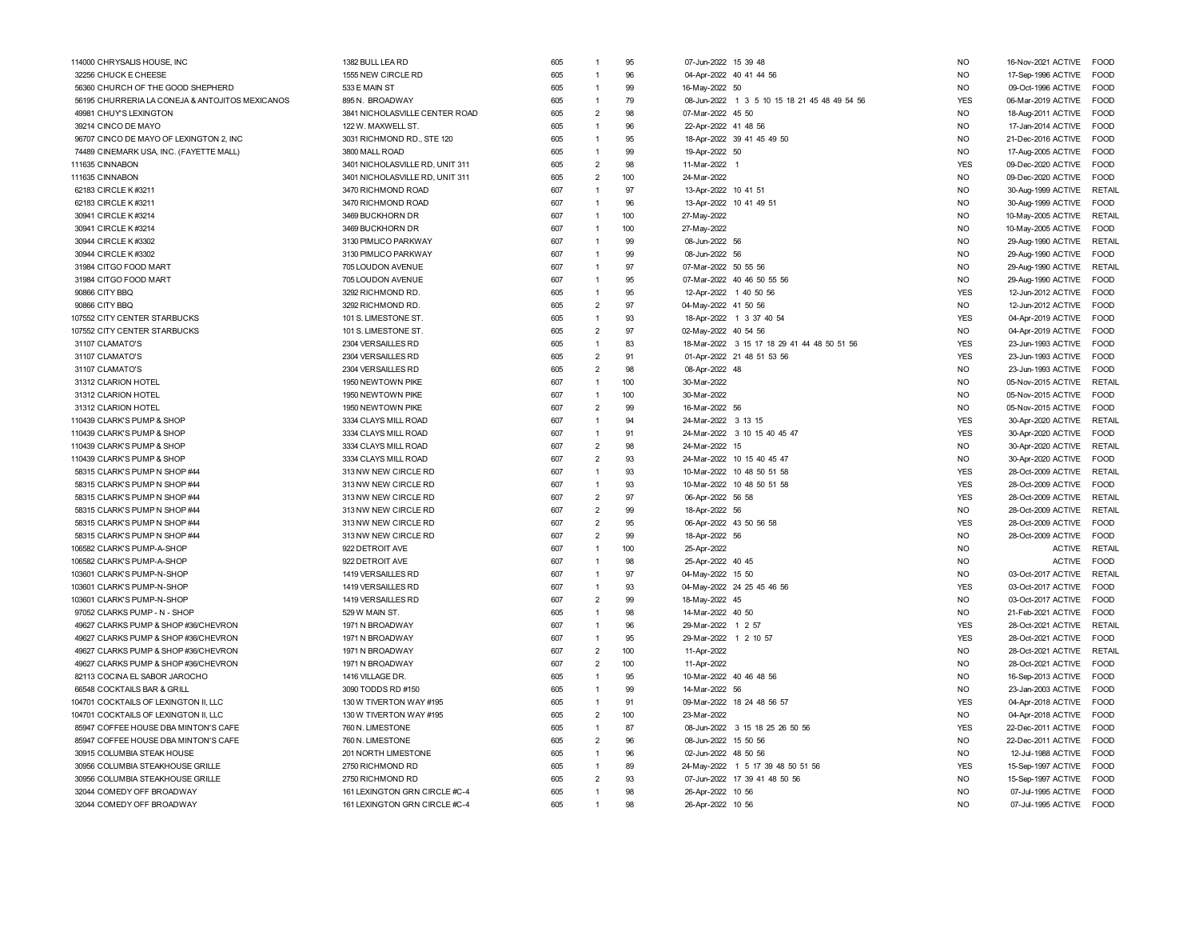| 114000 CHRYSALIS HOUSE, INC                              | 1382 BULL LEA RD                | 605 |                | 95        | 07-Jun-2022 15 39 48                         | <b>NO</b>  | 16-Nov-2021 ACTIVE | FOOD          |
|----------------------------------------------------------|---------------------------------|-----|----------------|-----------|----------------------------------------------|------------|--------------------|---------------|
| 32256 CHUCK E CHEESE                                     | 1555 NEW CIRCLE RD              | 605 | $\mathbf{1}$   | 96        | 04-Apr-2022 40 41 44 56                      | <b>NO</b>  | 17-Sep-1996 ACTIVE | <b>FOOD</b>   |
| 56360 CHURCH OF THE GOOD SHEPHERD                        | 533 E MAIN ST                   | 605 | 1              | 99        | 16-May-2022 50                               | <b>NO</b>  | 09-Oct-1996 ACTIVE | <b>FOOD</b>   |
| 56195 CHURRERIA LA CONEJA & ANTOJITOS MEXICANOS          | 895 N. BROADWAY                 | 605 | 1              | 79        | 08-Jun-2022 1 3 5 10 15 18 21 45 48 49 54 56 | <b>YES</b> | 06-Mar-2019 ACTIVE | <b>FOOD</b>   |
| 49981 CHUY'S LEXINGTON                                   | 3841 NICHOLASVILLE CENTER ROAD  | 605 | $\overline{2}$ | 98        | 07-Mar-2022 45 50                            | <b>NO</b>  | 18-Aug-2011 ACTIVE | <b>FOOD</b>   |
| 39214 CINCO DE MAYO                                      | 122 W. MAXWELL ST.              | 605 | 1              | 96        | 22-Apr-2022 41 48 56                         | <b>NO</b>  | 17-Jan-2014 ACTIVE | FOOD          |
| 96707 CINCO DE MAYO OF LEXINGTON 2, INC                  | 3031 RICHMOND RD., STE 120      | 605 | $\mathbf{1}$   | 95        | 18-Apr-2022 39 41 45 49 50                   | <b>NO</b>  | 21-Dec-2016 ACTIVE | FOOD          |
| 74489 CINEMARK USA, INC. (FAYETTE MALL)                  | 3800 MALL ROAD                  | 605 | 1              | 99        | 19-Apr-2022 50                               | <b>NO</b>  | 17-Aug-2005 ACTIVE | FOOD          |
| 111635 CINNABON                                          | 3401 NICHOLASVILLE RD, UNIT 311 | 605 | $\overline{2}$ | 98        | 11-Mar-2022 1                                | <b>YES</b> | 09-Dec-2020 ACTIVE | <b>FOOD</b>   |
| 111635 CINNABON                                          | 3401 NICHOLASVILLE RD, UNIT 311 | 605 | $\overline{2}$ | 100       | 24-Mar-2022                                  | <b>NO</b>  | 09-Dec-2020 ACTIVE | <b>FOOD</b>   |
| 62183 CIRCLE K #3211                                     | 3470 RICHMOND ROAD              | 607 | $\overline{1}$ | 97        | 13-Apr-2022 10 41 51                         | <b>NO</b>  | 30-Aug-1999 ACTIVE | <b>RETAIL</b> |
| 62183 CIRCLE K #3211                                     | 3470 RICHMOND ROAD              | 607 | 1              | 96        | 13-Apr-2022 10 41 49 51                      | <b>NO</b>  | 30-Aug-1999 ACTIVE | FOOD          |
| 30941 CIRCLE K #3214                                     | 3469 BUCKHORN DR                | 607 | $\mathbf{1}$   | 100       | 27-May-2022                                  | <b>NO</b>  | 10-May-2005 ACTIVE | <b>RETAIL</b> |
| 30941 CIRCLE K #3214                                     | 3469 BUCKHORN DR                | 607 | $\mathbf{1}$   | 100       | 27-May-2022                                  | <b>NO</b>  | 10-May-2005 ACTIVE | <b>FOOD</b>   |
| 30944 CIRCLE K #3302                                     | 3130 PIMLICO PARKWAY            | 607 | 1              | 99        | 08-Jun-2022 56                               | <b>NO</b>  | 29-Aug-1990 ACTIVE | <b>RETAIL</b> |
| 30944 CIRCLE K #3302                                     | 3130 PIMLICO PARKWAY            | 607 | 1              | 99        | 08-Jun-2022 56                               | <b>NO</b>  | 29-Aug-1990 ACTIVE | <b>FOOD</b>   |
| 31984 CITGO FOOD MART                                    | 705 LOUDON AVENUE               | 607 | 1              | 97        | 07-Mar-2022 50 55 56                         | <b>NO</b>  | 29-Aug-1990 ACTIVE | <b>RETAIL</b> |
| 31984 CITGO FOOD MART                                    | 705 LOUDON AVENUE               | 607 | 1              | 95        | 07-Mar-2022 40 46 50 55 56                   | <b>NO</b>  | 29-Aug-1990 ACTIVE | FOOD          |
| 90866 CITY BBQ                                           | 3292 RICHMOND RD                | 605 | $\overline{1}$ | 95        | 12-Apr-2022 1 40 50 56                       | <b>YES</b> | 12-Jun-2012 ACTIVE | FOOD          |
| 90866 CITY BBQ                                           | 3292 RICHMOND RD                | 605 | $\overline{2}$ | 97        | 04-May-2022 41 50 56                         | <b>NO</b>  | 12-Jun-2012 ACTIVE | <b>FOOD</b>   |
| 107552 CITY CENTER STARBUCKS                             | 101 S. LIMESTONE ST             | 605 | $\mathbf{1}$   | 93        | 18-Apr-2022 1 3 37 40 54                     | <b>YES</b> | 04-Apr-2019 ACTIVE | <b>FOOD</b>   |
| 107552 CITY CENTER STARBUCKS                             | 101 S. LIMESTONE ST             | 605 | $\overline{2}$ | 97        | 02-May-2022 40 54 56                         | <b>NO</b>  | 04-Apr-2019 ACTIVE | FOOD          |
| 31107 CLAMATO'S                                          | 2304 VERSAILLES RD              | 605 | 1              | 83        | 18-Mar-2022 3 15 17 18 29 41 44 48 50 51 56  | <b>YES</b> | 23-Jun-1993 ACTIVE | FOOD          |
| 31107 CLAMATO'S                                          | 2304 VERSAILLES RD              | 605 | $\overline{2}$ | 91        | 01-Apr-2022 21 48 51 53 56                   | <b>YES</b> | 23-Jun-1993 ACTIVE | FOOD          |
| 31107 CLAMATO'S                                          | 2304 VERSAILLES RD              | 605 | $\overline{2}$ | 98        | 08-Apr-2022 48                               | <b>NO</b>  | 23-Jun-1993 ACTIVE | <b>FOOD</b>   |
| 31312 CLARION HOTEL                                      | 1950 NEWTOWN PIKE               | 607 | 1              | 100       | 30-Mar-2022                                  | <b>NO</b>  | 05-Nov-2015 ACTIVE | <b>RETAIL</b> |
| 31312 CLARION HOTEL                                      | 1950 NEWTOWN PIKE               | 607 | 1              | 100       | 30-Mar-2022                                  | <b>NO</b>  | 05-Nov-2015 ACTIVE | <b>FOOD</b>   |
| 31312 CLARION HOTEL                                      | 1950 NEWTOWN PIKE               | 607 | $\overline{2}$ | 99        | 16-Mar-2022 56                               | <b>NO</b>  | 05-Nov-2015 ACTIVE | <b>FOOD</b>   |
| 110439 CLARK'S PUMP & SHOP                               | 3334 CLAYS MILL ROAD            | 607 | 1              | 94        | 24-Mar-2022 3 13 15                          | <b>YES</b> | 30-Apr-2020 ACTIVE | <b>RETAI</b>  |
|                                                          | 3334 CLAYS MILL ROAD            | 607 | $\overline{1}$ | 91        | 24-Mar-2022 3 10 15 40 45 47                 | <b>YES</b> |                    | FOOD          |
| 110439 CLARK'S PUMP & SHOP<br>110439 CLARK'S PUMP & SHOP | 3334 CLAYS MILL ROAD            | 607 | $\overline{2}$ | 98        | 24-Mar-2022 15                               | <b>NO</b>  | 30-Apr-2020 ACTIVE | <b>RETAIL</b> |
| 110439 CLARK'S PUMP & SHOP                               | 3334 CLAYS MILL ROAD            | 607 | $\overline{2}$ | 93        | 24-Mar-2022 10 15 40 45 47                   | <b>NO</b>  | 30-Apr-2020 ACTIVE | <b>FOOD</b>   |
| 58315 CLARK'S PUMP N SHOP #44                            | 313 NW NEW CIRCLE RD            | 607 | $\mathbf{1}$   | 93        | 10-Mar-2022 10 48 50 51 58                   | <b>YES</b> | 30-Apr-2020 ACTIVE | <b>RETAIL</b> |
|                                                          | 313 NW NEW CIRCLE RD            |     | 1              | 93        | 10-Mar-2022 10 48 50 51 58                   | <b>YES</b> | 28-Oct-2009 ACTIVE | <b>FOOD</b>   |
| 58315 CLARK'S PUMP N SHOP #44                            |                                 | 607 |                | 97        |                                              |            | 28-Oct-2009 ACTIVE |               |
| 58315 CLARK'S PUMP N SHOP #44                            | 313 NW NEW CIRCLE RD            | 607 | $\overline{2}$ |           | 06-Apr-2022 56 58                            | <b>YES</b> | 28-Oct-2009 ACTIVE | RETAIL        |
| 58315 CLARK'S PUMP N SHOP #44                            | 313 NW NEW CIRCLE RD            | 607 | $\overline{2}$ | 99        | 18-Apr-2022 56                               | <b>NO</b>  | 28-Oct-2009 ACTIVE | <b>RETAIL</b> |
| 58315 CLARK'S PUMP N SHOP #44                            | 313 NW NEW CIRCLE RD            | 607 | $\overline{2}$ | 95        | 06-Apr-2022 43 50 56 58                      | <b>YES</b> | 28-Oct-2009 ACTIVE | <b>FOOD</b>   |
| 58315 CLARK'S PUMP N SHOP #44                            | 313 NW NEW CIRCLE RD            | 607 | $\overline{2}$ | 99        | 18-Apr-2022 56                               | <b>NO</b>  | 28-Oct-2009 ACTIVE | <b>FOOD</b>   |
| 106582 CLARK'S PUMP-A-SHOP                               | 922 DETROIT AVE                 | 607 | $\overline{1}$ | 100       | 25-Apr-2022                                  | <b>NO</b>  | <b>ACTIVE</b>      | <b>RETAIL</b> |
| 106582 CLARK'S PUMP-A-SHOP                               | 922 DETROIT AVE                 | 607 | 1              | 98        | 25-Apr-2022 40 45                            | <b>NO</b>  | <b>ACTIVE</b>      | <b>FOOD</b>   |
| 103601 CLARK'S PUMP-N-SHOF                               | 1419 VERSAILLES RD              | 607 | 1              | 97        | 04-May-2022 15 50                            | <b>NO</b>  | 03-Oct-2017 ACTIVE | <b>RETAIL</b> |
| 103601 CLARK'S PUMP-N-SHOP                               | 1419 VERSAILLES RD              | 607 | 1              | 93        | 04-May-2022 24 25 45 46 56                   | <b>YES</b> | 03-Oct-2017 ACTIVE | FOOD          |
| 103601 CLARK'S PUMP-N-SHOP                               | 1419 VERSAILLES RD              | 607 | $\overline{2}$ | 99        | 18-May-2022 45                               | <b>NO</b>  | 03-Oct-2017 ACTIVE | <b>FOOD</b>   |
| 97052 CLARKS PUMP - N - SHOP                             | 529 W MAIN ST.                  | 605 | $\mathbf{1}$   | 98        | 14-Mar-2022 40 50                            | <b>NO</b>  | 21-Feb-2021 ACTIVE | <b>FOOD</b>   |
| 49627 CLARKS PUMP & SHOP #36/CHEVRON                     | 1971 N BROADWAY                 | 607 | 1              | 96        | 29-Mar-2022 1 2 57                           | <b>YES</b> | 28-Oct-2021 ACTIVE | <b>RETAIL</b> |
| 49627 CLARKS PUMP & SHOP #36/CHEVRON                     | 1971 N BROADWAY                 | 607 | $\overline{1}$ | 95        | 29-Mar-2022 1 2 10 57                        | <b>YES</b> | 28-Oct-2021 ACTIVE | <b>FOOD</b>   |
| 49627 CLARKS PUMP & SHOP #36/CHEVRON                     | 1971 N BROADWAY                 | 607 | $\overline{2}$ | 100       | 11-Apr-2022                                  | <b>NO</b>  | 28-Oct-2021 ACTIVE | <b>RETAIL</b> |
| 49627 CLARKS PUMP & SHOP #36/CHEVRON                     | 1971 N BROADWAY                 | 607 | $\overline{2}$ | 100       | 11-Apr-2022                                  | <b>NO</b>  | 28-Oct-2021 ACTIVE | FOOD          |
| 82113 COCINA EL SABOR JAROCHO                            | 1416 VILLAGE DR.                | 605 |                | 95        | 10-Mar-2022 40 46 48 56                      | <b>NO</b>  | 16-Sep-2013 ACTIVE | FOOD          |
| 66548 COCKTAILS BAR & GRILL                              | 3090 TODDS RD #150              | 605 | 1              | 99        | 14-Mar-2022 56                               | <b>NO</b>  | 23-Jan-2003 ACTIVE | <b>FOOD</b>   |
| 104701 COCKTAILS OF LEXINGTON II, LLC                    | 130 W TIVERTON WAY #195         | 605 | 1              | 91        | 09-Mar-2022 18 24 48 56 57                   | <b>YES</b> | 04-Apr-2018 ACTIVE | <b>FOOD</b>   |
| 104701 COCKTAILS OF LEXINGTON II, LLC                    | 130 W TIVERTON WAY #195         | 605 | $\overline{2}$ | 100       | 23-Mar-2022                                  | <b>NO</b>  | 04-Apr-2018 ACTIVE | FOOD          |
| 85947 COFFEE HOUSE DBA MINTON'S CAFE                     | 760 N. LIMESTONE                | 605 | $\overline{1}$ | 87        | 08-Jun-2022 3 15 18 25 26 50 56              | <b>YES</b> | 22-Dec-2011 ACTIVE | <b>FOOD</b>   |
| 85947 COFFEE HOUSE DBA MINTON'S CAFE                     | 760 N. LIMESTONE                | 605 | $\overline{2}$ | 96        | 08-Jun-2022 15 50 56                         | <b>NO</b>  | 22-Dec-2011 ACTIVE | <b>FOOD</b>   |
| 30915 COLUMBIA STEAK HOUSE                               | 201 NORTH LIMESTONE             | 605 | $\mathbf{1}$   | 96        | 02-Jun-2022 48 50 56                         | <b>NO</b>  | 12-Jul-1988 ACTIVE | <b>FOOD</b>   |
| 30956 COLUMBIA STEAKHOUSE GRILLE                         | 2750 RICHMOND RD                | 605 | 1              | 89        | 24-May-2022 1 5 17 39 48 50 51 56            | <b>YES</b> | 15-Sep-1997 ACTIVE | FOOD          |
| 30956 COLUMBIA STEAKHOUSE GRILLE                         | 2750 RICHMOND RD                | 605 | $\overline{2}$ | 93        | 07-Jun-2022 17 39 41 48 50 56                | <b>NO</b>  | 15-Sep-1997 ACTIVE | <b>FOOD</b>   |
| 32044 COMEDY OFF BROADWAY                                | 161 LEXINGTON GRN CIRCLE #C-4   | 605 | 1              | 98        | 26-Apr-2022 10 56                            | <b>NO</b>  | 07-Jul-1995 ACTIVE | FOOD          |
| 32044 COMEDY OFF BROADWAY                                | 161 LEXINGTON GRN CIRCLE #C-4   | 605 | $\mathbf{1}$   | <b>QR</b> | 26-Apr-2022 10 56                            | <b>NO</b>  | 07-Jul-1995 ACTIVE | FOOD          |
|                                                          |                                 |     |                |           |                                              |            |                    |               |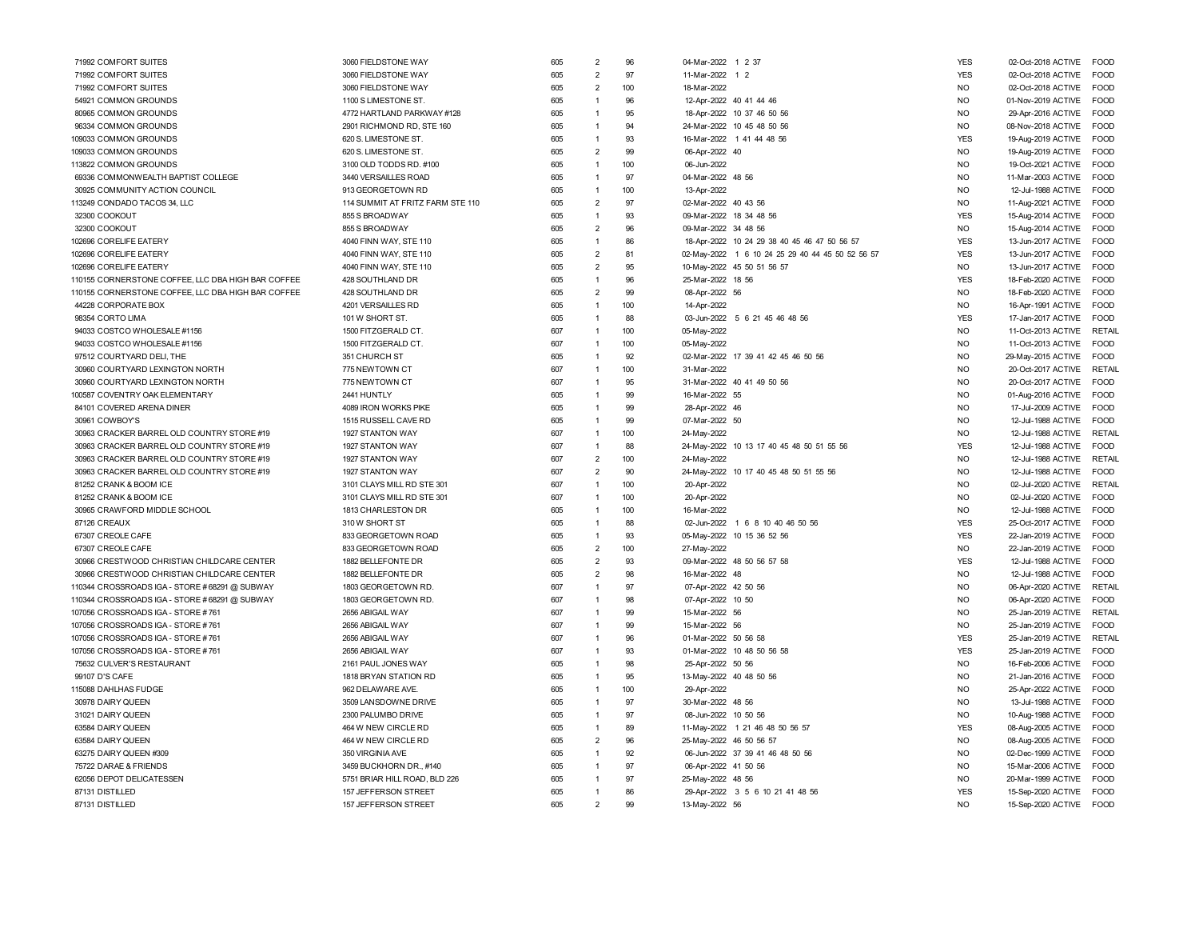| 71992 COMFORT SUITES                               | 3060 FIELDSTONE WAY              | 605 | $\overline{2}$ | 96  | 04-Mar-2022 1 2 37                               | <b>YES</b> | 02-Oct-2018 ACTIVE | <b>FOOD</b>   |
|----------------------------------------------------|----------------------------------|-----|----------------|-----|--------------------------------------------------|------------|--------------------|---------------|
| 71992 COMFORT SUITES                               | 3060 FIELDSTONE WAY              | 605 | $\overline{2}$ | 97  | 11-Mar-2022<br>1 <sub>2</sub>                    | <b>YES</b> | 02-Oct-2018 ACTIVE | <b>FOOD</b>   |
| 71992 COMFORT SUITES                               | 3060 FIELDSTONE WAY              | 605 | $\overline{2}$ | 100 | 18-Mar-2022                                      | <b>NO</b>  | 02-Oct-2018 ACTIVE | <b>FOOD</b>   |
| 54921 COMMON GROUNDS                               | 1100 S LIMESTONE ST.             | 605 | 1              | 96  | 12-Apr-2022 40 41 44 46                          | <b>NO</b>  | 01-Nov-2019 ACTIVE | <b>FOOD</b>   |
| 80965 COMMON GROUNDS                               | 4772 HARTLAND PARKWAY #128       | 605 | $\mathbf{1}$   | 95  | 18-Apr-2022 10 37 46 50 56                       | <b>NO</b>  | 29-Apr-2016 ACTIVE | FOOD          |
| 96334 COMMON GROUNDS                               | 2901 RICHMOND RD, STE 160        | 605 | $\mathbf{1}$   | 94  | 24-Mar-2022 10 45 48 50 56                       | <b>NO</b>  | 08-Nov-2018 ACTIVE | <b>FOOD</b>   |
| 109033 COMMON GROUNDS                              | 620 S. LIMESTONE ST.             | 605 | $\mathbf{1}$   | 93  | 16-Mar-2022 1 41 44 48 56                        | <b>YES</b> | 19-Aug-2019 ACTIVE | FOOD          |
| 109033 COMMON GROUNDS                              | 620 S. LIMESTONE ST.             | 605 | $\overline{2}$ | 99  | 06-Apr-2022 40                                   | <b>NO</b>  | 19-Aug-2019 ACTIVE | <b>FOOD</b>   |
| 113822 COMMON GROUNDS                              | 3100 OLD TODDS RD. #100          | 605 | $\mathbf{1}$   | 100 | 06-Jun-2022                                      | <b>NO</b>  | 19-Oct-2021 ACTIVE | <b>FOOD</b>   |
| 69336 COMMONWEALTH BAPTIST COLLEGE                 | 3440 VERSAILLES ROAD             | 605 | 1              | 97  | 04-Mar-2022 48 56                                | <b>NO</b>  | 11-Mar-2003 ACTIVE | <b>FOOD</b>   |
| 30925 COMMUNITY ACTION COUNCIL                     | 913 GEORGETOWN RD                | 605 | 1              | 100 | 13-Apr-2022                                      | <b>NO</b>  | 12-Jul-1988 ACTIVE | <b>FOOD</b>   |
| 113249 CONDADO TACOS 34, LLC                       | 114 SUMMIT AT FRITZ FARM STE 110 | 605 | $\overline{2}$ | 97  | 02-Mar-2022 40 43 56                             | NO.        | 11-Aug-2021 ACTIVE | FOOD          |
| 32300 COOKOUT                                      | 855 S BROADWAY                   | 605 | 1              | 93  | 09-Mar-2022 18 34 48 56                          | <b>YES</b> | 15-Aug-2014 ACTIVE | <b>FOOD</b>   |
| 32300 COOKOUT                                      | 855 S BROADWAY                   | 605 | $\overline{2}$ | 96  | 09-Mar-2022 34 48 56                             | <b>NO</b>  | 15-Aug-2014 ACTIVE | <b>FOOD</b>   |
| 102696 CORELIFE EATERY                             | 4040 FINN WAY, STE 110           | 605 | $\mathbf{1}$   | 86  | 18-Apr-2022 10 24 29 38 40 45 46 47 50 56 57     | <b>YES</b> | 13-Jun-2017 ACTIVE | <b>FOOD</b>   |
| 102696 CORELIFE EATERY                             | 4040 FINN WAY, STE 110           | 605 | $\overline{2}$ | 81  | 02-May-2022 1 6 10 24 25 29 40 44 45 50 52 56 57 | <b>YES</b> | 13-Jun-2017 ACTIVE | <b>FOOD</b>   |
| 102696 CORELIFE EATERY                             | 4040 FINN WAY, STE 110           | 605 | $\overline{2}$ | 95  | 10-May-2022 45 50 51 56 57                       | <b>NO</b>  | 13-Jun-2017 ACTIVE | <b>FOOD</b>   |
| 110155 CORNERSTONE COFFEE. LLC DBA HIGH BAR COFFEE | 428 SOUTHLAND DR                 | 605 | 1              | 96  | 25-Mar-2022 18 56                                | <b>YES</b> | 18-Feb-2020 ACTIVE | <b>FOOD</b>   |
| 110155 CORNERSTONE COFFEE. LLC DBA HIGH BAR COFFEE | 428 SOUTHLAND DR                 | 605 | $\overline{2}$ | 99  | 08-Apr-2022 56                                   | <b>NO</b>  | 18-Feb-2020 ACTIVE | <b>FOOD</b>   |
| 44228 CORPORATE BOX                                | 4201 VERSAILLES RD               | 605 | $\mathbf{1}$   | 100 | 14-Apr-2022                                      | <b>NO</b>  | 16-Apr-1991 ACTIVE | FOOD          |
| 98354 CORTO LIMA                                   | 101 W SHORT ST.                  | 605 | $\mathbf{1}$   | 88  | 03-Jun-2022 5 6 21 45 46 48 56                   | <b>YES</b> | 17-Jan-2017 ACTIVE | FOOD          |
| 94033 COSTCO WHOLESALE #1156                       | 1500 FITZGERALD CT.              | 607 | 1              | 100 | 05-May-2022                                      | <b>NO</b>  | 11-Oct-2013 ACTIVE | RETAIL        |
| 94033 COSTCO WHOLESALE #1156                       | 1500 FITZGERALD CT.              | 607 | $\mathbf{1}$   | 100 | 05-May-2022                                      | <b>NO</b>  | 11-Oct-2013 ACTIVE | <b>FOOD</b>   |
| 97512 COURTYARD DELI, THE                          | 351 CHURCH ST                    | 605 | 1              | 92  | 02-Mar-2022 17 39 41 42 45 46 50 56              | <b>NO</b>  | 29-May-2015 ACTIVE | <b>FOOD</b>   |
| 30960 COURTYARD LEXINGTON NORTH                    | 775 NEWTOWN CT                   | 607 | 1              | 100 | 31-Mar-2022                                      | <b>NO</b>  | 20-Oct-2017 ACTIVE | <b>RETAIL</b> |
| 30960 COURTYARD LEXINGTON NORTH                    | 775 NEWTOWN CT                   | 607 | 1              | 95  | 31-Mar-2022 40 41 49 50 56                       | <b>NO</b>  | 20-Oct-2017 ACTIVE | <b>FOOD</b>   |
| 100587 COVENTRY OAK ELEMENTARY                     | 2441 HUNTLY                      | 605 | 1              | 99  | 16-Mar-2022 55                                   | <b>NO</b>  | 01-Aug-2016 ACTIVE | <b>FOOD</b>   |
| 84101 COVERED ARENA DINER                          | 4089 IRON WORKS PIKE             | 605 | 1              | 99  | 28-Apr-2022 46                                   | <b>NO</b>  | 17-Jul-2009 ACTIVE | <b>FOOD</b>   |
| 30961 COWBOY'S                                     | 1515 RUSSELL CAVE RD             | 605 | $\overline{1}$ | 99  | 07-Mar-2022 50                                   | <b>NO</b>  | 12-Jul-1988 ACTIVE | <b>FOOD</b>   |
| 30963 CRACKER BARREL OLD COUNTRY STORE #19         | 1927 STANTON WAY                 | 607 | $\mathbf{1}$   | 100 | 24-May-2022                                      | <b>NO</b>  | 12-Jul-1988 ACTIVE | <b>RETAIL</b> |
| 30963 CRACKER BARREL OLD COUNTRY STORE #19         | 1927 STANTON WAY                 | 607 | $\overline{1}$ | 88  | 24-May-2022 10 13 17 40 45 48 50 51 55 56        | <b>YES</b> | 12-Jul-1988 ACTIVE | <b>FOOD</b>   |
| 30963 CRACKER BARREL OLD COUNTRY STORE #19         | 1927 STANTON WAY                 | 607 | $\overline{2}$ | 100 | 24-May-2022                                      | <b>NO</b>  | 12-Jul-1988 ACTIVE | <b>RETAIL</b> |
| 30963 CRACKER BARREL OLD COUNTRY STORE #19         | 1927 STANTON WAY                 | 607 | $\overline{2}$ | 90  | 24-May-2022 10 17 40 45 48 50 51 55 56           | <b>NO</b>  | 12-Jul-1988 ACTIVE | <b>FOOD</b>   |
| 81252 CRANK & BOOM ICE                             | 3101 CLAYS MILL RD STE 301       | 607 | $\mathbf{1}$   | 100 | 20-Apr-2022                                      | <b>NO</b>  | 02-Jul-2020 ACTIVE | <b>RETAIL</b> |
| 81252 CRANK & BOOM ICE                             | 3101 CLAYS MILL RD STE 301       | 607 | $\mathbf{1}$   | 100 | 20-Apr-2022                                      | <b>NO</b>  | 02-Jul-2020 ACTIVE | FOOD          |
| 30965 CRAWFORD MIDDLE SCHOOL                       | 1813 CHARLESTON DR               | 605 | $\mathbf{1}$   | 100 | 16-Mar-2022                                      | NO.        | 12-Jul-1988 ACTIVE | FOOD          |
| 87126 CREAUX                                       | 310 W SHORT ST                   | 605 | 1              | 88  | 02-Jun-2022 1 6 8 10 40 46 50 56                 | <b>YES</b> | 25-Oct-2017 ACTIVE | <b>FOOD</b>   |
| 67307 CREOLE CAFE                                  | 833 GEORGETOWN ROAD              | 605 | 1              | 93  | 05-May-2022 10 15 36 52 56                       | <b>YES</b> | 22-Jan-2019 ACTIVE | <b>FOOD</b>   |
| 67307 CREOLE CAFE                                  | 833 GEORGETOWN ROAD              | 605 | $\overline{2}$ | 100 | 27-May-2022                                      | <b>NO</b>  | 22-Jan-2019 ACTIVE | <b>FOOD</b>   |
| 30966 CRESTWOOD CHRISTIAN CHILDCARE CENTER         | 1882 BELLEFONTE DR               | 605 | $\overline{2}$ | 93  | 09-Mar-2022 48 50 56 57 58                       | <b>YES</b> | 12-Jul-1988 ACTIVE | <b>FOOD</b>   |
| 30966 CRESTWOOD CHRISTIAN CHILDCARE CENTER         | 1882 BELLEFONTE DR               | 605 | $\overline{2}$ | 98  | 16-Mar-2022 48                                   | <b>NO</b>  | 12-Jul-1988 ACTIVE | <b>FOOD</b>   |
| 110344 CROSSROADS IGA - STORE #68291 @ SUBWAY      | 1803 GEORGETOWN RD               | 607 | $\mathbf{1}$   | 97  | 07-Apr-2022 42 50 56                             | <b>NO</b>  | 06-Apr-2020 ACTIVE | <b>RETAIL</b> |
| 110344 CROSSROADS IGA - STORE #68291 @ SUBWAY      | 1803 GEORGETOWN RD.              | 607 | $\overline{1}$ | 98  | 07-Apr-2022 10 50                                | <b>NO</b>  | 06-Apr-2020 ACTIVE | <b>FOOD</b>   |
| 107056 CROSSROADS IGA - STORE #761                 | 2656 ABIGAIL WAY                 | 607 | $\mathbf{1}$   | 99  | 15-Mar-2022 56                                   | <b>NO</b>  | 25-Jan-2019 ACTIVE | <b>RETAIL</b> |
| 107056 CROSSROADS IGA - STORE #761                 | 2656 ABIGAIL WAY                 | 607 | $\mathbf{1}$   | 99  | 15-Mar-2022 56                                   | <b>NO</b>  | 25-Jan-2019 ACTIVE | <b>FOOD</b>   |
| 107056 CROSSROADS IGA - STORE #761                 | 2656 ABIGAIL WAY                 | 607 | 1              | 96  | 01-Mar-2022 50 56 58                             | <b>YES</b> | 25-Jan-2019 ACTIVE | <b>RETAIL</b> |
| 107056 CROSSROADS IGA - STORE #761                 | 2656 ABIGAIL WAY                 | 607 | 1              | 93  | 01-Mar-2022 10 48 50 56 58                       | <b>YES</b> | 25-Jan-2019 ACTIVE | <b>FOOD</b>   |
| 75632 CULVER'S RESTAURANT                          | 2161 PAUL JONES WAY              | 605 | 1              | 98  | 25-Apr-2022 50 56                                | <b>NO</b>  | 16-Feb-2006 ACTIVE | <b>FOOD</b>   |
| 99107 D'S CAFE                                     | 1818 BRYAN STATION RD            | 605 | 1              | 95  | 13-May-2022 40 48 50 56                          | NO.        | 21-Jan-2016 ACTIVE | FOOD          |
| 115088 DAHLHAS FUDGE                               | 962 DELAWARE AVE.                | 605 | 1              | 100 | 29-Apr-2022                                      | <b>NO</b>  | 25-Apr-2022 ACTIVE | <b>FOOD</b>   |
| 30978 DAIRY QUEEN                                  | 3509 LANSDOWNE DRIVE             | 605 | 1              | 97  | 30-Mar-2022 48 56                                | <b>NO</b>  | 13-Jul-1988 ACTIVE | <b>FOOD</b>   |
| 31021 DAIRY QUEEN                                  | 2300 PALUMBO DRIVE               | 605 | 1              | 97  | 08-Jun-2022 10 50 56                             | <b>NO</b>  | 10-Aug-1988 ACTIVE | <b>FOOD</b>   |
| 63584 DAIRY QUEEN                                  | 464 W NEW CIRCLE RD              | 605 | $\overline{1}$ | 89  | 11-May-2022 1 21 46 48 50 56 57                  | <b>YES</b> | 08-Aug-2005 ACTIVE | FOOD          |
| 63584 DAIRY QUEEN                                  | 464 W NEW CIRCLE RD              | 605 | $\overline{2}$ | 96  | 25-May-2022 46 50 56 57                          | <b>NO</b>  | 08-Aug-2005 ACTIVE | <b>FOOD</b>   |
| 63275 DAIRY QUEEN #309                             | 350 VIRGINIA AVE                 | 605 | $\mathbf{1}$   | 92  | 06-Jun-2022 37 39 41 46 48 50 56                 | <b>NO</b>  | 02-Dec-1999 ACTIVE | <b>FOOD</b>   |
| 75722 DARAE & FRIENDS                              | 3459 BUCKHORN DR., #140          | 605 | $\overline{1}$ | 97  | 06-Apr-2022 41 50 56                             | <b>NO</b>  | 15-Mar-2006 ACTIVE | <b>FOOD</b>   |
| 62056 DEPOT DELICATESSEN                           | 5751 BRIAR HILL ROAD, BLD 226    | 605 | $\mathbf{1}$   | 97  | 25-May-2022 48 56                                | <b>NO</b>  | 20-Mar-1999 ACTIVE | <b>FOOD</b>   |
| 87131 DISTILLED                                    | 157 JEFFERSON STREET             | 605 | 1              | 86  | 29-Apr-2022 3 5 6 10 21 41 48 56                 | <b>YES</b> | 15-Sep-2020 ACTIVE | <b>FOOD</b>   |
| 87131 DISTILLED                                    | 157 JEFFERSON STREET             | 605 | $\mathcal{P}$  | 99  | 13-May-2022 56                                   | <b>NO</b>  | 15-Sep-2020 ACTIVE | <b>FOOD</b>   |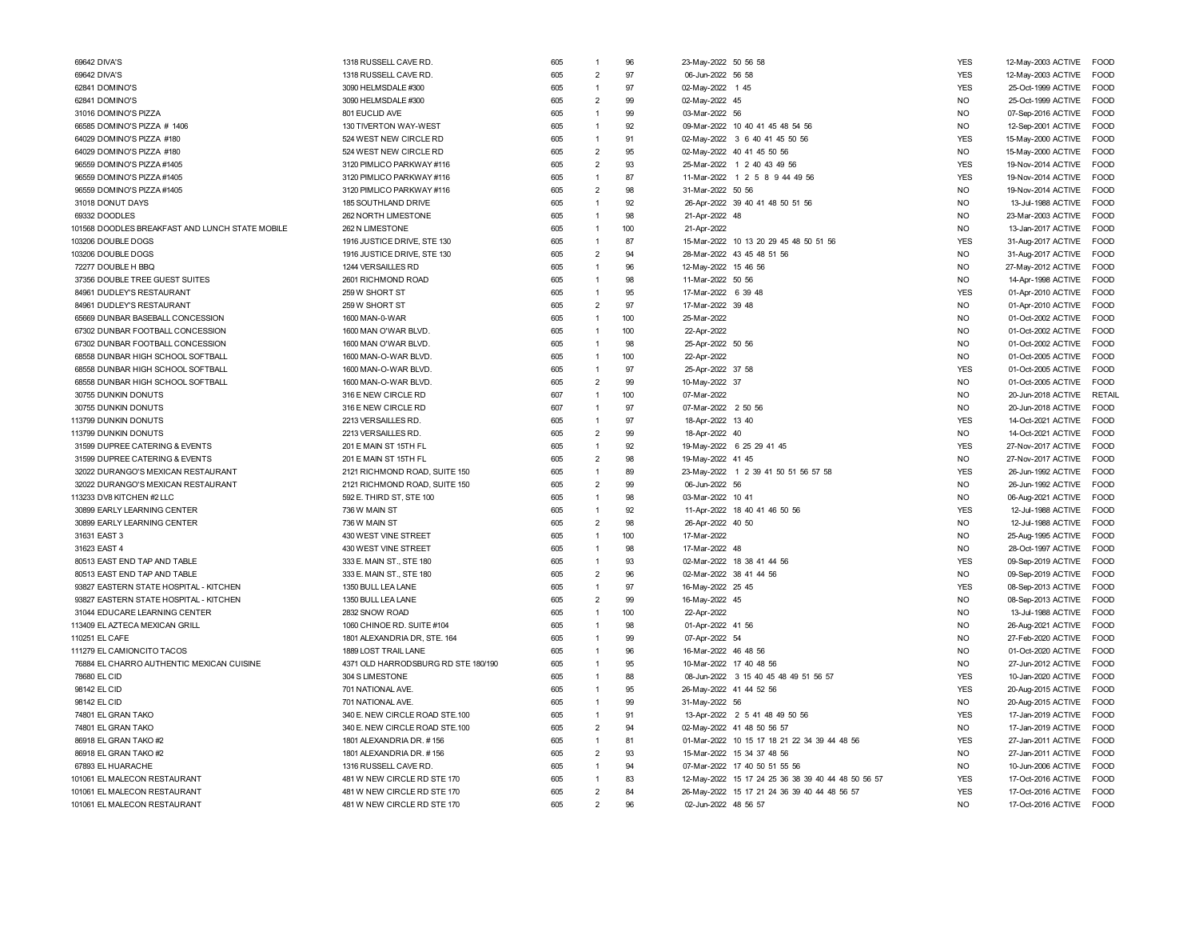| 69642 DIVA'S                                    | 1318 RUSSELL CAVE RD.               | 605 | $\overline{1}$                   | 96  | 23-May-2022 50 56 58                               | <b>YES</b>     | 12-May-2003 ACTIVE | <b>FOOD</b>   |
|-------------------------------------------------|-------------------------------------|-----|----------------------------------|-----|----------------------------------------------------|----------------|--------------------|---------------|
| 69642 DIVA'S                                    | 1318 RUSSELL CAVE RD.               | 605 | $\overline{2}$                   | 97  | 06-Jun-2022 56 58                                  | <b>YES</b>     | 12-May-2003 ACTIVE | <b>FOOD</b>   |
| 62841 DOMINO'S                                  | 3090 HELMSDALE #300                 | 605 | $\overline{1}$                   | 97  | 02-May-2022 1 45                                   | <b>YES</b>     | 25-Oct-1999 ACTIVE | <b>FOOD</b>   |
| 62841 DOMINO'S                                  | 3090 HELMSDALE #300                 | 605 | $\overline{2}$                   | 99  | 02-May-2022 45                                     | <b>NO</b>      | 25-Oct-1999 ACTIVE | <b>FOOD</b>   |
| 31016 DOMINO'S PIZZA                            | 801 EUCLID AVE                      | 605 | $\overline{1}$                   | 99  | 03-Mar-2022 56                                     | N <sub>O</sub> | 07-Sep-2016 ACTIVE | FOOD          |
| 66585 DOMINO'S PIZZA # 1406                     | 130 TIVERTON WAY-WEST               | 605 | $\overline{1}$                   | 92  | 09-Mar-2022 10 40 41 45 48 54 56                   | <b>NO</b>      | 12-Sep-2001 ACTIVE | <b>FOOD</b>   |
| 64029 DOMINO'S PIZZA #180                       | 524 WEST NEW CIRCLE RD              | 605 | $\overline{1}$                   | 91  | 02-May-2022 3 6 40 41 45 50 56                     | <b>YES</b>     | 15-May-2000 ACTIVE | FOOD          |
| 64029 DOMINO'S PIZZA #180                       | 524 WEST NEW CIRCLE RD              | 605 | $\overline{2}$                   | 95  | 02-May-2022 40 41 45 50 56                         | <b>NO</b>      | 15-May-2000 ACTIVE | <b>FOOD</b>   |
| 96559 DOMINO'S PIZZA #1405                      | 3120 PIMLICO PARKWAY #116           | 605 | $\overline{2}$                   | 93  | 25-Mar-2022 1 2 40 43 49 56                        | <b>YES</b>     | 19-Nov-2014 ACTIVE | FOOD          |
| 96559 DOMINO'S PIZZA #1405                      | 3120 PIMLICO PARKWAY #116           | 605 | $\overline{1}$                   | 87  | 11-Mar-2022 1 2 5 8 9 44 49 56                     | <b>YES</b>     | 19-Nov-2014 ACTIVE | <b>FOOD</b>   |
| 96559 DOMINO'S PIZZA #1405                      | 3120 PIMLICO PARKWAY #116           | 605 | $\overline{2}$                   | 98  | 31-Mar-2022 50 56                                  | <b>NO</b>      | 19-Nov-2014 ACTIVE | <b>FOOD</b>   |
|                                                 |                                     | 605 | $\overline{1}$                   | 92  | 26-Apr-2022 39 40 41 48 50 51 56                   | <b>NO</b>      |                    | FOOD          |
| 31018 DONUT DAYS                                | 185 SOUTHLAND DRIVE                 |     |                                  |     |                                                    |                | 13-Jul-1988 ACTIVE |               |
| 69332 DOODLES                                   | 262 NORTH LIMESTONE                 | 605 | $\overline{1}$<br>$\overline{1}$ | 98  | 21-Apr-2022 48                                     | N <sub>O</sub> | 23-Mar-2003 ACTIVE | <b>FOOD</b>   |
| 101568 DOODLES BREAKFAST AND LUNCH STATE MOBILE | 262 N LIMESTONE                     | 605 |                                  | 100 | 21-Apr-2022                                        | <b>NO</b>      | 13-Jan-2017 ACTIVE | <b>FOOD</b>   |
| 103206 DOUBLE DOGS                              | 1916 JUSTICE DRIVE, STE 130         | 605 | $\overline{1}$                   | 87  | 15-Mar-2022 10 13 20 29 45 48 50 51 56             | <b>YES</b>     | 31-Aug-2017 ACTIVE | FOOD          |
| 103206 DOUBLE DOGS                              | 1916 JUSTICE DRIVE, STE 130         | 605 | $\overline{2}$                   | 94  | 28-Mar-2022 43 45 48 51 56                         | <b>NO</b>      | 31-Aug-2017 ACTIVE | <b>FOOD</b>   |
| 72277 DOUBLE H BBQ                              | 1244 VERSAILLES RD                  | 605 | $\overline{1}$                   | 96  | 12-May-2022 15 46 56                               | N <sub>O</sub> | 27-May-2012 ACTIVE | <b>FOOD</b>   |
| 37356 DOUBLE TREE GUEST SUITES                  | 2601 RICHMOND ROAD                  | 605 | $\overline{1}$                   | 98  | 11-Mar-2022 50 56                                  | N <sub>O</sub> | 14-Apr-1998 ACTIVE | <b>FOOD</b>   |
| 84961 DUDLEY'S RESTAURANT                       | 259 W SHORT ST                      | 605 | $\overline{1}$                   | 95  | 17-Mar-2022 6 39 48                                | <b>YES</b>     | 01-Apr-2010 ACTIVE | <b>FOOD</b>   |
| 84961 DUDLEY'S RESTAURANT                       | 259 W SHORT ST                      | 605 | $\overline{2}$                   | 97  | 17-Mar-2022 39 48                                  | <b>NO</b>      | 01-Apr-2010 ACTIVE | FOOD          |
| 65669 DUNBAR BASEBALL CONCESSION                | 1600 MAN-0-WAR                      | 605 | $\overline{1}$                   | 100 | 25-Mar-2022                                        | <b>NO</b>      | 01-Oct-2002 ACTIVE | FOOD          |
| 67302 DUNBAR FOOTBALL CONCESSION                | 1600 MAN O'WAR BLVD.                | 605 | $\overline{1}$                   | 100 | 22-Apr-2022                                        | <b>NO</b>      | 01-Oct-2002 ACTIVE | FOOD          |
| 67302 DUNBAR FOOTBALL CONCESSION                | 1600 MAN O'WAR BLVD.                | 605 | $\overline{1}$                   | 98  | 25-Apr-2022 50 56                                  | <b>NO</b>      | 01-Oct-2002 ACTIVE | <b>FOOD</b>   |
| 68558 DUNBAR HIGH SCHOOL SOFTBALL               | 1600 MAN-O-WAR BLVD.                | 605 | $\overline{1}$                   | 100 | 22-Apr-2022                                        | N <sub>O</sub> | 01-Oct-2005 ACTIVE | <b>FOOD</b>   |
| 68558 DUNBAR HIGH SCHOOL SOFTBALL               | 1600 MAN-O-WAR BLVD.                | 605 | $\overline{1}$                   | 97  | 25-Apr-2022 37 58                                  | <b>YES</b>     | 01-Oct-2005 ACTIVE | <b>FOOD</b>   |
| 68558 DUNBAR HIGH SCHOOL SOFTBALL               | 1600 MAN-O-WAR BLVD.                | 605 | $\overline{2}$                   | 99  | 10-May-2022 37                                     | <b>NO</b>      | 01-Oct-2005 ACTIVE | <b>FOOD</b>   |
| 30755 DUNKIN DONUTS                             | 316 E NEW CIRCLE RD                 | 607 | $\overline{1}$                   | 100 | 07-Mar-2022                                        | <b>NO</b>      | 20-Jun-2018 ACTIVE | <b>RETAIL</b> |
| 30755 DUNKIN DONUTS                             | 316 E NEW CIRCLE RD                 | 607 | $\overline{1}$                   | 97  | 07-Mar-2022 2 50 56                                | <b>NO</b>      | 20-Jun-2018 ACTIVE | <b>FOOD</b>   |
| 113799 DUNKIN DONUTS                            | 2213 VERSAILLES RD                  | 605 | $\overline{1}$                   | 97  | 18-Apr-2022 13 40                                  | <b>YES</b>     | 14-Oct-2021 ACTIVE | FOOD          |
| 113799 DUNKIN DONUTS                            | 2213 VERSAILLES RD.                 | 605 | $\overline{2}$                   | 99  | 18-Apr-2022 40                                     | <b>NO</b>      | 14-Oct-2021 ACTIVE | <b>FOOD</b>   |
| 31599 DUPREE CATERING & EVENTS                  | 201 E MAIN ST 15TH FL               | 605 | $\overline{1}$                   | 92  | 19-May-2022 6 25 29 41 45                          | <b>YES</b>     | 27-Nov-2017 ACTIVE | <b>EOOD</b>   |
| 31599 DUPREE CATERING & EVENTS                  | 201 E MAIN ST 15TH FL               | 605 | $\overline{2}$                   | 98  | 19-May-2022 41 45                                  | <b>NO</b>      | 27-Nov-2017 ACTIVE | FOOD          |
| 32022 DURANGO'S MEXICAN RESTAURANT              | 2121 RICHMOND ROAD, SUITE 150       | 605 | $\overline{1}$                   | 89  | 23-May-2022 1 2 39 41 50 51 56 57 58               | <b>YES</b>     | 26-Jun-1992 ACTIVE | FOOD          |
| 32022 DURANGO'S MEXICAN RESTAURANT              | 2121 RICHMOND ROAD, SUITE 150       | 605 | $\overline{2}$                   | 99  | 06-Jun-2022 56                                     | <b>NO</b>      | 26-Jun-1992 ACTIVE | FOOD          |
| 113233 DV8 KITCHEN #2 LLC                       | 592 E. THIRD ST, STE 100            | 605 | $\overline{1}$                   | 98  | 03-Mar-2022 10 41                                  | <b>NO</b>      | 06-Aug-2021 ACTIVE | <b>FOOD</b>   |
| 30899 EARLY LEARNING CENTER                     | 736 W MAIN ST                       | 605 | $\overline{1}$                   | 92  | 11-Apr-2022 18 40 41 46 50 56                      | <b>YES</b>     | 12-Jul-1988 ACTIVE | <b>FOOD</b>   |
| 30899 EARLY LEARNING CENTER                     | 736 W MAIN ST                       | 605 | $\overline{2}$                   | 98  | 26-Apr-2022 40 50                                  | <b>NO</b>      | 12-Jul-1988 ACTIVE | <b>FOOD</b>   |
| 31631 EAST 3                                    | 430 WEST VINE STREET                | 605 | $\overline{1}$                   | 100 | 17-Mar-2022                                        | <b>NO</b>      | 25-Aug-1995 ACTIVE | <b>FOOD</b>   |
| 31623 EAST 4                                    | 430 WEST VINE STREET                | 605 | $\overline{1}$                   | 98  | 17-Mar-2022 48                                     | <b>NO</b>      | 28-Oct-1997 ACTIVE | <b>FOOD</b>   |
| 80513 EAST END TAP AND TABLE                    | 333 E. MAIN ST., STE 180            | 605 | $\overline{1}$                   | 93  | 02-Mar-2022 18 38 41 44 56                         | <b>YES</b>     | 09-Sep-2019 ACTIVE | FOOD          |
| 80513 EAST END TAP AND TABLE                    | 333 E. MAIN ST., STE 180            | 605 | $\overline{2}$                   | 96  | 02-Mar-2022 38 41 44 56                            | <b>NO</b>      | 09-Sep-2019 ACTIVE | <b>FOOD</b>   |
| 93827 EASTERN STATE HOSPITAL - KITCHEN          | 1350 BULL LEA LANE                  | 605 | $\overline{1}$                   | 97  | 16-May-2022 25 45                                  | <b>YES</b>     | 08-Sep-2013 ACTIVE | <b>FOOD</b>   |
| 93827 EASTERN STATE HOSPITAL - KITCHEN          | 1350 BULL LEA LANE                  | 605 | $\overline{2}$                   | 99  | 16-May-2022 45                                     | <b>NO</b>      | 08-Sep-2013 ACTIVE | FOOD          |
| 31044 EDUCARE LEARNING CENTER                   | 2832 SNOW ROAD                      | 605 | $\overline{1}$                   | 100 | 22-Apr-2022                                        | <b>NO</b>      | 13-Jul-1988 ACTIVE | FOOD          |
| 113409 EL AZTECA MEXICAN GRILL                  | 1060 CHINOE RD. SUITE #104          | 605 | $\overline{1}$                   | 98  | 01-Apr-2022 41 56                                  | <b>NO</b>      | 26-Aug-2021 ACTIVE | FOOD          |
| 110251 EL CAFE                                  | 1801 ALEXANDRIA DR, STE. 164        | 605 | $\overline{1}$                   | 99  | 07-Apr-2022 54                                     | <b>NO</b>      | 27-Feb-2020 ACTIVE | FOOD          |
| 111279 EL CAMIONCITO TACOS                      | 1889 LOST TRAIL LANE                | 605 | $\overline{1}$                   | 96  | 16-Mar-2022 46 48 56                               | N <sub>O</sub> | 01-Oct-2020 ACTIVE | <b>FOOD</b>   |
| 76884 EL CHARRO AUTHENTIC MEXICAN CUISINE       | 4371 OLD HARRODSBURG RD STE 180/190 | 605 | $\overline{1}$                   | 95  | 10-Mar-2022 17 40 48 56                            | <b>NO</b>      | 27-Jun-2012 ACTIVE | <b>FOOD</b>   |
| 78680 EL CID                                    | 304 S LIMESTONE                     | 605 | $\overline{1}$                   | 88  | 08-Jun-2022 3 15 40 45 48 49 51 56 57              | <b>YES</b>     | 10-Jan-2020 ACTIVE | <b>FOOD</b>   |
|                                                 | 701 NATIONAL AVE.                   | 605 | $\overline{1}$                   | 95  |                                                    | <b>YES</b>     |                    | FOOD          |
| 98142 EL CID                                    |                                     | 605 | $\overline{1}$                   | 99  | 26-May-2022 41 44 52 56<br>31-May-2022 56          | <b>NO</b>      | 20-Aug-2015 ACTIVE | <b>FOOD</b>   |
| 98142 EL CID                                    | 701 NATIONAL AVE.                   |     |                                  |     |                                                    |                | 20-Aug-2015 ACTIVE |               |
| 74801 EL GRAN TAKO                              | 340 E. NEW CIRCLE ROAD STE.100      | 605 | $\overline{1}$                   | 91  | 13-Apr-2022 2 5 41 48 49 50 56                     | <b>YES</b>     | 17-Jan-2019 ACTIVE | <b>FOOD</b>   |
| 74801 EL GRAN TAKO                              | 340 E. NEW CIRCLE ROAD STE.100      | 605 | $\overline{2}$                   | 94  | 02-May-2022 41 48 50 56 57                         | <b>NO</b>      | 17-Jan-2019 ACTIVE | <b>EOOD</b>   |
| 86918 EL GRAN TAKO #2                           | 1801 ALEXANDRIA DR. #156            | 605 | $\overline{1}$                   | 81  | 01-Mar-2022 10 15 17 18 21 22 34 39 44 48 56       | <b>YES</b>     | 27-Jan-2011 ACTIVE | <b>FOOD</b>   |
| 86918 EL GRAN TAKO #2                           | 1801 ALEXANDRIA DR. #156            | 605 | $\overline{2}$                   | 93  | 15-Mar-2022 15 34 37 48 56                         | <b>NO</b>      | 27-Jan-2011 ACTIVE | <b>FOOD</b>   |
| 67893 EL HUARACHE                               | 1316 RUSSELL CAVE RD.               | 605 | $\overline{1}$                   | 94  | 07-Mar-2022 17 40 50 51 55 56                      | <b>NO</b>      | 10-Jun-2006 ACTIVE | <b>FOOD</b>   |
| 101061 EL MALECON RESTAURANT                    | 481 W NEW CIRCLE RD STE 170         | 605 | $\overline{1}$                   | 83  | 12-May-2022 15 17 24 25 36 38 39 40 44 48 50 56 57 | <b>YES</b>     | 17-Oct-2016 ACTIVE | <b>FOOD</b>   |
| 101061 EL MALECON RESTAURANT                    | 481 W NEW CIRCLE RD STE 170         | 605 | $\overline{2}$                   | 84  | 26-May-2022 15 17 21 24 36 39 40 44 48 56 57       | <b>YES</b>     | 17-Oct-2016 ACTIVE | <b>FOOD</b>   |
| 101061 EL MALECON RESTAURANT                    | 481 W NEW CIRCLE RD STE 170         | 605 | $\mathcal{P}$                    | 96  | 02-Jun-2022 48 56 57                               | NO.            | 17-Oct-2016 ACTIVE | <b>FOOD</b>   |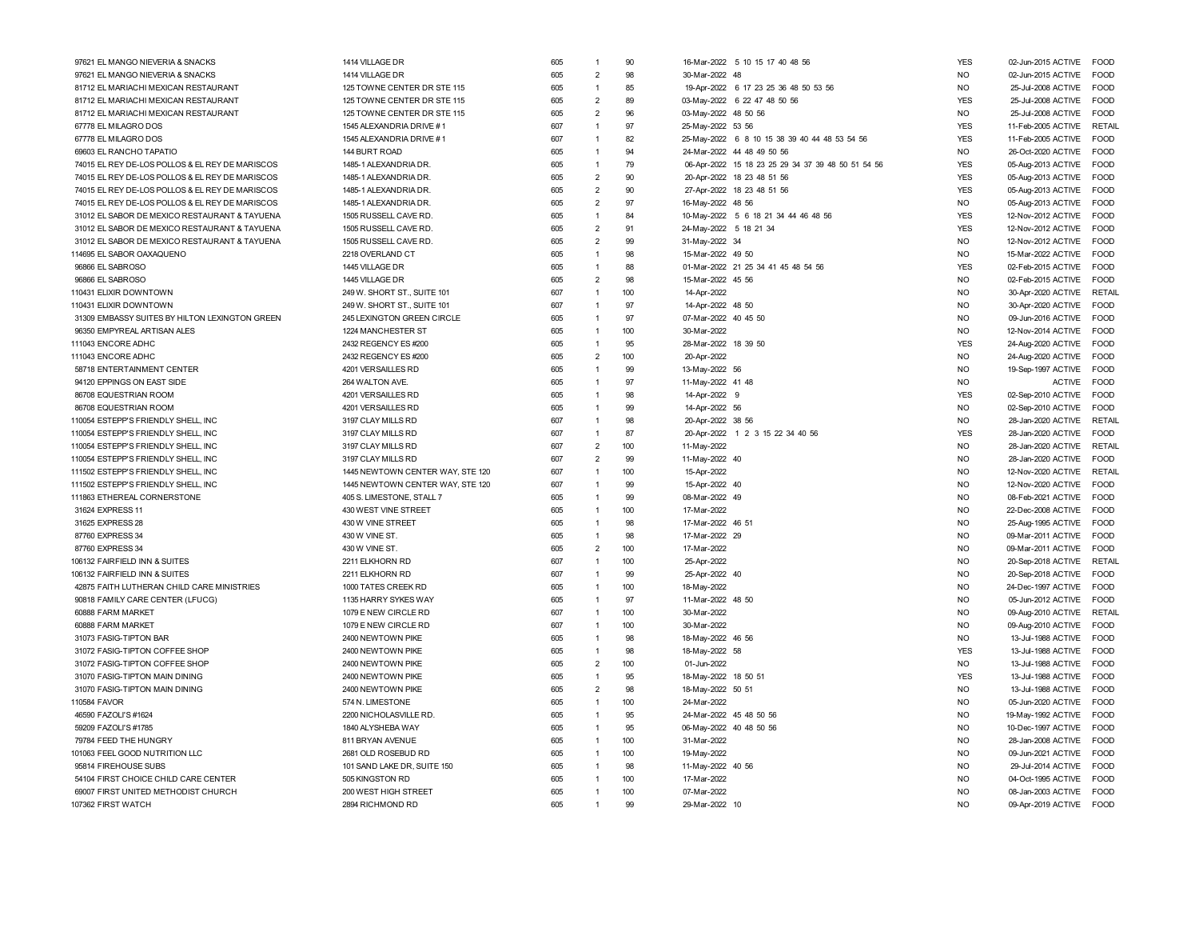| 97621 EL MANGO NIEVERIA & SNACKS                | 1414 VILLAGE DR                  | 605 | $\overline{1}$ | 90        | 16-Mar-2022 5 10 15 17 40 48 56                    | <b>YES</b>     | 02-Jun-2015 ACTIVE<br><b>FOOD</b>   |  |
|-------------------------------------------------|----------------------------------|-----|----------------|-----------|----------------------------------------------------|----------------|-------------------------------------|--|
| 97621 EL MANGO NIEVERIA & SNACKS                | 1414 VILLAGE DR                  | 605 | $\overline{2}$ | 98        | 30-Mar-2022 48                                     | <b>NO</b>      | FOOD<br>02-Jun-2015 ACTIVE          |  |
| 81712 EL MARIACHI MEXICAN RESTAURANT            | 125 TOWNE CENTER DR STE 115      | 605 | $\overline{1}$ | 85        | 19-Apr-2022 6 17 23 25 36 48 50 53 56              | <b>NO</b>      | FOOD<br>25-Jul-2008 ACTIVE          |  |
| 81712 EL MARIACHI MEXICAN RESTAURANT            | 125 TOWNE CENTER DR STE 115      | 605 | $\overline{2}$ | 89        | 03-May-2022 6 22 47 48 50 56                       | <b>YES</b>     | 25-Jul-2008 ACTIVE<br><b>FOOD</b>   |  |
| 81712 EL MARIACHI MEXICAN RESTAURANT            | 125 TOWNE CENTER DR STE 115      | 605 | $\overline{2}$ | 96        | 03-May-2022 48 50 56                               | <b>NO</b>      | 25-Jul-2008 ACTIVE<br><b>FOOD</b>   |  |
| 67778 EL MILAGRO DOS                            | 1545 ALEXANDRIA DRIVE #1         | 607 | $\overline{1}$ | 97        | 25-May-2022 53 56                                  | <b>YES</b>     | RETAIL                              |  |
|                                                 |                                  |     |                |           |                                                    |                | 11-Feb-2005 ACTIVE                  |  |
| 67778 EL MILAGRO DOS                            | 1545 ALEXANDRIA DRIVE #1         | 607 | $\overline{1}$ | 82<br>94  | 25-May-2022 6 8 10 15 38 39 40 44 48 53 54 56      | <b>YES</b>     | FOOD<br>11-Feb-2005 ACTIVE          |  |
| 69603 EL RANCHO TAPATIO                         | 144 BURT ROAD                    | 605 | $\overline{1}$ |           | 24-Mar-2022 44 48 49 50 56                         | <b>NO</b>      | <b>FOOD</b><br>26-Oct-2020 ACTIVE   |  |
| 74015 EL REY DE-LOS POLLOS & EL REY DE MARISCOS | 1485-1 ALEXANDRIA DR.            | 605 | $\overline{1}$ | 79        | 06-Apr-2022 15 18 23 25 29 34 37 39 48 50 51 54 56 | <b>YES</b>     | <b>FOOD</b><br>05-Aug-2013 ACTIVE   |  |
| 74015 EL REY DE-LOS POLLOS & EL REY DE MARISCOS | 1485-1 ALEXANDRIA DR.            | 605 | $\overline{2}$ | 90        | 20-Apr-2022 18 23 48 51 56                         | <b>YES</b>     | <b>FOOD</b><br>05-Aug-2013 ACTIVE   |  |
| 74015 EL REY DE-LOS POLLOS & EL REY DE MARISCOS | 1485-1 ALEXANDRIA DR.            | 605 | $\overline{2}$ | 90        | 27-Apr-2022 18 23 48 51 56                         | <b>YES</b>     | 05-Aug-2013 ACTIVE<br><b>FOOD</b>   |  |
| 74015 EL REY DE-LOS POLLOS & EL REY DE MARISCOS | 1485-1 ALEXANDRIA DR.            | 605 | $\overline{2}$ | 97        | 16-May-2022 48 56                                  | <b>NO</b>      | 05-Aug-2013 ACTIVE<br><b>FOOD</b>   |  |
| 31012 EL SABOR DE MEXICO RESTAURANT & TAYUENA   | 1505 RUSSELL CAVE RD.            | 605 | $\overline{1}$ | 84        | 10-May-2022 5 6 18 21 34 44 46 48 56               | <b>YES</b>     | <b>FOOD</b><br>12-Nov-2012 ACTIVE   |  |
| 31012 EL SABOR DE MEXICO RESTAURANT & TAYUENA   | 1505 RUSSELL CAVE RD.            | 605 | $\overline{2}$ | 91        | 24-May-2022 5 18 21 34                             | <b>YES</b>     | <b>FOOD</b><br>12-Nov-2012 ACTIVE   |  |
| 31012 EL SABOR DE MEXICO RESTAURANT & TAYUENA   | 1505 RUSSELL CAVE RD.            | 605 | $\overline{2}$ | 99        | 31-May-2022 34                                     | <b>NO</b>      | 12-Nov-2012 ACTIVE<br><b>FOOD</b>   |  |
| 114695 EL SABOR OAXAQUENO                       | 2218 OVERLAND CT                 | 605 | $\overline{1}$ | 98        | 15-Mar-2022 49 50                                  | N <sub>O</sub> | 15-Mar-2022 ACTIVE<br><b>FOOD</b>   |  |
| 96866 EL SABROSO                                | 1445 VILLAGE DR                  | 605 | $\overline{1}$ | 88        | 01-Mar-2022 21 25 34 41 45 48 54 56                | <b>YES</b>     | FOOD<br>02-Feb-2015 ACTIVE          |  |
| 96866 EL SABROSO                                | 1445 VILLAGE DR                  | 605 | $\overline{2}$ | 98        | 15-Mar-2022 45 56                                  | <b>NO</b>      | 02-Feb-2015 ACTIVE<br>FOOD          |  |
| 110431 ELIXIR DOWNTOWN                          | 249 W. SHORT ST., SUITE 101      | 607 | $\overline{1}$ | 100       | 14-Apr-2022                                        | N <sub>O</sub> | RETAIL<br>30-Apr-2020 ACTIVE        |  |
| 110431 ELIXIR DOWNTOWN                          | 249 W. SHORT ST., SUITE 101      | 607 | $\overline{1}$ | 97        | 14-Apr-2022 48 50                                  | N <sub>O</sub> | <b>FOOD</b><br>30-Apr-2020 ACTIVE   |  |
| 31309 EMBASSY SUITES BY HILTON LEXINGTON GREEN  | 245 LEXINGTON GREEN CIRCLE       | 605 | $\overline{1}$ | 97        | 07-Mar-2022 40 45 50                               | N <sub>O</sub> | <b>FOOD</b><br>09-Jun-2016 ACTIVE   |  |
| 96350 EMPYREAL ARTISAN ALES                     | 1224 MANCHESTER ST               | 605 | $\overline{1}$ | 100       | 30-Mar-2022                                        | <b>NO</b>      | FOOD<br>12-Nov-2014 ACTIVE          |  |
| 111043 ENCORE ADHC                              | 2432 REGENCY ES #200             | 605 | $\overline{1}$ | 95        | 28-Mar-2022 18 39 50                               | <b>YES</b>     | 24-Aug-2020 ACTIVE<br>FOOD          |  |
| 111043 ENCORE ADHC                              | 2432 REGENCY ES #200             | 605 | $\overline{2}$ | 100       | 20-Apr-2022                                        | N <sub>O</sub> | 24-Aug-2020 ACTIVE<br><b>FOOD</b>   |  |
| 58718 ENTERTAINMENT CENTER                      | 4201 VERSAILLES RD               | 605 | $\overline{1}$ | 99        | 13-May-2022 56                                     | N <sub>O</sub> | 19-Sep-1997 ACTIVE<br><b>FOOD</b>   |  |
| 94120 EPPINGS ON EAST SIDE                      | 264 WALTON AVE.                  | 605 | $\overline{1}$ | 97        | 11-May-2022 41 48                                  | <b>NO</b>      | FOOD<br><b>ACTIVE</b>               |  |
| 86708 EQUESTRIAN ROOM                           | 4201 VERSAILLES RD               | 605 | $\overline{1}$ | 98        | 14-Apr-2022                                        | <b>YES</b>     | 02-Sep-2010 ACTIVE<br><b>FOOD</b>   |  |
| 86708 EQUESTRIAN ROOM                           | 4201 VERSAILLES RD               | 605 | $\overline{1}$ | 99        | 14-Apr-2022 56                                     | <b>NO</b>      | 02-Sep-2010 ACTIVE<br><b>FOOD</b>   |  |
| 110054 ESTEPP'S FRIENDLY SHELL, INC             | 3197 CLAY MILLS RD               | 607 | $\overline{1}$ | 98        | 20-Apr-2022 38 56                                  | <b>NO</b>      | RETAIL<br>28-Jan-2020 ACTIVE        |  |
|                                                 | 3197 CLAY MILLS RD               | 607 | $\overline{1}$ | 87        |                                                    | <b>YES</b>     | <b>EOOD</b>                         |  |
| 110054 ESTEPP'S FRIENDLY SHELL, INC             | 3197 CLAY MILLS RD               | 607 | $\overline{2}$ | 100       | 20-Apr-2022 1 2 3 15 22 34 40 56                   | N <sub>O</sub> | 28-Jan-2020 ACTIVE<br>RFTAIL        |  |
| 110054 ESTEPP'S FRIENDLY SHELL, INC             |                                  |     | $\overline{2}$ |           | 11-May-2022                                        |                | 28-Jan-2020 ACTIVE                  |  |
| 110054 ESTEPP'S FRIENDLY SHELL, INC             | 3197 CLAY MILLS RD               | 607 |                | 99        | 11-May-2022 40                                     | <b>NO</b>      | <b>FOOD</b><br>28-Jan-2020 ACTIVE   |  |
| 111502 ESTEPP'S FRIENDLY SHELL, INC             | 1445 NEWTOWN CENTER WAY, STE 120 | 607 | $\overline{1}$ | 100       | 15-Apr-2022                                        | N <sub>O</sub> | RETAIL<br>12-Nov-2020 ACTIVE        |  |
| 111502 ESTEPP'S FRIENDLY SHELL, INC             | 1445 NEWTOWN CENTER WAY, STE 120 | 607 | $\overline{1}$ | 99        | 15-Apr-2022 40                                     | N <sub>O</sub> | <b>FOOD</b><br>12-Nov-2020 ACTIVE   |  |
| 111863 ETHEREAL CORNERSTONE                     | 405 S. LIMESTONE, STALL 7        | 605 | $\overline{1}$ | 99        | 08-Mar-2022 49                                     | N <sub>O</sub> | 08-Feb-2021 ACTIVE<br><b>FOOD</b>   |  |
| 31624 EXPRESS 11                                | 430 WEST VINE STREET             | 605 | $\overline{1}$ | 100       | 17-Mar-2022                                        | N <sub>O</sub> | 22-Dec-2008 ACTIVE<br><b>FOOD</b>   |  |
| 31625 EXPRESS 28                                | 430 W VINE STREET                | 605 | $\overline{1}$ | 98        | 17-Mar-2022 46 51                                  | <b>NO</b>      | FOOD<br>25-Aug-1995 ACTIVE          |  |
| 87760 EXPRESS 34                                | 430 W VINE ST.                   | 605 | $\overline{1}$ | 98        | 17-Mar-2022 29                                     | N <sub>O</sub> | <b>FOOD</b><br>09-Mar-2011 ACTIVE   |  |
| 87760 EXPRESS 34                                | 430 W VINE ST.                   | 605 | $\overline{2}$ | 100       | 17-Mar-2022                                        | N <sub>O</sub> | 09-Mar-2011 ACTIVE<br><b>FOOD</b>   |  |
| 106132 FAIRFIELD INN & SUITES                   | 2211 ELKHORN RD                  | 607 | $\overline{1}$ | 100       | 25-Apr-2022                                        | N <sub>O</sub> | 20-Sep-2018 ACTIVE<br>RETAIL        |  |
| 106132 FAIRFIELD INN & SUITES                   | 2211 ELKHORN RD                  | 607 | $\overline{1}$ | 99        | 25-Apr-2022 40                                     | <b>NO</b>      | 20-Sep-2018 ACTIVE<br><b>FOOD</b>   |  |
| 42875 FAITH LUTHERAN CHILD CARE MINISTRIES      | 1000 TATES CREEK RD              | 605 | $\overline{1}$ | 100       | 18-May-2022                                        | N <sub>O</sub> | 24-Dec-1997 ACTIVE<br><b>EOOD</b>   |  |
| 90818 FAMILY CARE CENTER (LFUCG)                | 1135 HARRY SYKES WAY             | 605 | $\overline{1}$ | 97        | 11-Mar-2022 48 50                                  | N <sub>O</sub> | <b>FOOD</b><br>05-Jun-2012 ACTIVE   |  |
| 60888 FARM MARKET                               | 1079 E NEW CIRCLE RD             | 607 | $\overline{1}$ | 100       | 30-Mar-2022                                        | <b>NO</b>      | <b>RETAIL</b><br>09-Aug-2010 ACTIVE |  |
| 60888 FARM MARKET                               | 1079 E NEW CIRCLE RD             | 607 | $\overline{1}$ | 100       | 30-Mar-2022                                        | N <sub>O</sub> | <b>FOOD</b><br>09-Aug-2010 ACTIVE   |  |
| 31073 FASIG-TIPTON BAR                          | 2400 NEWTOWN PIKE                | 605 | $\overline{1}$ | 98        | 18-May-2022 46 56                                  | <b>NO</b>      | FOOD<br>13-Jul-1988 ACTIVE          |  |
| 31072 FASIG-TIPTON COFFEE SHOP                  | 2400 NEWTOWN PIKE                | 605 | $\overline{1}$ | 98        | 18-May-2022 58                                     | <b>YES</b>     | FOOD<br>13-Jul-1988 ACTIVE          |  |
| 31072 FASIG-TIPTON COFFEE SHOP                  | 2400 NEWTOWN PIKE                | 605 | $\overline{2}$ | 100       | 01-Jun-2022                                        | <b>NO</b>      | FOOD<br>13-Jul-1988 ACTIVE          |  |
| 31070 FASIG-TIPTON MAIN DINING                  | 2400 NEWTOWN PIKE                | 605 | $\overline{1}$ | 95        | 18-May-2022 18 50 51                               | <b>YES</b>     | 13-Jul-1988 ACTIVE<br><b>FOOD</b>   |  |
| 31070 FASIG-TIPTON MAIN DINING                  | 2400 NEWTOWN PIKE                | 605 | $\overline{2}$ | 98        | 18-May-2022 50 51                                  | <b>NO</b>      | <b>FOOD</b><br>13-Jul-1988 ACTIVE   |  |
| 110584 FAVOR                                    | 574 N. LIMESTONE                 | 605 | $\overline{1}$ | 100       | 24-Mar-2022                                        | <b>NO</b>      | FOOD<br>05-Jun-2020 ACTIVE          |  |
| 46590 FAZOLI'S #1624                            | 2200 NICHOLASVILLE RD.           | 605 | $\overline{1}$ | 95        | 24-Mar-2022 45 48 50 56                            | <b>NO</b>      | FOOD<br>19-May-1992 ACTIVE          |  |
| 59209 FAZOLI'S #1785                            | 1840 ALYSHEBA WAY                | 605 | $\overline{1}$ | 95        | 06-May-2022 40 48 50 56                            | N <sub>O</sub> | 10-Dec-1997 ACTIVE<br><b>FOOD</b>   |  |
| 79784 FEED THE HUNGRY                           | 811 BRYAN AVENUE                 | 605 | $\overline{1}$ | 100       | 31-Mar-2022                                        | N <sub>O</sub> | <b>FOOD</b><br>28-Jan-2008 ACTIVE   |  |
| 101063 FEEL GOOD NUTRITION LLC                  | 2681 OLD ROSEBUD RD              | 605 | $\overline{1}$ | 100       | 19-May-2022                                        | N <sub>O</sub> | <b>FOOD</b><br>09-Jun-2021 ACTIVE   |  |
| 95814 FIREHOUSE SUBS                            | 101 SAND LAKE DR, SUITE 150      | 605 | $\overline{1}$ | 98        | 11-May-2022 40 56                                  | <b>NO</b>      | <b>EOOD</b><br>29-Jul-2014 ACTIVE   |  |
|                                                 |                                  | 605 | $\overline{1}$ | 100       |                                                    | <b>NO</b>      | <b>FOOD</b>                         |  |
| 54104 FIRST CHOICE CHILD CARE CENTER            | 505 KINGSTON RD                  |     |                |           | 17-Mar-2022                                        | N <sub>O</sub> | 04-Oct-1995 ACTIVE<br><b>FOOD</b>   |  |
| 69007 FIRST UNITED METHODIST CHURCH             | 200 WEST HIGH STREET             | 605 | $\overline{1}$ | 100<br>99 | 07-Mar-2022                                        | N <sub>O</sub> | 08-Jan-2003 ACTIVE                  |  |
| 107362 FIRST WATCH                              | 2894 RICHMOND RD                 | 605 |                |           | 29-Mar-2022 10                                     |                | <b>FOOD</b><br>09-Apr-2019 ACTIVE   |  |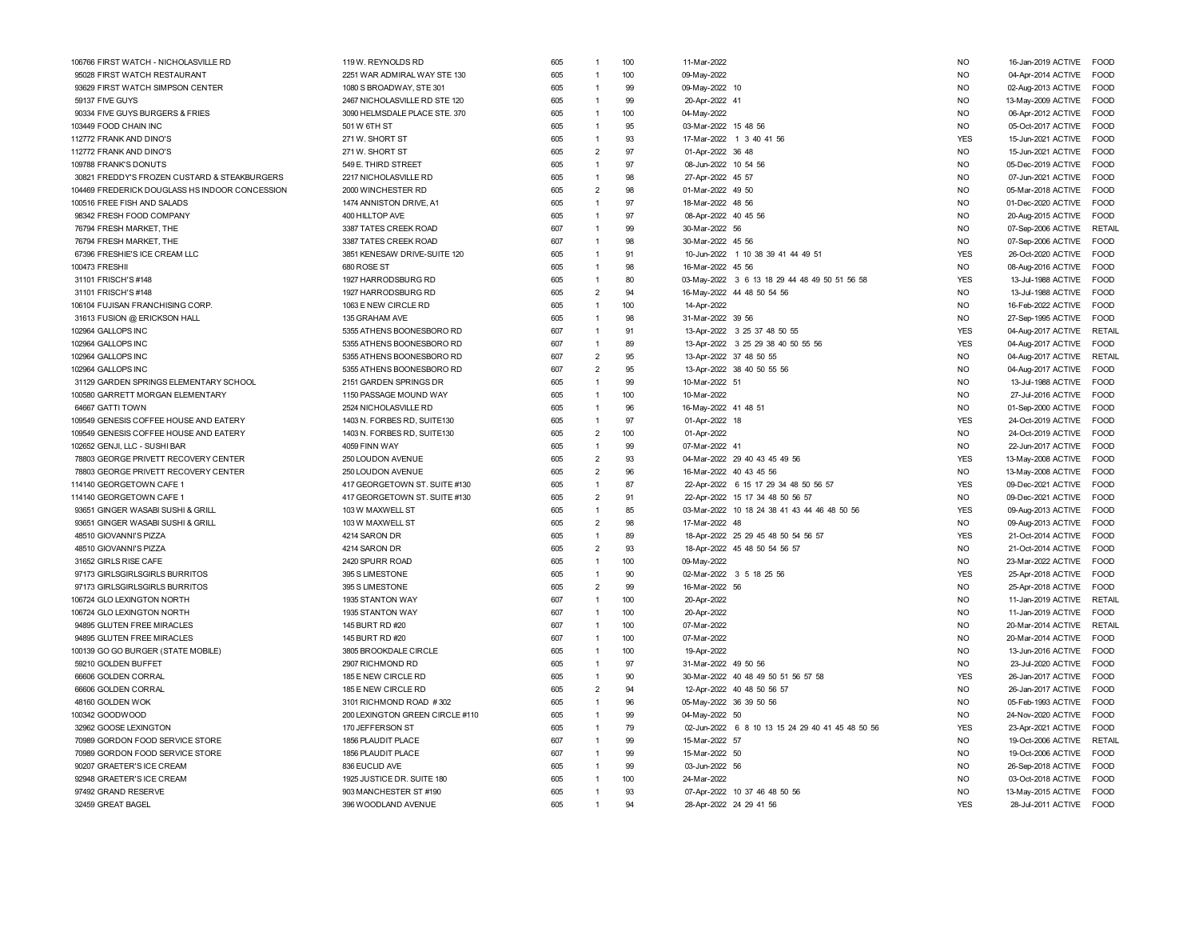| 106766 FIRST WATCH - NICHOLASVILLE RD          | 119 W. REYNOLDS RD              | 605 |                | 100               | 11-Mar-2022                                      | <b>NO</b>      | 16-Jan-2019 ACTIVE        | FOOD          |
|------------------------------------------------|---------------------------------|-----|----------------|-------------------|--------------------------------------------------|----------------|---------------------------|---------------|
| 95028 FIRST WATCH RESTAURANT                   | 2251 WAR ADMIRAL WAY STE 130    | 605 | $\overline{1}$ | 100               | 09-May-2022                                      | <b>NO</b>      | 04-Apr-2014 ACTIVE        | FOOD          |
| 93629 FIRST WATCH SIMPSON CENTER               | 1080 S BROADWAY, STE 301        | 605 | $\overline{1}$ | 99                | 09-May-2022 10                                   | <b>NO</b>      | 02-Aug-2013 ACTIVE        | <b>FOOD</b>   |
| 59137 FIVE GUYS                                | 2467 NICHOLASVILLE RD STE 120   | 605 | $\overline{1}$ | 99                | 20-Apr-2022 41                                   | <b>NO</b>      | 13-May-2009 ACTIVE        | <b>FOOD</b>   |
| 90334 FIVE GUYS BURGERS & FRIES                | 3090 HELMSDALE PLACE STE. 370   | 605 | $\overline{1}$ | 100               | 04-May-2022                                      | <b>NO</b>      | 06-Apr-2012 ACTIVE        | <b>FOOD</b>   |
| 103449 FOOD CHAIN INC                          | 501 W 6TH ST                    | 605 | $\overline{1}$ | 95                | 03-Mar-2022 15 48 56                             | <b>NO</b>      | 05-Oct-2017 ACTIVE        | <b>FOOD</b>   |
| 112772 FRANK AND DINO'S                        | 271 W. SHORT ST                 | 605 | $\overline{1}$ | 93                | 17-Mar-2022 1 3 40 41 56                         | <b>YES</b>     | 15-Jun-2021 ACTIVE        | <b>FOOD</b>   |
| 112772 FRANK AND DINO'S                        | 271 W. SHORT ST                 | 605 | $\overline{2}$ | 97                | 01-Apr-2022 36 48                                | <b>NO</b>      | 15-Jun-2021 ACTIVE        | <b>FOOD</b>   |
| 109788 FRANK'S DONUTS                          | 549 E. THIRD STREET             | 605 | $\overline{1}$ | 97                | 08-Jun-2022 10 54 56                             | <b>NO</b>      | 05-Dec-2019 ACTIVE        | <b>FOOD</b>   |
| 30821 FREDDY'S FROZEN CUSTARD & STEAKBURGERS   | 2217 NICHOLASVILLE RD           | 605 | $\overline{1}$ | 98                | 27-Apr-2022 45 57                                | N <sub>O</sub> | 07-Jun-2021 ACTIVE        | <b>FOOD</b>   |
| 104469 FREDERICK DOUGLASS HS INDOOR CONCESSION | 2000 WINCHESTER RD              | 605 | $\overline{2}$ | 98                | 01-Mar-2022 49 50                                | <b>NO</b>      | 05-Mar-2018 ACTIVE        | <b>FOOD</b>   |
| 100516 FREE FISH AND SALADS                    | 1474 ANNISTON DRIVE, A1         | 605 | $\overline{1}$ | 97                | 18-Mar-2022 48 56                                | <b>NO</b>      | 01-Dec-2020 ACTIVE        | <b>FOOD</b>   |
| 98342 FRESH FOOD COMPANY                       | 400 HILLTOP AVE                 | 605 | $\overline{1}$ | 97                | 08-Apr-2022 40 45 56                             | <b>NO</b>      | 20-Aug-2015 ACTIVE        | FOOD          |
| 76794 FRESH MARKET, THE                        | 3387 TATES CREEK ROAD           | 607 | $\overline{1}$ | 99                | 30-Mar-2022 56                                   | <b>NO</b>      | 07-Sep-2006 ACTIVE        | RETAIL        |
| 76794 FRESH MARKET, THE                        | 3387 TATES CREEK ROAD           | 607 | $\overline{1}$ | 98                | 30-Mar-2022 45 56                                | N <sub>O</sub> | 07-Sep-2006 ACTIVE        | <b>FOOD</b>   |
| 67396 FRESHIE'S ICE CREAM LLC                  | 3851 KENESAW DRIVE-SUITE 120    | 605 | $\overline{1}$ | 91                | 10-Jun-2022 1 10 38 39 41 44 49 51               | <b>YES</b>     | 26-Oct-2020 ACTIVE        | <b>FOOD</b>   |
| 100473 FRESHII                                 | 680 ROSE ST                     | 605 | $\overline{1}$ | 98                | 16-Mar-2022 45 56                                | <b>NO</b>      | 08-Aug-2016 ACTIVE        | <b>FOOD</b>   |
| 31101 FRISCH'S #148                            | 1927 HARRODSBURG RD             | 605 | $\overline{1}$ | 80                | 03-May-2022 3 6 13 18 29 44 48 49 50 51 56 58    | <b>YES</b>     | 13-Jul-1988 ACTIVE        | <b>FOOD</b>   |
| 31101 FRISCH'S #148                            | 1927 HARRODSBURG RD             | 605 | $\overline{2}$ | 94                | 16-May-2022 44 48 50 54 56                       | N <sub>O</sub> | 13-Jul-1988 ACTIVE        | <b>FOOD</b>   |
| 106104 FUJISAN FRANCHISING CORP.               | 1063 E NEW CIRCLE RD            | 605 | $\overline{1}$ | 100               | 14-Apr-2022                                      | N <sub>O</sub> | 16-Feb-2022 ACTIVE        | <b>FOOD</b>   |
| 31613 FUSION @ ERICKSON HALL                   | 135 GRAHAM AVE                  | 605 | $\overline{1}$ | 98                | 31-Mar-2022 39 56                                | <b>NO</b>      | 27-Sep-1995 ACTIVE        | <b>FOOD</b>   |
| 102964 GALLOPS INC                             | 5355 ATHENS BOONESBORO RD       | 607 | $\overline{1}$ | 91                | 13-Apr-2022 3 25 37 48 50 55                     | <b>YES</b>     | 04-Aug-2017 ACTIVE        | <b>RETAIL</b> |
| 102964 GALLOPS INC                             | 5355 ATHENS BOONESBORO RD       | 607 | $\overline{1}$ | 89                | 13-Apr-2022 3 25 29 38 40 50 55 56               | <b>YES</b>     | 04-Aug-2017 ACTIVE        | FOOD          |
| 102964 GALLOPS INC                             | 5355 ATHENS BOONESBORO RD       | 607 | $\overline{2}$ | 95                | 13-Apr-2022 37 48 50 55                          | <b>NO</b>      | 04-Aug-2017 ACTIVE        | RETAIL        |
| 102964 GALLOPS INC                             | 5355 ATHENS BOONESBORO RD       | 607 | $\overline{2}$ | 95                | 13-Apr-2022 38 40 50 55 56                       | <b>NO</b>      | 04-Aug-2017 ACTIVE        | <b>FOOD</b>   |
| 31129 GARDEN SPRINGS ELEMENTARY SCHOOL         | 2151 GARDEN SPRINGS DR          | 605 | $\overline{1}$ | 99                | 10-Mar-2022 51                                   | <b>NO</b>      | 13-Jul-1988 ACTIVE        | <b>FOOD</b>   |
| 100580 GARRETT MORGAN ELEMENTARY               | 1150 PASSAGE MOUND WAY          | 605 | $\overline{1}$ | 100               | 10-Mar-2022                                      | <b>NO</b>      | 27-Jul-2016 ACTIVE        | <b>FOOD</b>   |
| 64667 GATTI TOWN                               | 2524 NICHOLASVILLE RD           | 605 | $\overline{1}$ | 96                | 16-May-2022 41 48 51                             | N <sub>O</sub> | 01-Sep-2000 ACTIVE        | <b>FOOD</b>   |
| 109549 GENESIS COFFEE HOUSE AND EATERY         | 1403 N. FORBES RD, SUITE130     | 605 | $\overline{1}$ | 97                | 01-Apr-2022 18                                   | <b>YES</b>     | 24-Oct-2019 ACTIVE        | <b>FOOD</b>   |
| 109549 GENESIS COFFEE HOUSE AND EATERY         | 1403 N. FORBES RD, SUITE130     | 605 | $\overline{2}$ | 100               | 01-Apr-2022                                      | <b>NO</b>      | 24-Oct-2019 ACTIVE        | FOOD          |
| 102652 GENJI, LLC - SUSHI BAR                  | 4059 FINN WAY                   | 605 | $\overline{1}$ | 99                | 07-Mar-2022 41                                   | <b>NO</b>      | 22-Jun-2017 ACTIVE        | <b>FOOD</b>   |
| 78803 GEORGE PRIVETT RECOVERY CENTER           | 250 LOUDON AVENUE               | 605 | $\overline{2}$ | 93                | 04-Mar-2022 29 40 43 45 49 56                    | <b>YES</b>     | 13-May-2008 ACTIVE        | <b>FOOD</b>   |
| 78803 GEORGE PRIVETT RECOVERY CENTER           | 250 LOUDON AVENUE               | 605 | $\overline{2}$ | 96                | 16-Mar-2022 40 43 45 56                          | N <sub>O</sub> | 13-May-2008 ACTIVE        | <b>FOOD</b>   |
| 114140 GEORGETOWN CAFE 1                       | 417 GEORGETOWN ST. SUITE #130   | 605 | $\overline{1}$ | 87                | 22-Apr-2022 6 15 17 29 34 48 50 56 57            | <b>YES</b>     | 09-Dec-2021 ACTIVE        | <b>FOOD</b>   |
| 114140 GEORGETOWN CAFE 1                       | 417 GEORGETOWN ST. SUITE #130   | 605 | $\overline{2}$ | 91                | 22-Apr-2022 15 17 34 48 50 56 57                 | <b>NO</b>      | 09-Dec-2021 ACTIVE        | <b>FOOD</b>   |
| 93651 GINGER WASABI SUSHI & GRILL              | 103 W MAXWELL ST                | 605 | $\overline{1}$ | 85                | 03-Mar-2022 10 18 24 38 41 43 44 46 48 50 56     | <b>YES</b>     | 09-Aug-2013 ACTIVE        | FOOD          |
| 93651 GINGER WASABI SUSHI & GRILL              | 103 W MAXWELL ST                | 605 | $\overline{2}$ | 98                | 17-Mar-2022 48                                   | <b>NO</b>      | 09-Aug-2013 ACTIVE        | FOOD          |
| 48510 GIOVANNI'S PIZZA                         | 4214 SARON DR                   | 605 | $\overline{1}$ | 89                | 18-Apr-2022 25 29 45 48 50 54 56 57              | <b>YES</b>     | 21-Oct-2014 ACTIVE        | FOOD          |
| 48510 GIOVANNI'S PIZZA                         | 4214 SARON DR                   | 605 | $\overline{2}$ | 93                | 18-Apr-2022 45 48 50 54 56 57                    | N <sub>O</sub> | 21-Oct-2014 ACTIVE        | <b>FOOD</b>   |
| 31652 GIRLS RISE CAFE                          | 2420 SPURR ROAD                 | 605 | $\overline{1}$ | 100               | 09-May-2022                                      | NO.            | 23-Mar-2022 ACTIVE        | <b>FOOD</b>   |
| 97173 GIRLSGIRLSGIRLS BURRITOS                 | 395 S LIMESTONE                 | 605 | $\overline{1}$ | 90                | 02-Mar-2022 3 5 18 25 56                         | <b>YES</b>     | 25-Apr-2018 ACTIVE        | FOOD          |
| 97173 GIRLSGIRLSGIRLS BURRITOS                 | 395 S LIMESTONE                 | 605 | $\overline{2}$ | 99                | 16-Mar-2022 56                                   | <b>NO</b>      | 25-Apr-2018 ACTIVE        | FOOD          |
| 106724 GLO LEXINGTON NORTH                     | 1935 STANTON WAY                | 607 | $\overline{1}$ | 100               | 20-Apr-2022                                      | N <sub>O</sub> | 11-Jan-2019 ACTIVE        | RETAIL        |
| 106724 GLO LEXINGTON NORTH                     | 1935 STANTON WAY                | 607 | $\overline{1}$ | 100               | 20-Apr-2022                                      | N <sub>O</sub> | 11-Jan-2019 ACTIVE        | <b>FOOD</b>   |
| 94895 GLUTEN FREE MIRACLES                     | 145 BURT RD #20                 | 607 | $\overline{1}$ | 100               | 07-Mar-2022                                      | <b>NO</b>      | 20-Mar-2014 ACTIVE RETAIL |               |
| 94895 GLUTEN FREE MIRACLES                     | 145 BURT RD #20                 | 607 | $\overline{1}$ | 100               | 07-Mar-2022                                      | N <sub>O</sub> | 20-Mar-2014 ACTIVE        | <b>FOOD</b>   |
| 100139 GO GO BURGER (STATE MOBILE)             | 3805 BROOKDALE CIRCLE           | 605 | $\overline{1}$ | 100               | 19-Apr-2022                                      | <b>NO</b>      | 13-Jun-2016 ACTIVE        | <b>FOOD</b>   |
| 59210 GOLDEN BUFFET                            | 2907 RICHMOND RD                | 605 | $\overline{1}$ | 97                | 31-Mar-2022 49 50 56                             | <b>NO</b>      | 23-Jul-2020 ACTIVE        | <b>FOOD</b>   |
| 66606 GOLDEN CORRAL                            | 185 E NEW CIRCLE RD             | 605 | $\overline{1}$ | 90                | 30-Mar-2022 40 48 49 50 51 56 57 58              | <b>YES</b>     | 26-Jan-2017 ACTIVE        | FOOD          |
| 66606 GOLDEN CORRAL                            | 185 E NEW CIRCLE RD             | 605 | $\overline{2}$ | 94                | 12-Apr-2022 40 48 50 56 57                       | <b>NO</b>      | 26-Jan-2017 ACTIVE        | <b>FOOD</b>   |
| 48160 GOLDEN WOK                               | 3101 RICHMOND ROAD #302         | 605 | $\overline{1}$ | 96                | 05-May-2022 36 39 50 56                          | N <sub>O</sub> | 05-Feb-1993 ACTIVE        | <b>FOOD</b>   |
| 100342 GOODWOOD                                | 200 LEXINGTON GREEN CIRCLE #110 | 605 | $\overline{1}$ | 99                | 04-May-2022 50                                   | <b>NO</b>      | 24-Nov-2020 ACTIVE        | <b>FOOD</b>   |
| 32962 GOOSE LEXINGTON                          | 170 JEFFERSON ST                | 605 | $\overline{1}$ | 79                | 02-Jun-2022 6 8 10 13 15 24 29 40 41 45 48 50 56 | <b>YES</b>     | 23-Apr-2021 ACTIVE        | <b>FOOD</b>   |
| 70989 GORDON FOOD SERVICE STORE                | 1856 PLAUDIT PLACE              | 607 | $\overline{1}$ | 99                | 15-Mar-2022 57                                   | <b>NO</b>      | 19-Oct-2006 ACTIVE        | RETAIL        |
| 70989 GORDON FOOD SERVICE STORE                | 1856 PLAUDIT PLACE              | 607 | $\overline{1}$ | 99                | 15-Mar-2022 50                                   | N <sub>O</sub> | 19-Oct-2006 ACTIVE        | <b>FOOD</b>   |
| 90207 GRAETER'S ICE CREAM                      | 836 EUCLID AVE                  | 605 | $\overline{1}$ | 99                | 03-Jun-2022 56                                   | N <sub>O</sub> | 26-Sep-2018 ACTIVE        | <b>FOOD</b>   |
| 92948 GRAETER'S ICE CREAM                      | 1925 JUSTICE DR. SUITE 180      | 605 | $\overline{1}$ | 100               | 24-Mar-2022                                      | N <sub>O</sub> | 03-Oct-2018 ACTIVE        | <b>FOOD</b>   |
| 97492 GRAND RESERVE                            | 903 MANCHESTER ST #190          | 605 | $\overline{1}$ | 93                | 07-Apr-2022 10 37 46 48 50 56                    | <b>NO</b>      | 13-May-2015 ACTIVE        | <b>FOOD</b>   |
| 32459 GREAT BAGEL                              | 396 WOODLAND AVENUE             | 605 | $\overline{1}$ | $Q_{\mathcal{A}}$ | 28-Apr-2022 24 29 41 56                          | <b>YES</b>     | 28-Jul-2011 ACTIVE        | <b>FOOD</b>   |
|                                                |                                 |     |                |                   |                                                  |                |                           |               |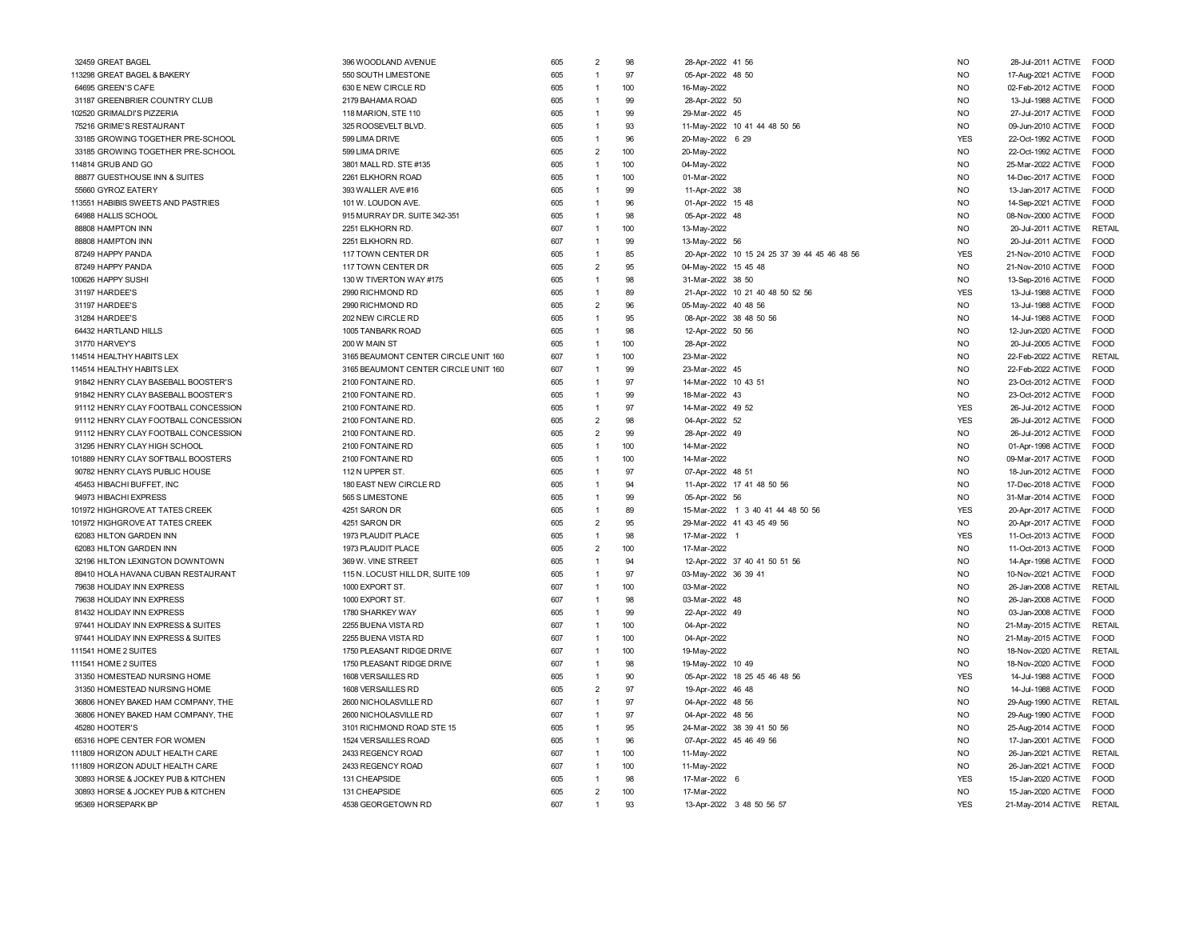| 32459 GREAT BAGEL                    | 396 WOODLAND AVENUE                  | 605 | 98<br>$\overline{2}$  | 28-Apr-2022 41 56                            | <b>NO</b>      | 28-Jul-2011 ACTIVE | <b>FOOD</b>   |
|--------------------------------------|--------------------------------------|-----|-----------------------|----------------------------------------------|----------------|--------------------|---------------|
| 13298 GREAT BAGEL & BAKERY           | 550 SOUTH LIMESTONE                  | 605 | 97<br>$\mathbf{1}$    | 05-Apr-2022 48 50                            | <b>NO</b>      | 17-Aug-2021 ACTIVE | <b>FOOD</b>   |
| 64695 GREEN'S CAFE                   | 630 E NEW CIRCLE RD                  | 605 | 100<br>1              | 16-May-2022                                  | <b>NO</b>      | 02-Feb-2012 ACTIVE | FOOD          |
| 31187 GREENBRIER COUNTRY CLUB        | 2179 BAHAMA ROAD                     | 605 | 99<br>$\mathbf{1}$    | 28-Apr-2022 50                               | <b>NO</b>      | 13-Jul-1988 ACTIVE | FOOD          |
| 102520 GRIMALDI'S PIZZERIA           | 118 MARION, STE 110                  | 605 | 99<br>1               | 29-Mar-2022 45                               | N <sub>O</sub> | 27-Jul-2017 ACTIVE | <b>FOOD</b>   |
| 75216 GRIME'S RESTAURANT             | 325 ROOSEVELT BLVD                   | 605 | 93<br>1               | 11-May-2022 10 41 44 48 50 56                | N <sub>O</sub> | 09-Jun-2010 ACTIVE | <b>FOOD</b>   |
| 33185 GROWING TOGETHER PRE-SCHOOL    | 599 LIMA DRIVE                       | 605 | 96<br>$\overline{1}$  | 20-May-2022 6 29                             | <b>YES</b>     | 22-Oct-1992 ACTIVE | <b>FOOD</b>   |
| 33185 GROWING TOGETHER PRE-SCHOOL    | 599 LIMA DRIVE                       | 605 | $\overline{2}$<br>100 | 20-May-2022                                  | <b>NO</b>      | 22-Oct-1992 ACTIVE | FOOD          |
| 114814 GRUB AND GO                   | 3801 MALL RD. STE #135               | 605 | $\overline{1}$<br>100 | 04-May-2022                                  | N <sub>O</sub> | 25-Mar-2022 ACTIVE | <b>FOOD</b>   |
| 88877 GUESTHOUSE INN & SUITES        | 2261 ELKHORN ROAD                    | 605 | $\overline{1}$<br>100 | 01-Mar-2022                                  | N <sub>O</sub> | 14-Dec-2017 ACTIVE | <b>FOOD</b>   |
| 55660 GYROZ EATERY                   | 393 WALLER AVE #16                   | 605 | 99<br>$\overline{1}$  | 11-Apr-2022 38                               | N <sub>O</sub> | 13-Jan-2017 ACTIVE | FOOD          |
| 113551 HABIBIS SWEETS AND PASTRIES   | 101 W. LOUDON AVE.                   | 605 | 96<br>$\overline{1}$  | 01-Apr-2022 15 48                            | N <sub>O</sub> | 14-Sep-2021 ACTIVE | <b>FOOD</b>   |
| 64988 HALLIS SCHOOL                  | 915 MURRAY DR. SUITE 342-351         | 605 | 98<br>$\overline{1}$  | 05-Apr-2022<br>48                            | <b>NO</b>      | 08-Nov-2000 ACTIVE | FOOD          |
| 88808 HAMPTON INN                    | 2251 ELKHORN RD.                     | 607 | 100<br>$\mathbf{1}$   | 13-May-2022                                  | N <sub>O</sub> | 20-Jul-2011 ACTIVE | <b>RETAIL</b> |
| 88808 HAMPTON INN                    | 2251 ELKHORN RD.                     | 607 | 99<br>1               | 13-May-2022 56                               | <b>NO</b>      | 20-Jul-2011 ACTIVE | <b>FOOD</b>   |
| 87249 HAPPY PANDA                    | 117 TOWN CENTER DR                   | 605 | 85<br>1               | 20-Apr-2022 10 15 24 25 37 39 44 45 46 48 56 | <b>YES</b>     | 21-Nov-2010 ACTIVE | <b>FOOD</b>   |
| 87249 HAPPY PANDA                    | 117 TOWN CENTER DR                   | 605 | $\overline{2}$<br>95  | 04-May-2022 15 45 48                         | N <sub>O</sub> | 21-Nov-2010 ACTIVE | <b>FOOD</b>   |
| 00626 HAPPY SUSHI                    | 130 W TIVERTON WAY #175              | 605 | 98<br>1               | 31-Mar-2022 38 50                            | <b>NO</b>      | 13-Sep-2016 ACTIVE | <b>FOOD</b>   |
| 31197 HARDEE'S                       | 2990 RICHMOND RD                     | 605 | 89<br>1               | 21-Apr-2022 10 21 40 48 50 52 56             | <b>YES</b>     | 13-Jul-1988 ACTIVE | <b>FOOD</b>   |
| 31197 HARDEE'S                       | 2990 RICHMOND RD                     | 605 | $\overline{2}$<br>96  | 05-May-2022 40 48 56                         | N <sub>O</sub> | 13-Jul-1988 ACTIVE | <b>FOOD</b>   |
| 31284 HARDEE'S                       | 202 NEW CIRCLE RD                    | 605 | 95<br>$\overline{1}$  | 08-Apr-2022 38 48 50 56                      | N <sub>O</sub> | 14-Jul-1988 ACTIVE | <b>FOOD</b>   |
| 64432 HARTLAND HILLS                 | 1005 TANBARK ROAD                    | 605 | 98<br>$\overline{1}$  | 12-Apr-2022 50 56                            | N <sub>O</sub> | 12-Jun-2020 ACTIVE | <b>FOOD</b>   |
| 31770 HARVEY'S                       | 200 W MAIN ST                        | 605 | 100<br>$\mathbf{1}$   | 28-Apr-2022                                  | N <sub>O</sub> | 20-Jul-2005 ACTIVE | <b>FOOD</b>   |
| 114514 HEALTHY HABITS LEX            | 3165 BEAUMONT CENTER CIRCLE UNIT 160 | 607 | 100<br>1              | 23-Mar-2022                                  | <b>NO</b>      | 22-Feb-2022 ACTIVE | <b>RETAIL</b> |
| 114514 HEALTHY HABITS LEX            | 3165 BEAUMONT CENTER CIRCLE UNIT 160 | 607 | 99<br>1               | 23-Mar-2022 45                               | N <sub>O</sub> | 22-Feb-2022 ACTIVE | <b>EOOD</b>   |
| 91842 HENRY CLAY BASEBALL BOOSTER'S  | 2100 FONTAINE RD                     | 605 | 97<br>1               | 14-Mar-2022 10 43 51                         | <b>NO</b>      | 23-Oct-2012 ACTIVE | <b>FOOD</b>   |
| 91842 HENRY CLAY BASEBALL BOOSTER'S  | 2100 FONTAINE RD                     | 605 | 99<br>1               | 18-Mar-2022 43                               | N <sub>O</sub> | 23-Oct-2012 ACTIVE | <b>EOOD</b>   |
| 91112 HENRY CLAY FOOTBALL CONCESSION | 2100 FONTAINE RD                     | 605 | 97<br>$\mathbf{1}$    | 14-Mar-2022 49 52                            | <b>YES</b>     | 26-Jul-2012 ACTIVE | FOOD          |
| 91112 HENRY CLAY FOOTBALL CONCESSION | 2100 FONTAINE RD                     | 605 | $\overline{2}$<br>98  |                                              | <b>YES</b>     | 26-Jul-2012 ACTIVE | <b>FOOD</b>   |
| 91112 HENRY CLAY FOOTBALL CONCESSION |                                      | 605 | $\overline{2}$<br>99  | 04-Apr-2022 52<br>28-Apr-2022 49             | <b>NO</b>      | 26-Jul-2012 ACTIVE | <b>FOOD</b>   |
| 31295 HENRY CLAY HIGH SCHOOL         | 2100 FONTAINE RD<br>2100 FONTAINE RD | 605 | 100<br>1              | 14-Mar-2022                                  | N <sub>O</sub> | 01-Apr-1998 ACTIVE | <b>FOOD</b>   |
| 101889 HENRY CLAY SOFTBALL BOOSTERS  | 2100 FONTAINE RD                     | 605 | 100<br>$\overline{1}$ | 14-Mar-2022                                  | N <sub>O</sub> | 09-Mar-2017 ACTIVE | <b>EOOD</b>   |
| 90782 HENRY CLAYS PUBLIC HOUSE       | 112 N UPPER ST.                      | 605 | 97<br>$\overline{1}$  | 07-Apr-2022 48 51                            | <b>NO</b>      | 18-Jun-2012 ACTIVE | FOOD          |
|                                      |                                      |     |                       |                                              |                |                    |               |
| 45453 HIBACHI BUFFET, INC            | 180 EAST NEW CIRCLE RD               | 605 | 94<br>1               | 11-Apr-2022 17 41 48 50 56                   | N <sub>O</sub> | 17-Dec-2018 ACTIVE | <b>FOOD</b>   |
| 94973 HIBACHI EXPRESS                | 565 S LIMESTONE                      | 605 | $\mathbf{1}$<br>99    | 05-Apr-2022 56                               | N <sub>O</sub> | 31-Mar-2014 ACTIVE | <b>FOOD</b>   |
| 101972 HIGHGROVE AT TATES CREEK      | 4251 SARON DR                        | 605 | 89<br>$\overline{1}$  | 15-Mar-2022 1 3 40 41 44 48 50 56            | <b>YES</b>     | 20-Apr-2017 ACTIVE | FOOD          |
| 101972 HIGHGROVE AT TATES CREEK      | 4251 SARON DR                        | 605 | $\overline{2}$<br>95  | 29-Mar-2022 41 43 45 49 56                   | <b>NO</b>      | 20-Apr-2017 ACTIVE | FOOD          |
| 62083 HILTON GARDEN INN              | 1973 PLAUDIT PLACE                   | 605 | 98<br>$\mathbf{1}$    | 17-Mar-2022 1                                | <b>YES</b>     | 11-Oct-2013 ACTIVE | <b>FOOD</b>   |
| 62083 HILTON GARDEN INN              | 1973 PLAUDIT PLACE                   | 605 | $\overline{2}$<br>100 | 17-Mar-2022                                  | <b>NO</b>      | 11-Oct-2013 ACTIVE | <b>FOOD</b>   |
| 32196 HILTON LEXINGTON DOWNTOWN      | 369 W. VINE STREET                   | 605 | 94<br>1               | 12-Apr-2022 37 40 41 50 51 56                | <b>NO</b>      | 14-Apr-1998 ACTIVE | <b>FOOD</b>   |
| 89410 HOLA HAVANA CUBAN RESTAURANT   | 115 N. LOCUST HILL DR, SUITE 109     | 605 | 97                    | 03-May-2022 36 39 41                         | <b>NO</b>      | 10-Nov-2021 ACTIVE | <b>FOOD</b>   |
| 79638 HOLIDAY INN EXPRESS            | 1000 EXPORT ST.                      | 607 | 100<br>1              | 03-Mar-2022                                  | N <sub>O</sub> | 26-Jan-2008 ACTIVE | <b>RETAIL</b> |
| 79638 HOLIDAY INN EXPRESS            | 1000 EXPORT ST.                      | 607 | 98<br>1               | 03-Mar-2022 48                               | <b>NO</b>      | 26-Jan-2008 ACTIVE | FOOD          |
| 81432 HOLIDAY INN EXPRESS            | 1780 SHARKEY WAY                     | 605 | 99<br>1               | 22-Apr-2022 49                               | <b>NO</b>      | 03-Jan-2008 ACTIVE | <b>FOOD</b>   |
| 97441 HOLIDAY INN EXPRESS & SUITES   | 2255 BUENA VISTA RD                  | 607 | 100<br>1              | 04-Apr-2022                                  | N <sub>O</sub> | 21-May-2015 ACTIVE | RETAIL        |
| 97441 HOLIDAY INN EXPRESS & SUITES   | 2255 BUENA VISTA RD                  | 607 | $\overline{1}$<br>100 | 04-Apr-2022                                  | N <sub>O</sub> | 21-May-2015 ACTIVE | <b>FOOD</b>   |
| 111541 HOME 2 SUITES                 | 1750 PLEASANT RIDGE DRIVE            | 607 | 100<br>$\overline{1}$ | 19-May-2022                                  | N <sub>O</sub> | 18-Nov-2020 ACTIVE | RETAIL        |
| 111541 HOME 2 SUITES                 | 1750 PLEASANT RIDGE DRIVE            | 607 | 98<br>$\overline{1}$  | 19-May-2022 10 49                            | N <sub>O</sub> | 18-Nov-2020 ACTIVE | FOOD          |
| 31350 HOMESTEAD NURSING HOME         | 1608 VERSAILLES RD                   | 605 | 90<br>1               | 05-Apr-2022 18 25 45 46 48 56                | <b>YES</b>     | 14-Jul-1988 ACTIVE | <b>FOOD</b>   |
| 31350 HOMESTEAD NURSING HOME         | 1608 VERSAILLES RD                   | 605 | $\overline{2}$<br>97  | 19-Apr-2022 46 48                            | <b>NO</b>      | 14-Jul-1988 ACTIVE | <b>FOOD</b>   |
| 36806 HONEY BAKED HAM COMPANY, THE   | 2600 NICHOLASVILLE RD                | 607 | 97<br>1               | 04-Apr-2022 48 56                            | <b>NO</b>      | 29-Aug-1990 ACTIVE | RETAIL        |
| 36806 HONEY BAKED HAM COMPANY, THE   | 2600 NICHOLASVILLE RD                | 607 | 97                    | 04-Apr-2022 48 56                            | <b>NO</b>      | 29-Aug-1990 ACTIVE | <b>FOOD</b>   |
| 45280 HOOTER'S                       | 3101 RICHMOND ROAD STE 15            | 605 | 95<br>1               | 24-Mar-2022 38 39 41 50 56                   | <b>NO</b>      | 25-Aug-2014 ACTIVE | FOOD          |
| 65316 HOPE CENTER FOR WOMEN          | 1524 VERSAILLES ROAD                 | 605 | 96<br>1               | 07-Apr-2022 45 46 49 56                      | <b>NO</b>      | 17-Jan-2001 ACTIVE | <b>FOOD</b>   |
| 111809 HORIZON ADULT HEALTH CARE     | 2433 REGENCY ROAD                    | 607 | 100<br>1              | 11-May-2022                                  | N <sub>O</sub> | 26-Jan-2021 ACTIVE | RETAIL        |
| 111809 HORIZON ADULT HEALTH CARE     | 2433 REGENCY ROAD                    | 607 | 100<br>$\overline{1}$ | 11-May-2022                                  | N <sub>O</sub> | 26-Jan-2021 ACTIVE | <b>FOOD</b>   |
| 30893 HORSE & JOCKEY PUB & KITCHEN   | 131 CHEAPSIDE                        | 605 | $\overline{1}$<br>98  | 17-Mar-2022 6                                | <b>YES</b>     | 15-Jan-2020 ACTIVE | <b>EOOD</b>   |
| 30893 HORSE & JOCKEY PUB & KITCHEN   | 131 CHEAPSIDE                        | 605 | $\overline{2}$<br>100 | 17-Mar-2022                                  | N <sub>O</sub> | 15-Jan-2020 ACTIVE | FOOD          |
| 95369 HORSEPARK BP                   | 4538 GEORGETOWN RD                   | 607 | 93<br>$\mathbf{1}$    | 13-Apr-2022 3 48 50 56 57                    | <b>YES</b>     | 21-May-2014 ACTIVE | RETAIL        |
|                                      |                                      |     |                       |                                              |                |                    |               |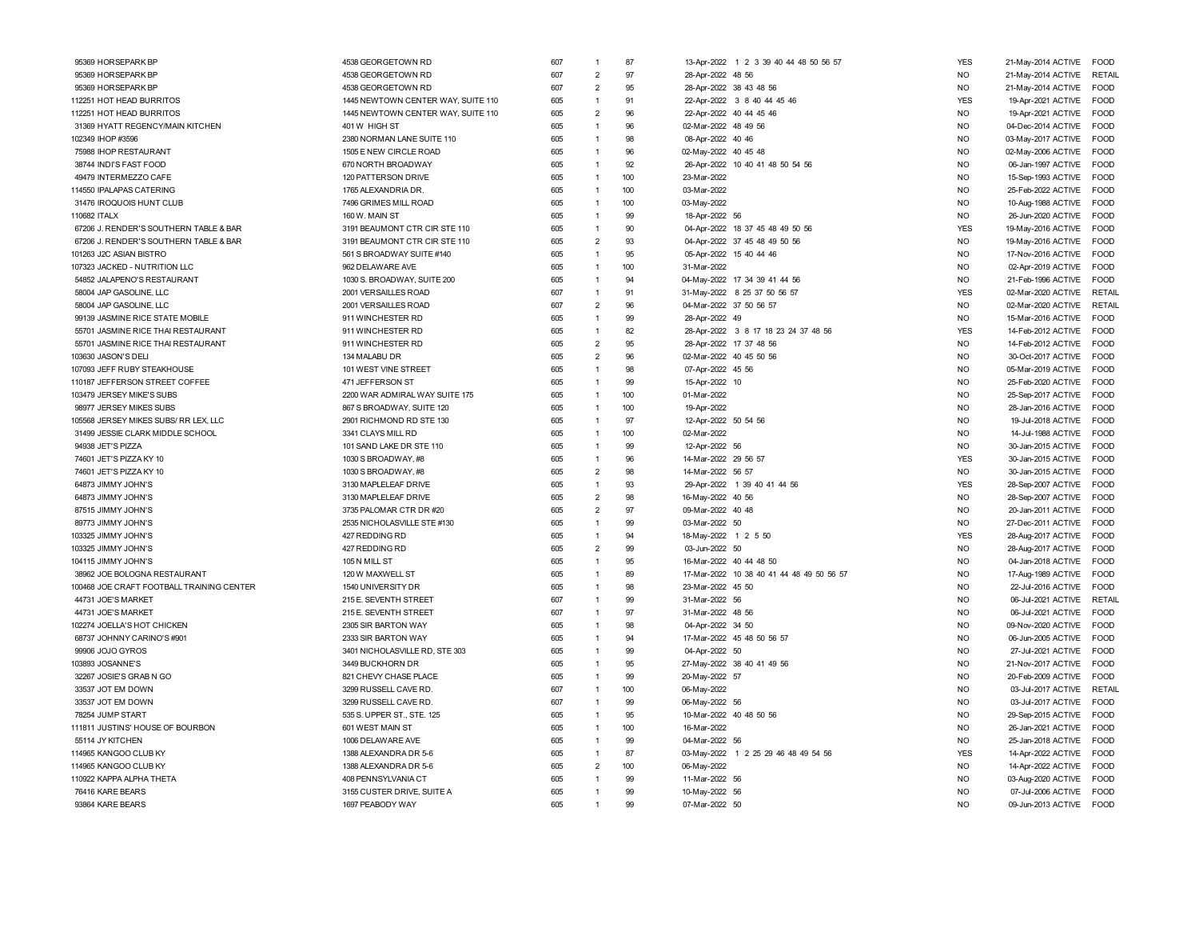| 95369 HORSEPARK BP                        | 4538 GEORGETOWN RD                 | 607 | 1              | 87  | 13-Apr-2022 1 2 3 39 40 44 48 50 56 57    | <b>YES</b>     | 21-May-2014 ACTIVE FOOD                  |               |
|-------------------------------------------|------------------------------------|-----|----------------|-----|-------------------------------------------|----------------|------------------------------------------|---------------|
| 95369 HORSEPARK BP                        | 4538 GEORGETOWN RD                 | 607 | $\overline{2}$ | 97  | 28-Apr-2022 48 56                         | <b>NO</b>      | 21-May-2014 ACTIVE                       | <b>RETAIL</b> |
| 95369 HORSEPARK BP                        | 4538 GEORGETOWN RD                 | 607 | $\overline{2}$ | 95  | 28-Apr-2022 38 43 48 56                   | <b>NO</b>      | 21-May-2014 ACTIVE                       | <b>FOOD</b>   |
| 112251 HOT HEAD BURRITOS                  | 1445 NEWTOWN CENTER WAY, SUITE 110 | 605 | $\overline{1}$ | 91  | 22-Apr-2022 3 8 40 44 45 46               | <b>YES</b>     | 19-Apr-2021 ACTIVE                       | <b>FOOD</b>   |
| 112251 HOT HEAD BURRITOS                  | 1445 NEWTOWN CENTER WAY, SUITE 110 | 605 | $\overline{2}$ | 96  | 22-Apr-2022 40 44 45 46                   | <b>NO</b>      | 19-Apr-2021 ACTIVE                       | <b>FOOD</b>   |
| 31369 HYATT REGENCY/MAIN KITCHEN          | 401 W HIGH ST                      | 605 | $\overline{1}$ | 96  | 02-Mar-2022 48 49 56                      | <b>NO</b>      | 04-Dec-2014 ACTIVE                       | <b>FOOD</b>   |
| 102349 IHOP #3596                         | 2380 NORMAN LANE SUITE 110         | 605 | $\overline{1}$ | 98  | 08-Apr-2022 40 46                         | <b>NO</b>      | 03-May-2017 ACTIVE                       | <b>FOOD</b>   |
| 75988 IHOP RESTAURANT                     | 1505 E NEW CIRCLE ROAD             | 605 | 1              | 96  | 02-May-2022 40 45 48                      | <b>NO</b>      | 02-May-2006 ACTIVE                       | <b>FOOD</b>   |
| 38744 INDI'S FAST FOOD                    | 670 NORTH BROADWAY                 | 605 | $\mathbf{1}$   | 92  | 26-Apr-2022 10 40 41 48 50 54 56          | <b>NO</b>      | 06-Jan-1997 ACTIVE                       | <b>FOOD</b>   |
| 49479 INTERMEZZO CAFE                     | 120 PATTERSON DRIVE                | 605 | $\mathbf{1}$   | 100 | 23-Mar-2022                               | <b>NO</b>      | 15-Sep-1993 ACTIVE                       | FOOD          |
| 114550 IPALAPAS CATERING                  | 1765 ALEXANDRIA DR.                | 605 | $\overline{1}$ | 100 | 03-Mar-2022                               | N <sub>O</sub> | 25-Feb-2022 ACTIVE                       | <b>FOOD</b>   |
| 31476 IROQUOIS HUNT CLUB                  | 7496 GRIMES MILL ROAD              | 605 | $\overline{1}$ | 100 | 03-May-2022                               | <b>NO</b>      | 10-Aug-1988 ACTIVE                       | <b>FOOD</b>   |
| 110682 ITALX                              | 160 W. MAIN ST                     | 605 | $\overline{1}$ | 99  | 18-Apr-2022 56                            | <b>NO</b>      | 26-Jun-2020 ACTIVE                       | <b>FOOD</b>   |
| 67206 J. RENDER'S SOUTHERN TABLE & BAR    | 3191 BEAUMONT CTR CIR STE 110      | 605 | $\overline{1}$ | 90  | 04-Apr-2022 18 37 45 48 49 50 56          | <b>YES</b>     | 19-May-2016 ACTIVE                       | <b>FOOD</b>   |
| 67206 J. RENDER'S SOUTHERN TABLE & BAR    | 3191 BEAUMONT CTR CIR STE 110      | 605 | $\overline{2}$ | 93  | 04-Apr-2022 37 45 48 49 50 56             | N <sub>O</sub> | 19-May-2016 ACTIVE                       | <b>FOOD</b>   |
| 101263 J2C ASIAN BISTRO                   | 561 S BROADWAY SUITE #140          | 605 | $\overline{1}$ | 95  | 05-Apr-2022 15 40 44 46                   | N <sub>O</sub> | 17-Nov-2016 ACTIVE                       | <b>FOOD</b>   |
| 107323 JACKED - NUTRITION LLC             | 962 DELAWARE AVE                   | 605 | $\overline{1}$ | 100 | 31-Mar-2022                               | N <sub>O</sub> |                                          | <b>FOOD</b>   |
| 54852 JALAPENO'S RESTAURANT               | 1030 S. BROADWAY, SUITE 200        | 605 | $\overline{1}$ | 94  |                                           | <b>NO</b>      | 02-Apr-2019 ACTIVE<br>21-Feb-1996 ACTIVE | <b>FOOD</b>   |
|                                           |                                    |     | $\overline{1}$ | 91  | 04-May-2022 17 34 39 41 44 56             | <b>YES</b>     |                                          |               |
| 58004 JAP GASOLINE, LLC                   | 2001 VERSAILLES ROAD               | 607 |                |     | 31-May-2022 8 25 37 50 56 57              |                | 02-Mar-2020 ACTIVE                       | RETAIL        |
| 58004 JAP GASOLINE, LLC                   | 2001 VERSAILLES ROAD               | 607 | $\overline{2}$ | 96  | 04-Mar-2022 37 50 56 57                   | <b>NO</b>      | 02-Mar-2020 ACTIVE                       | RETAIL        |
| 99139 JASMINE RICE STATE MOBILE           | 911 WINCHESTER RD                  | 605 | $\overline{1}$ | 99  | 28-Apr-2022 49                            | <b>NO</b>      | 15-Mar-2016 ACTIVE                       | <b>FOOD</b>   |
| 55701 JASMINE RICE THAI RESTAURANT        | 911 WINCHESTER RD                  | 605 | $\overline{1}$ | 82  | 28-Apr-2022 3 8 17 18 23 24 37 48 56      | <b>YES</b>     | 14-Feb-2012 ACTIVE                       | <b>FOOD</b>   |
| 55701 JASMINE RICE THAI RESTAURANT        | 911 WINCHESTER RD                  | 605 | $\overline{2}$ | 95  | 28-Apr-2022 17 37 48 56                   | NO.            | 14-Feb-2012 ACTIVE                       | <b>FOOD</b>   |
| 103630 JASON'S DELI                       | 134 MALABU DR                      | 605 | $\overline{2}$ | 96  | 02-Mar-2022 40 45 50 56                   | <b>NO</b>      | 30-Oct-2017 ACTIVE                       | FOOD          |
| 107093 JEFF RUBY STEAKHOUSE               | 101 WEST VINE STREET               | 605 | $\overline{1}$ | 98  | 07-Apr-2022 45 56                         | <b>NO</b>      | 05-Mar-2019 ACTIVE                       | <b>FOOD</b>   |
| 110187 JEFFERSON STREET COFFEE            | 471 JEFFERSON ST                   | 605 | 1              | 99  | 15-Apr-2022 10                            | N <sub>O</sub> | 25-Feb-2020 ACTIVE                       | <b>FOOD</b>   |
| 103479 JERSEY MIKE'S SUBS                 | 2200 WAR ADMIRAL WAY SUITE 175     | 605 | $\overline{1}$ | 100 | 01-Mar-2022                               | N <sub>O</sub> | 25-Sep-2017 ACTIVE                       | <b>FOOD</b>   |
| 98977 JERSEY MIKES SUBS                   | 867 S BROADWAY, SUITE 120          | 605 | $\overline{1}$ | 100 | 19-Apr-2022                               | <b>NO</b>      | 28-Jan-2016 ACTIVE                       | <b>FOOD</b>   |
| 105568 JERSEY MIKES SUBS/ RR LEX, LLC     | 2901 RICHMOND RD STE 130           | 605 | $\overline{1}$ | 97  | 12-Apr-2022 50 54 56                      | <b>NO</b>      | 19-Jul-2018 ACTIVE                       | FOOD          |
| 31499 JESSIE CLARK MIDDLE SCHOOL          | 3341 CLAYS MILL RD                 | 605 | $\overline{1}$ | 100 | 02-Mar-2022                               | N <sub>O</sub> | 14-Jul-1988 ACTIVE FOOD                  |               |
| 94938 JET'S PIZZA                         | 101 SAND LAKE DR STE 110           | 605 | $\overline{1}$ | 99  | 12-Apr-2022 56                            | <b>NO</b>      | 30-Jan-2015 ACTIVE                       | <b>EOOD</b>   |
| 74601 JET'S PIZZA KY 10                   | 1030 S BROADWAY, #8                | 605 | $\overline{1}$ | 96  | 14-Mar-2022 29 56 57                      | <b>YES</b>     | 30-Jan-2015 ACTIVE                       | <b>FOOD</b>   |
| 74601 JET'S PIZZA KY 10                   | 1030 S BROADWAY, #8                | 605 | $\overline{2}$ | 98  | 14-Mar-2022 56 57                         | <b>NO</b>      | 30-Jan-2015 ACTIVE                       | FOOD          |
| 64873 JIMMY JOHN'S                        | 3130 MAPLELEAF DRIVE               | 605 | $\mathbf{1}$   | 93  | 29-Apr-2022 1 39 40 41 44 56              | <b>YES</b>     | 28-Sep-2007 ACTIVE                       | FOOD          |
| 64873 JIMMY JOHN'S                        | 3130 MAPLELEAF DRIVE               | 605 | $\overline{2}$ | 98  | 16-May-2022 40 56                         | <b>NO</b>      | 28-Sep-2007 ACTIVE                       | <b>FOOD</b>   |
| 87515 JIMMY JOHN'S                        | 3735 PALOMAR CTR DR #20            | 605 | $\overline{2}$ | 97  | 09-Mar-2022 40 48                         | N <sub>O</sub> | 20-Jan-2011 ACTIVE                       | <b>FOOD</b>   |
| 89773 JIMMY JOHN'S                        | 2535 NICHOLASVILLE STE #130        | 605 | $\overline{1}$ | 99  | 03-Mar-2022 50                            | <b>NO</b>      | 27-Dec-2011 ACTIVE                       | <b>FOOD</b>   |
| 103325 JIMMY JOHN'S                       | 427 REDDING RD                     | 605 | $\overline{1}$ | 94  | 18-May-2022 1 2 5 50                      | <b>YES</b>     | 28-Aug-2017 ACTIVE                       | FOOD          |
| 103325 JIMMY JOHN'S                       | 427 REDDING RD                     | 605 | $\overline{2}$ | 99  | 03-Jun-2022 50                            | <b>NO</b>      | 28-Aug-2017 ACTIVE                       | FOOD          |
| 104115 JIMMY JOHN'S                       | 105 N MILL ST                      | 605 | $\overline{1}$ | 95  | 16-Mar-2022 40 44 48 50                   | N <sub>O</sub> | 04-Jan-2018 ACTIVE                       | <b>FOOD</b>   |
| 38962 JOE BOLOGNA RESTAURANT              | 120 W MAXWELL ST                   | 605 | $\overline{1}$ | 89  | 17-Mar-2022 10 38 40 41 44 48 49 50 56 57 | N <sub>O</sub> | 17-Aug-1989 ACTIVE                       | <b>FOOD</b>   |
| 100468 JOE CRAFT FOOTBALL TRAINING CENTER | 1540 UNIVERSITY DR                 | 605 | $\overline{1}$ | 98  | 23-Mar-2022 45 50                         | N <sub>O</sub> | 22-Jul-2016 ACTIVE                       | <b>FOOD</b>   |
| 44731 JOE'S MARKET                        | 215 E. SEVENTH STREET              | 607 | $\overline{1}$ | 99  | 31-Mar-2022 56                            | <b>NO</b>      | 06-Jul-2021 ACTIVE                       | <b>RETAIL</b> |
| 44731 JOE'S MARKET                        | 215 E. SEVENTH STREET              | 607 | $\overline{1}$ | 97  | 31-Mar-2022 48 56                         | N <sub>O</sub> | 06-Jul-2021 ACTIVE                       | FOOD          |
| 102274 JOELLA'S HOT CHICKEN               | 2305 SIR BARTON WAY                | 605 | 1              | 98  | 04-Apr-2022 34 50                         | <b>NO</b>      | 09-Nov-2020 ACTIVE                       | FOOD          |
| 68737 JOHNNY CARINO'S #901                | 2333 SIR BARTON WAY                | 605 | $\overline{1}$ | 94  | 17-Mar-2022 45 48 50 56 57                | N <sub>O</sub> | 06-Jun-2005 ACTIVE                       | <b>FOOD</b>   |
| 99906 JOJO GYROS                          | 3401 NICHOLASVILLE RD, STE 303     | 605 | $\overline{1}$ | 99  | 04-Apr-2022 50                            | N <sub>O</sub> | 27-Jul-2021 ACTIVE                       | <b>FOOD</b>   |
| 103893 JOSANNE'S                          | 3449 BUCKHORN DR                   | 605 | 1              | 95  | 27-May-2022 38 40 41 49 56                | N <sub>O</sub> | 21-Nov-2017 ACTIVE                       | <b>FOOD</b>   |
| 32267 JOSIE'S GRAB N GO                   | 821 CHEVY CHASE PLACE              | 605 | 1              | 99  | 20-May-2022 57                            | N <sub>O</sub> | 20-Feb-2009 ACTIVE                       | <b>FOOD</b>   |
| 33537 JOT EM DOWN                         | 3299 RUSSELL CAVE RD               | 607 | $\overline{1}$ | 100 | 06-May-2022                               | N <sub>O</sub> | 03-Jul-2017 ACTIVE                       | RETAIL        |
| 33537 JOT EM DOWN                         | 3299 RUSSELL CAVE RD               | 607 | $\overline{1}$ | 99  | 06-May-2022 56                            | N <sub>O</sub> | 03-Jul-2017 ACTIVE                       | <b>FOOD</b>   |
| 78254 JUMP START                          | 535 S. UPPER ST., STE. 125         | 605 | $\overline{1}$ | 95  | 10-Mar-2022 40 48 50 56                   | <b>NO</b>      | 29-Sep-2015 ACTIVE                       | FOOD          |
| 111811 JUSTINS' HOUSE OF BOURBON          | 601 WEST MAIN ST                   | 605 | $\overline{1}$ | 100 | 16-Mar-2022                               | <b>NO</b>      | 26-Jan-2021 ACTIVE                       | <b>EOOD</b>   |
| 55114 JY KITCHEN                          | 1006 DELAWARE AVE                  | 605 | $\overline{1}$ | 99  | 04-Mar-2022 56                            | <b>NO</b>      | 25-Jan-2018 ACTIVE                       | FOOD          |
| 114965 KANGOO CLUB KY                     | 1388 ALEXANDRA DR 5-6              | 605 | $\overline{1}$ | 87  | 03-May-2022 1 2 25 29 46 48 49 54 56      | <b>YES</b>     | 14-Apr-2022 ACTIVE                       | <b>FOOD</b>   |
| 114965 KANGOO CLUB KY                     | 1388 ALEXANDRA DR 5-6              | 605 | $\overline{2}$ | 100 | 06-May-2022                               | <b>NO</b>      | 14-Apr-2022 ACTIVE                       | <b>FOOD</b>   |
| 110922 KAPPA ALPHA THETA                  | 408 PENNSYLVANIA CT                | 605 | $\overline{1}$ | 99  | 11-Mar-2022 56                            | N <sub>O</sub> | 03-Aug-2020 ACTIVE                       | <b>FOOD</b>   |
| 76416 KARE BEARS                          | 3155 CUSTER DRIVE, SUITE A         | 605 | 1              | 99  | 10-May-2022 56                            | <b>NO</b>      | 07-Jul-2006 ACTIVE                       | <b>FOOD</b>   |
| 93864 KARE BEARS                          | 1697 PEABODY WAY                   | 605 | 1              | 99  | 07-Mar-2022 50                            | <b>NO</b>      | 09-Jun-2013 ACTIVE                       | <b>FOOD</b>   |
|                                           |                                    |     |                |     |                                           |                |                                          |               |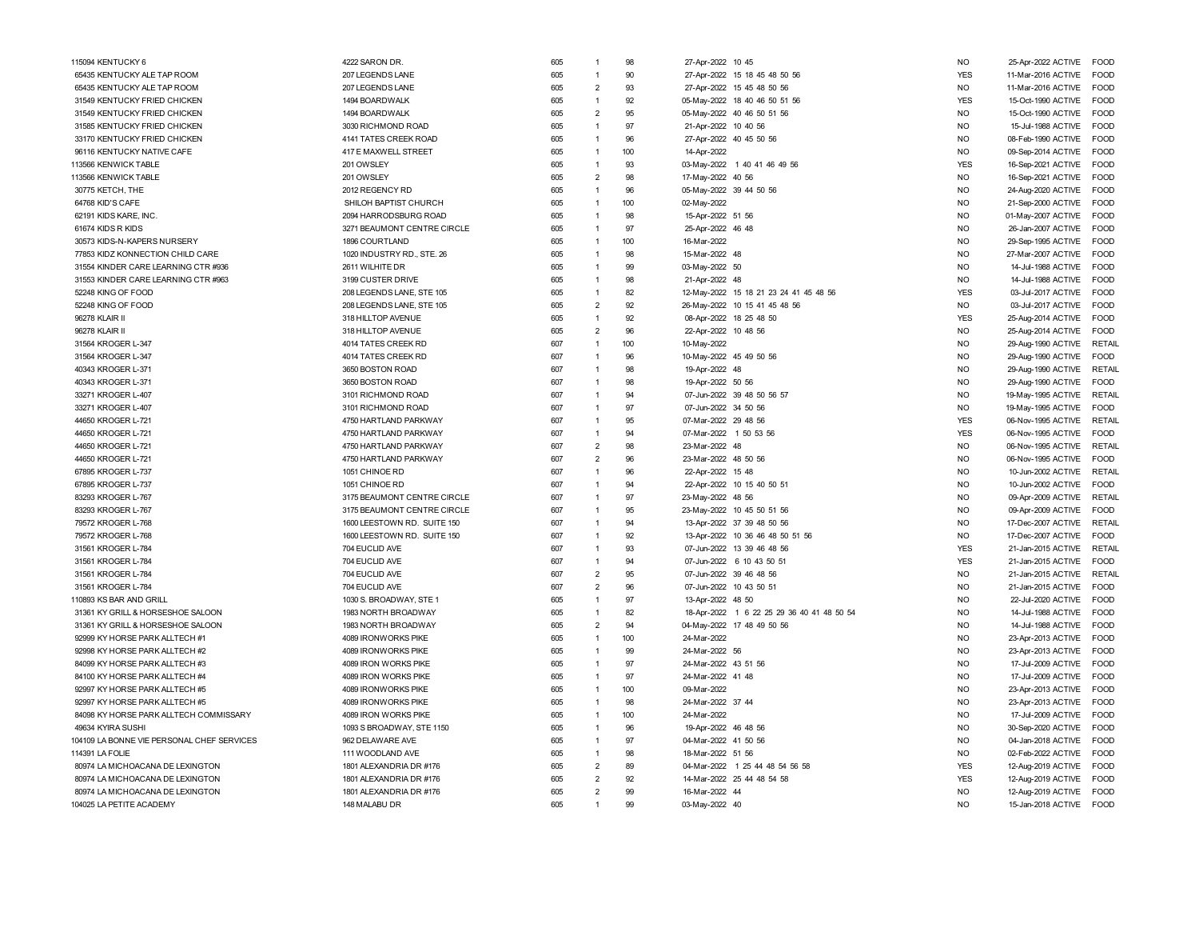| 115094 KENTUCKY 6                          | 4222 SARON DR.              | 605 | $\mathbf{1}$            | 98    | 27-Apr-2022 10 45                          | <b>NO</b>  | 25-Apr-2022 ACTIVE<br><b>FOOD</b>   |  |
|--------------------------------------------|-----------------------------|-----|-------------------------|-------|--------------------------------------------|------------|-------------------------------------|--|
| 65435 KENTUCKY ALE TAP ROOM                | 207 LEGENDS LANE            | 605 | $\mathbf{1}$            | 90    | 27-Apr-2022 15 18 45 48 50 56              | <b>YES</b> | 11-Mar-2016 ACTIVE<br>FOOD          |  |
| 65435 KENTUCKY ALE TAP ROOM                | 207 LEGENDS LANE            | 605 | $\overline{2}$          | 93    | 27-Apr-2022 15 45 48 50 56                 | <b>NO</b>  | 11-Mar-2016 ACTIVE<br>FOOD          |  |
| 31549 KENTUCKY FRIED CHICKEN               | 1494 BOARDWALK              | 605 | $\mathbf{1}$            | 92    | 05-May-2022 18 40 46 50 51 56              | <b>YES</b> | 15-Oct-1990 ACTIVE<br><b>FOOD</b>   |  |
| 31549 KENTUCKY FRIED CHICKEN               | 1494 BOARDWALK              | 605 | $\overline{2}$          | 95    | 05-May-2022 40 46 50 51 56                 | <b>NO</b>  | 15-Oct-1990 ACTIVE<br><b>EOOD</b>   |  |
| 31585 KENTUCKY FRIED CHICKEN               | 3030 RICHMOND ROAD          | 605 | $\mathbf{1}$            | 97    | 21-Apr-2022 10 40 56                       | <b>NO</b>  | FOOD<br>15-Jul-1988 ACTIVE          |  |
| 33170 KENTUCKY FRIED CHICKEN               | 4141 TATES CREEK ROAD       | 605 | $\mathbf{1}$            | 96    | 27-Apr-2022 40 45 50 56                    | <b>NO</b>  | 08-Feb-1990 ACTIVE<br><b>FOOD</b>   |  |
| 96116 KENTUCKY NATIVE CAFE                 | 417 E MAXWELL STREET        | 605 | $\mathbf{1}$            | 100   | 14-Apr-2022                                | <b>NO</b>  | <b>FOOD</b><br>09-Sep-2014 ACTIVE   |  |
| 113566 KENWICK TABLE                       | 201 OWSLEY                  | 605 | $\mathbf{1}$            | 93    | 03-May-2022 1 40 41 46 49 56               | <b>YES</b> | FOOD<br>16-Sep-2021 ACTIVE          |  |
| 113566 KENWICK TABLE                       | 201 OWSLEY                  | 605 | $\overline{2}$          | 98    | 17-May-2022 40 56                          | <b>NO</b>  | 16-Sep-2021 ACTIVE<br><b>FOOD</b>   |  |
| 30775 KETCH, THE                           | 2012 REGENCY RD             | 605 | $\mathbf{1}$            | 96    | 05-May-2022 39 44 50 56                    | <b>NO</b>  | 24-Aug-2020 ACTIVE<br>FOOD          |  |
| 64768 KID'S CAFE                           | SHILOH BAPTIST CHURCH       | 605 | $\mathbf{1}$            | 100   | 02-May-2022                                | <b>NO</b>  | 21-Sep-2000 ACTIVE<br>FOOD          |  |
| 62191 KIDS KARE, INC                       | 2094 HARRODSBURG ROAD       | 605 | $\mathbf{1}$            | 98    | 15-Apr-2022 51 56                          | <b>NO</b>  | 01-May-2007 ACTIVE<br>FOOD          |  |
| 61674 KIDS R KIDS                          | 3271 BEAUMONT CENTRE CIRCLE | 605 | $\mathbf{1}$            | 97    | 25-Apr-2022 46 48                          | <b>NO</b>  | 26-Jan-2007 ACTIVE<br>FOOD          |  |
| 30573 KIDS-N-KAPERS NURSERY                | 1896 COURTLAND              | 605 | $\mathbf{1}$            | 100   | 16-Mar-2022                                | <b>NO</b>  | 29-Sep-1995 ACTIVE<br><b>FOOD</b>   |  |
| 77853 KIDZ KONNECTION CHILD CARE           | 1020 INDUSTRY RD., STE. 26  | 605 | $\mathbf{1}$            | 98    | 15-Mar-2022 48                             | <b>NO</b>  | 27-Mar-2007 ACTIVE<br><b>FOOD</b>   |  |
| 31554 KINDER CARE LEARNING CTR #936        | 2611 WILHITE DR             | 605 | $\mathbf{1}$            | 99    | 03-May-2022 50                             | <b>NO</b>  | 14-Jul-1988 ACTIVE<br><b>FOOD</b>   |  |
| 31553 KINDER CARE LEARNING CTR #963        | 3199 CUSTER DRIVE           | 605 | $\mathbf{1}$            | 98    | 21-Apr-2022 48                             | <b>NO</b>  | 14-Jul-1988 ACTIVE<br>FOOD          |  |
| 52248 KING OF FOOD                         | 208 LEGENDS LANE, STE 105   | 605 | $\mathbf{1}$            | 82    | 12-May-2022 15 18 21 23 24 41 45 48 56     | <b>YES</b> | 03-Jul-2017 ACTIVE<br><b>FOOD</b>   |  |
| 52248 KING OF FOOD                         | 208 LEGENDS LANE, STE 105   | 605 | $\overline{2}$          | 92    | 26-May-2022 10 15 41 45 48 56              | <b>NO</b>  | 03-Jul-2017 ACTIVE<br><b>EOOD</b>   |  |
| 96278 KLAIR II                             | 318 HILLTOP AVENUE          | 605 | $\overline{1}$          | 92    | 08-Apr-2022 18 25 48 50                    | <b>YES</b> | 25-Aug-2014 ACTIVE<br><b>FOOD</b>   |  |
| 96278 KLAIR II                             | 318 HILLTOP AVENUE          | 605 | $\overline{2}$          | 96    | 22-Apr-2022 10 48 56                       | <b>NO</b>  | 25-Aug-2014 ACTIVE<br><b>FOOD</b>   |  |
| 31564 KROGER L-347                         | 4014 TATES CREEK RD         | 607 | $\mathbf{1}$            | 100   | 10-May-2022                                | <b>NO</b>  | <b>RETAIL</b><br>29-Aug-1990 ACTIVE |  |
| 31564 KROGER L-347                         | 4014 TATES CREEK RD         | 607 | $\mathbf{1}$            | 96    | 10-May-2022 45 49 50 56                    | <b>NO</b>  | FOOD<br>29-Aug-1990 ACTIVE          |  |
| 40343 KROGER L-371                         | 3650 BOSTON ROAD            | 607 | $\mathbf{1}$            | 98    | 19-Apr-2022 48                             | <b>NO</b>  | 29-Aug-1990 ACTIVE<br>RETAIL        |  |
| 40343 KROGER L-371                         | 3650 BOSTON ROAD            | 607 |                         | 98    | 19-Apr-2022 50 56                          | <b>NO</b>  | 29-Aug-1990 ACTIVE<br><b>FOOD</b>   |  |
| 33271 KROGER L-407                         | 3101 RICHMOND ROAD          | 607 | $\mathbf{1}$            | 94    | 07-Jun-2022 39 48 50 56 57                 | <b>NO</b>  | 19-May-1995 ACTIVE<br>RETAIL        |  |
| 33271 KROGER L-407                         | 3101 RICHMOND ROAD          | 607 |                         | 97    | 07-Jun-2022 34 50 56                       | <b>NO</b>  | 19-May-1995 ACTIVE<br><b>FOOD</b>   |  |
| 44650 KROGER L-721                         | 4750 HARTLAND PARKWAY       | 607 | $\mathbf{1}$            | 95    | 07-Mar-2022 29 48 56                       | <b>YES</b> | 06-Nov-1995 ACTIVE<br>RETAIL        |  |
| 44650 KROGER L-721                         | 4750 HARTLAND PARKWAY       | 607 | $\overline{1}$          | 94    | 07-Mar-2022 1 50 53 56                     | <b>YES</b> | 06-Nov-1995 ACTIVE<br><b>FOOD</b>   |  |
| 44650 KROGER L-721                         | 4750 HARTLAND PARKWAY       | 607 | $\overline{2}$          | 98    | 23-Mar-2022 48                             | <b>NO</b>  | <b>RETAIL</b><br>06-Nov-1995 ACTIVE |  |
| 44650 KROGER L-721                         | 4750 HARTLAND PARKWAY       | 607 | $\overline{2}$          | 96    | 23-Mar-2022 48 50 56                       | <b>NO</b>  | 06-Nov-1995 ACTIVE<br><b>FOOD</b>   |  |
| 67895 KROGER L-737                         | 1051 CHINOE RD              | 607 | $\mathbf{1}$            | 96    | 22-Apr-2022 15 48                          | <b>NO</b>  | 10-Jun-2002 ACTIVE<br>RETAIL        |  |
| 67895 KROGER L-737                         | 1051 CHINOE RD              | 607 | $\mathbf{1}$            | 94    | 22-Apr-2022 10 15 40 50 51                 | <b>NO</b>  | 10-Jun-2002 ACTIVE<br>FOOD          |  |
| 83293 KROGER L-767                         | 3175 BEAUMONT CENTRE CIRCLE | 607 | $\overline{1}$          | 97    | 23-May-2022 48 56                          | <b>NO</b>  | 09-Apr-2009 ACTIVE<br><b>RETAIL</b> |  |
| 83293 KROGER L-767                         | 3175 BEAUMONT CENTRE CIRCLE | 607 | $\overline{\mathbf{1}}$ | 95    | 23-May-2022 10 45 50 51 56                 | <b>NO</b>  | 09-Apr-2009 ACTIVE<br><b>FOOD</b>   |  |
| 79572 KROGER L-768                         | 1600 LEESTOWN RD. SUITE 150 | 607 | $\mathbf{1}$            | 94    | 13-Apr-2022 37 39 48 50 56                 | <b>NO</b>  | 17-Dec-2007 ACTIVE<br><b>RETAIL</b> |  |
| 79572 KROGER L-768                         | 1600 LEESTOWN RD. SUITE 150 | 607 | $\mathbf{1}$            | 92    | 13-Apr-2022 10 36 46 48 50 51 56           | <b>NO</b>  | <b>FOOD</b><br>17-Dec-2007 ACTIVE   |  |
| 31561 KROGER L-784                         | 704 EUCLID AVE              | 607 | $\mathbf{1}$            | 93    | 07-Jun-2022 13 39 46 48 56                 | <b>YES</b> | <b>RETAIL</b><br>21-Jan-2015 ACTIVE |  |
| 31561 KROGER L-784                         | 704 EUCLID AVE              | 607 | $\mathbf{1}$            | $Q_4$ | 07-Jun-2022 6 10 43 50 51                  | <b>YES</b> | <b>FOOD</b><br>21-Jan-2015 ACTIVE   |  |
| 31561 KROGER L-784                         | 704 EUCLID AVE              | 607 | $\overline{2}$          | 95    | 07-Jun-2022 39 46 48 56                    | <b>NO</b>  | 21-Jan-2015 ACTIVE<br>RETAIL        |  |
| 31561 KROGER L-784                         | 704 EUCLID AVE              | 607 | $\overline{2}$          | 96    | 07-Jun-2022 10 43 50 51                    | <b>NO</b>  | 21-Jan-2015 ACTIVE<br><b>FOOD</b>   |  |
| 110893 KS BAR AND GRILL                    | 1030 S. BROADWAY, STE 1     | 605 | $\overline{1}$          | 97    | 13-Apr-2022 48 50                          | <b>NO</b>  | 22-Jul-2020 ACTIVE<br><b>FOOD</b>   |  |
| 31361 KY GRILL & HORSESHOE SALOON          | 1983 NORTH BROADWAY         | 605 | $\mathbf{1}$            | 82    | 18-Apr-2022 1 6 22 25 29 36 40 41 48 50 54 | <b>NO</b>  | 14-Jul-1988 ACTIVE<br><b>FOOD</b>   |  |
| 31361 KY GRILL & HORSESHOE SALOON          | 1983 NORTH BROADWAY         | 605 | $\overline{2}$          | 94    | 04-May-2022 17 48 49 50 56                 | <b>NO</b>  | 14-Jul-1988 ACTIVE<br>FOOD          |  |
| 92999 KY HORSE PARK ALLTECH #1             | 4089 IRONWORKS PIKE         | 605 | $\mathbf{1}$            | 100   | 24-Mar-2022                                | <b>NO</b>  | <b>FOOD</b><br>23-Apr-2013 ACTIVE   |  |
| 92998 KY HORSE PARK ALLTECH #2             | 4089 IRONWORKS PIKE         | 605 | $\mathbf{1}$            | 99    | 24-Mar-2022 56                             | <b>NO</b>  | 23-Apr-2013 ACTIVE<br><b>FOOD</b>   |  |
| 84099 KY HORSE PARK ALLTECH #3             | 4089 IRON WORKS PIKE        | 605 | $\mathbf{1}$            | 97    | 24-Mar-2022 43 51 56                       | <b>NO</b>  | 17-Jul-2009 ACTIVE<br>FOOD          |  |
| 84100 KY HORSE PARK ALLTECH #4             | 4089 IRON WORKS PIKE        | 605 | $\mathbf{1}$            | 97    | 24-Mar-2022 41 48                          | <b>NO</b>  | 17-Jul-2009 ACTIVE<br><b>FOOD</b>   |  |
| 92997 KY HORSE PARK ALLTECH #5             | 4089 IRONWORKS PIKE         | 605 | $\mathbf{1}$            | 100   | 09-Mar-2022                                | <b>NO</b>  | 23-Apr-2013 ACTIVE<br><b>FOOD</b>   |  |
| 92997 KY HORSE PARK ALLTECH #5             | 4089 IRONWORKS PIKE         | 605 | $\overline{1}$          | 98    | 24-Mar-2022 37 44                          | <b>NO</b>  | 23-Apr-2013 ACTIVE<br><b>FOOD</b>   |  |
| 84098 KY HORSE PARK ALLTECH COMMISSARY     | 4089 IRON WORKS PIKE        | 605 | $\mathbf{1}$            | 100   | 24-Mar-2022                                | <b>NO</b>  | FOOD<br>17-Jul-2009 ACTIVE          |  |
| 49634 KYIRA SUSHI                          | 1093 S BROADWAY, STE 1150   | 605 | $\mathbf{1}$            | 96    | 19-Apr-2022 46 48 56                       | <b>NO</b>  | 30-Sep-2020 ACTIVE<br><b>FOOD</b>   |  |
| 104109 LA BONNE VIE PERSONAL CHEF SERVICES | 962 DELAWARE AVE            | 605 | $\mathbf{1}$            | 97    | 04-Mar-2022 41 50 56                       | <b>NO</b>  | 04-Jan-2018 ACTIVE<br><b>FOOD</b>   |  |
| 114391 LA FOLIE                            | 111 WOODLAND AVE            | 605 | $\mathbf{1}$            | 98    | 18-Mar-2022 51 56                          | <b>NO</b>  | <b>FOOD</b><br>02-Feb-2022 ACTIVE   |  |
| 80974 LA MICHOACANA DE LEXINGTON           | 1801 ALEXANDRIA DR #176     | 605 | $\overline{2}$          | 89    | 04-Mar-2022 1 25 44 48 54 56 58            | <b>YES</b> | 12-Aug-2019 ACTIVE<br>FOOD          |  |
| 80974 LA MICHOACANA DE LEXINGTON           | 1801 ALEXANDRIA DR #176     | 605 | $\overline{2}$          | 92    | 14-Mar-2022 25 44 48 54 58                 | <b>YES</b> | 12-Aug-2019 ACTIVE<br><b>FOOD</b>   |  |
| 80974 LA MICHOACANA DE LEXINGTON           | 1801 ALEXANDRIA DR #176     | 605 | $\overline{2}$          | 99    | 16-Mar-2022 44                             | <b>NO</b>  | 12-Aug-2019 ACTIVE<br><b>FOOD</b>   |  |
| 104025 LA PETITE ACADEMY                   | 148 MALABU DR               | 605 | $\mathbf{1}$            | 99    | 03-May-2022 40                             | <b>NO</b>  | 15-Jan-2018 ACTIVE<br>FOOD          |  |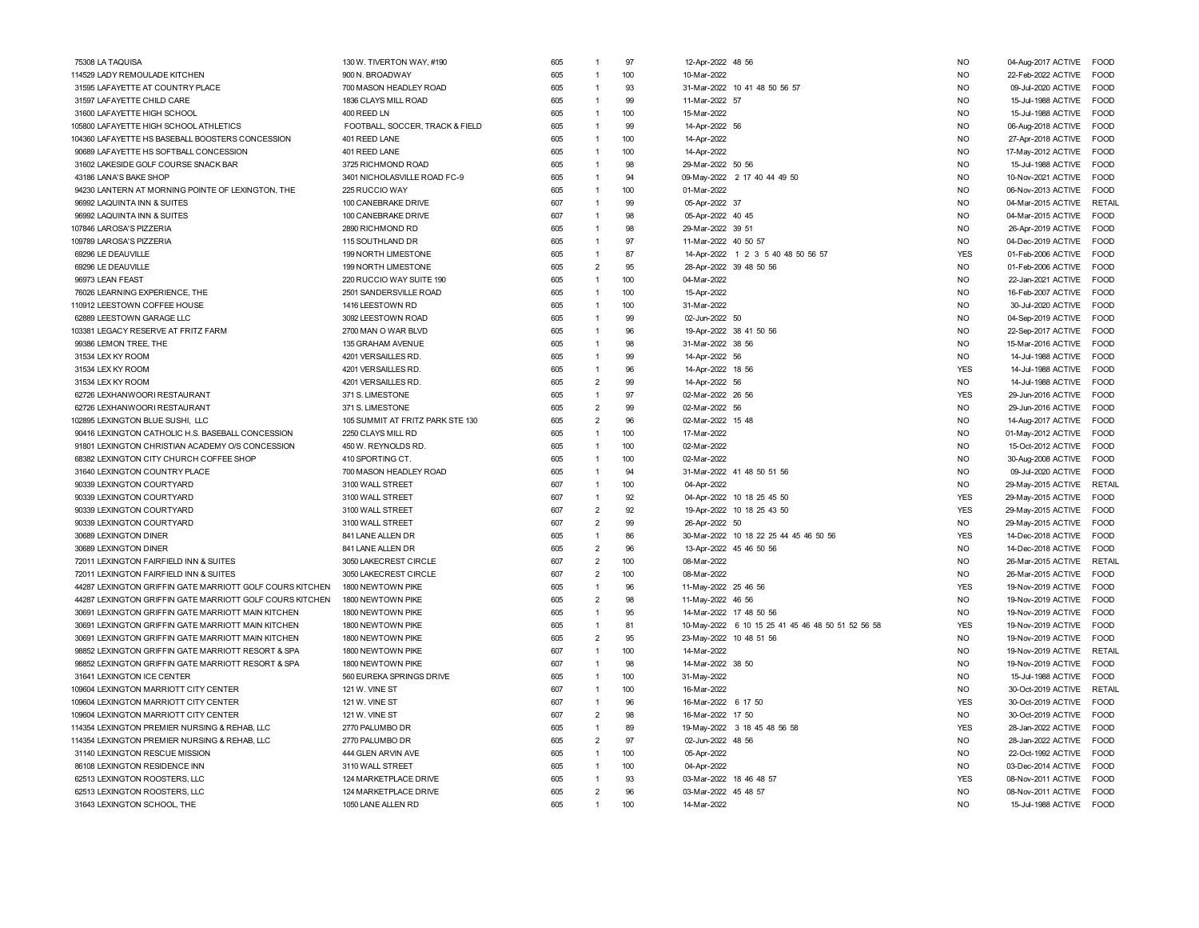| 75308 LA TAQUISA                                         | 130 W. TIVERTON WAY, #190        | 605 | 1              | 97  | 12-Apr-2022 48 56       |                                                   | <b>NO</b>      | 04-Aug-2017 ACTIVE | FOOD          |
|----------------------------------------------------------|----------------------------------|-----|----------------|-----|-------------------------|---------------------------------------------------|----------------|--------------------|---------------|
| 114529 LADY REMOULADE KITCHEN                            | 900 N. BROADWAY                  | 605 | $\overline{1}$ | 100 | 10-Mar-2022             |                                                   | <b>NO</b>      | 22-Feb-2022 ACTIVE | <b>FOOD</b>   |
| 31595 LAFAYETTE AT COUNTRY PLACE                         | 700 MASON HEADLEY ROAD           | 605 | $\overline{1}$ | 93  |                         | 31-Mar-2022 10 41 48 50 56 57                     | <b>NO</b>      | 09-Jul-2020 ACTIVE | <b>EOOD</b>   |
| 31597 LAFAYETTE CHILD CARE                               | 1836 CLAYS MILL ROAD             | 605 | $\overline{1}$ | 99  | 11-Mar-2022 57          |                                                   | <b>NO</b>      | 15-Jul-1988 ACTIVE | <b>FOOD</b>   |
| 31600 LAFAYETTE HIGH SCHOOL                              | 400 REED LN                      | 605 | $\overline{1}$ | 100 | 15-Mar-2022             |                                                   | <b>NO</b>      | 15-Jul-1988 ACTIVE | <b>FOOD</b>   |
| 105800 LAFAYETTE HIGH SCHOOL ATHLETICS                   | FOOTBALL, SOCCER, TRACK & FIELD  | 605 | $\overline{1}$ | 99  | 14-Apr-2022 56          |                                                   | <b>NO</b>      | 06-Aug-2018 ACTIVE | <b>FOOD</b>   |
| 104360 LAFAYETTE HS BASEBALL BOOSTERS CONCESSION         | 401 REED LANE                    | 605 | $\overline{1}$ | 100 | 14-Apr-2022             |                                                   | <b>NO</b>      | 27-Apr-2018 ACTIVE | <b>FOOD</b>   |
| 90689 LAFAYETTE HS SOFTBALL CONCESSION                   | 401 REED LANE                    | 605 | $\overline{1}$ | 100 | 14-Apr-2022             |                                                   | <b>NO</b>      | 17-May-2012 ACTIVE | <b>FOOD</b>   |
| 31602 LAKESIDE GOLF COURSE SNACK BAR                     | 3725 RICHMOND ROAD               | 605 | $\mathbf{1}$   | 98  | 29-Mar-2022 50 56       |                                                   | <b>NO</b>      | 15-Jul-1988 ACTIVE | <b>FOOD</b>   |
| 43186 LANA'S BAKE SHOP                                   | 3401 NICHOLASVILLE ROAD FC-9     | 605 | $\mathbf{1}$   | 94  |                         | 09-May-2022 2 17 40 44 49 50                      | NO             | 10-Nov-2021 ACTIVE | FOOD          |
| 94230 LANTERN AT MORNING POINTE OF LEXINGTON, THE        | 225 RUCCIO WAY                   | 605 | $\overline{1}$ | 100 | 01-Mar-2022             |                                                   | N <sub>O</sub> | 06-Nov-2013 ACTIVE | <b>FOOD</b>   |
| 96992 LAQUINTA INN & SUITES                              | 100 CANEBRAKE DRIVE              | 607 | 1              | 99  | 05-Apr-2022 37          |                                                   | <b>NO</b>      | 04-Mar-2015 ACTIVE | <b>RETAIL</b> |
| 96992 LAQUINTA INN & SUITES                              | 100 CANEBRAKE DRIVE              | 607 | $\overline{1}$ | 98  | 05-Apr-2022 40 45       |                                                   | <b>NO</b>      | 04-Mar-2015 ACTIVE | <b>FOOD</b>   |
| 107846 LAROSA'S PIZZERIA                                 | 2890 RICHMOND RD                 | 605 | $\overline{1}$ | 98  | 29-Mar-2022 39 51       |                                                   | <b>NO</b>      | 26-Apr-2019 ACTIVE | <b>FOOD</b>   |
| 109789 LAROSA'S PIZZERIA                                 | 115 SOUTHLAND DR                 | 605 | 1              | 97  | 11-Mar-2022 40 50 57    |                                                   | N <sub>O</sub> | 04-Dec-2019 ACTIVE | <b>FOOD</b>   |
| 69296 LE DEAUVILLE                                       | 199 NORTH LIMESTONE              | 605 | 1              | 87  |                         | 14-Apr-2022 1 2 3 5 40 48 50 56 57                | <b>YES</b>     | 01-Feb-2006 ACTIVE | <b>FOOD</b>   |
| 69296 LE DEAUVILLE                                       | 199 NORTH LIMESTONE              | 605 | $\overline{2}$ | 95  |                         | 28-Apr-2022 39 48 50 56                           | <b>NO</b>      | 01-Feb-2006 ACTIVE | <b>EOOD</b>   |
| 96973 LEAN FEAST                                         | 220 RUCCIO WAY SUITE 190         | 605 | $\overline{1}$ | 100 | 04-Mar-2022             |                                                   | <b>NO</b>      | 22-Jan-2021 ACTIVE | <b>FOOD</b>   |
|                                                          |                                  |     | $\overline{1}$ | 100 |                         |                                                   | <b>NO</b>      |                    |               |
| 76026 LEARNING EXPERIENCE, THE                           | 2501 SANDERSVILLE ROAD           | 605 |                |     | 15-Apr-2022             |                                                   |                | 16-Feb-2007 ACTIVE | <b>FOOD</b>   |
| 110912 LEESTOWN COFFEE HOUSE                             | 1416 LEESTOWN RD                 | 605 | $\overline{1}$ | 100 | 31-Mar-2022             |                                                   | <b>NO</b>      | 30-Jul-2020 ACTIVE | FOOD          |
| 62889 LEESTOWN GARAGE LLC                                | 3092 LEESTOWN ROAD               | 605 | $\overline{1}$ | 99  | 02-Jun-2022 50          |                                                   | <b>NO</b>      | 04-Sep-2019 ACTIVE | FOOD          |
| 103381 LEGACY RESERVE AT FRITZ FARM                      | 2700 MAN O WAR BLVD              | 605 | $\overline{1}$ | 96  |                         | 19-Apr-2022 38 41 50 56                           | N <sub>O</sub> | 22-Sep-2017 ACTIVE | <b>FOOD</b>   |
| 99386 LEMON TREE, THE                                    | 135 GRAHAM AVENUE                | 605 | 1              | 98  | 31-Mar-2022 38 56       |                                                   | NO.            | 15-Mar-2016 ACTIVE | <b>FOOD</b>   |
| 31534 LEX KY ROOM                                        | 4201 VERSAILLES RD.              | 605 | $\overline{1}$ | 99  | 14-Apr-2022 56          |                                                   | <b>NO</b>      | 14-Jul-1988 ACTIVE | FOOD          |
| 31534 LEX KY ROOM                                        | 4201 VERSAILLES RD.              | 605 | $\overline{1}$ | 96  | 14-Apr-2022 18 56       |                                                   | <b>YES</b>     | 14-Jul-1988 ACTIVE | <b>FOOD</b>   |
| 31534 LEX KY ROOM                                        | 4201 VERSAILLES RD.              | 605 | $\overline{2}$ | 99  | 14-Apr-2022 56          |                                                   | <b>NO</b>      | 14-Jul-1988 ACTIVE | <b>FOOD</b>   |
| 62726 LEXHANWOORI RESTAURANT                             | 371 S. LIMESTONE                 | 605 | $\overline{1}$ | 97  | 02-Mar-2022 26 56       |                                                   | <b>YES</b>     | 29-Jun-2016 ACTIVE | <b>FOOD</b>   |
| 62726 LEXHANWOORI RESTAURANT                             | 371 S. LIMESTONE                 | 605 | $\overline{2}$ | 99  | 02-Mar-2022 56          |                                                   | <b>NO</b>      | 29-Jun-2016 ACTIVE | <b>FOOD</b>   |
| 102895 LEXINGTON BLUE SUSHI, LLC                         | 105 SUMMIT AT FRITZ PARK STE 130 | 605 | $\overline{2}$ | 96  | 02-Mar-2022 15 48       |                                                   | <b>NO</b>      | 14-Aug-2017 ACTIVE | FOOD          |
| 90416 LEXINGTON CATHOLIC H.S. BASEBALL CONCESSION        | 2250 CLAYS MILL RD               | 605 | $\overline{1}$ | 100 | 17-Mar-2022             |                                                   | <b>NO</b>      | 01-May-2012 ACTIVE | <b>FOOD</b>   |
| 91801 LEXINGTON CHRISTIAN ACADEMY O/S CONCESSION         | 450 W. REYNOLDS RD.              | 605 | $\overline{1}$ | 100 | 02-Mar-2022             |                                                   | N <sub>O</sub> | 15-Oct-2012 ACTIVE | <b>FOOD</b>   |
| 68382 LEXINGTON CITY CHURCH COFFEE SHOP                  | 410 SPORTING CT.                 | 605 | $\overline{1}$ | 100 | 02-Mar-2022             |                                                   | <b>NO</b>      | 30-Aug-2008 ACTIVE | <b>FOOD</b>   |
| 31640 LEXINGTON COUNTRY PLACE                            | 700 MASON HEADLEY ROAD           | 605 | $\overline{1}$ | 94  |                         | 31-Mar-2022 41 48 50 51 56                        | <b>NO</b>      | 09-Jul-2020 ACTIVE | <b>FOOD</b>   |
| 90339 LEXINGTON COURTYARD                                | 3100 WALL STREET                 | 607 | $\mathbf{1}$   | 100 | 04-Apr-2022             |                                                   | NO             | 29-May-2015 ACTIVE | RETAIL        |
| 90339 LEXINGTON COURTYARD                                | 3100 WALL STREET                 | 607 | $\overline{1}$ | 92  |                         | 04-Apr-2022 10 18 25 45 50                        | <b>YES</b>     | 29-May-2015 ACTIVE | <b>FOOD</b>   |
| 90339 LEXINGTON COURTYARD                                | 3100 WALL STREET                 | 607 | $\overline{2}$ | 92  |                         | 19-Apr-2022 10 18 25 43 50                        | <b>YES</b>     | 29-May-2015 ACTIVE | <b>FOOD</b>   |
| 90339 LEXINGTON COURTYARD                                | 3100 WALL STREET                 | 607 | $\overline{2}$ | 99  | 26-Apr-2022 50          |                                                   | <b>NO</b>      | 29-May-2015 ACTIVE | <b>FOOD</b>   |
| 30689 LEXINGTON DINER                                    | 841 LANE ALLEN DR                | 605 | 1              | 86  |                         | 30-Mar-2022 10 18 22 25 44 45 46 50 56            | <b>YES</b>     | 14-Dec-2018 ACTIVE | <b>FOOD</b>   |
| 30689 LEXINGTON DINER                                    | 841 LANE ALLEN DR                | 605 | $\overline{2}$ | 96  |                         | 13-Apr-2022 45 46 50 56                           | <b>NO</b>      | 14-Dec-2018 ACTIVE | FOOD          |
| 72011 LEXINGTON FAIRFIELD INN & SUITES                   | 3050 LAKECREST CIRCLE            | 607 | $\overline{2}$ | 100 | 08-Mar-2022             |                                                   | N <sub>O</sub> | 26-Mar-2015 ACTIVE | <b>RETAIL</b> |
| 72011 LEXINGTON FAIRFIELD INN & SUITES                   | 3050 LAKECREST CIRCLE            | 607 | $\overline{2}$ | 100 | 08-Mar-2022             |                                                   | <b>NO</b>      | 26-Mar-2015 ACTIVE | <b>FOOD</b>   |
| 44287 LEXINGTON GRIFFIN GATE MARRIOTT GOLF COURS KITCHEN | 1800 NEWTOWN PIKE                | 605 | $\overline{1}$ | 96  | 11-May-2022 25 46 56    |                                                   | <b>YES</b>     | 19-Nov-2019 ACTIVE | <b>EOOD</b>   |
| 44287 LEXINGTON GRIFFIN GATE MARRIOTT GOLF COURS KITCHEN | 1800 NEWTOWN PIKE                | 605 | $\overline{2}$ | 98  | 11-May-2022 46 56       |                                                   | <b>NO</b>      | 19-Nov-2019 ACTIVE | <b>EOOD</b>   |
| 30691 LEXINGTON GRIFFIN GATE MARRIOTT MAIN KITCHEN       | 1800 NEWTOWN PIKE                | 605 | $\overline{1}$ | 95  | 14-Mar-2022 17 48 50 56 |                                                   | <b>NO</b>      | 19-Nov-2019 ACTIVE | <b>EOOD</b>   |
| 30691 LEXINGTON GRIFFIN GATE MARRIOTT MAIN KITCHEN       | 1800 NEWTOWN PIKE                | 605 | 1              | 81  |                         | 10-May-2022 6 10 15 25 41 45 46 48 50 51 52 56 58 | <b>YES</b>     | 19-Nov-2019 ACTIVE | FOOD          |
| 30691 LEXINGTON GRIFFIN GATE MARRIOTT MAIN KITCHEN       | 1800 NEWTOWN PIKE                | 605 | $\overline{2}$ | 95  | 23-May-2022 10 48 51 56 |                                                   | N <sub>O</sub> | 19-Nov-2019 ACTIVE | <b>FOOD</b>   |
| 98852 LEXINGTON GRIFFIN GATE MARRIOTT RESORT & SPA       | 1800 NEWTOWN PIKE                | 607 | $\overline{1}$ | 100 | 14-Mar-2022             |                                                   | N <sub>O</sub> | 19-Nov-2019 ACTIVE | <b>RETAIL</b> |
| 98852 LEXINGTON GRIFFIN GATE MARRIOTT RESORT & SPA       | 1800 NEWTOWN PIKE                | 607 | 1              | 98  | 14-Mar-2022 38 50       |                                                   | N <sub>O</sub> | 19-Nov-2019 ACTIVE | <b>FOOD</b>   |
| 31641 LEXINGTON ICE CENTER                               | 560 EUREKA SPRINGS DRIVE         | 605 | $\overline{1}$ | 100 | 31-May-2022             |                                                   | <b>NO</b>      | 15-Jul-1988 ACTIVE | FOOD          |
| 109604 LEXINGTON MARRIOTT CITY CENTER                    | 121 W. VINE ST                   | 607 | $\overline{1}$ | 100 | 16-Mar-2022             |                                                   | N <sub>O</sub> | 30-Oct-2019 ACTIVE | RETAIL        |
| 109604 LEXINGTON MARRIOTT CITY CENTER                    | 121 W. VINE ST                   | 607 | $\overline{1}$ | 96  | 16-Mar-2022 6 17 50     |                                                   | <b>YES</b>     | 30-Oct-2019 ACTIVE | <b>FOOD</b>   |
| 109604 LEXINGTON MARRIOTT CITY CENTER                    | 121 W. VINE ST                   | 607 | $\overline{2}$ | 98  | 16-Mar-2022 17 50       |                                                   | <b>NO</b>      | 30-Oct-2019 ACTIVE | <b>FOOD</b>   |
| 114354 LEXINGTON PREMIER NURSING & REHAB, LLC            | 2770 PALUMBO DR                  | 605 | $\overline{1}$ | 89  |                         | 19-May-2022 3 18 45 48 56 58                      | <b>YES</b>     | 28-Jan-2022 ACTIVE | <b>FOOD</b>   |
| 114354 LEXINGTON PREMIER NURSING & REHAB, LLC            | 2770 PALUMBO DR                  | 605 | $\overline{2}$ | 97  | 02-Jun-2022 48 56       |                                                   | <b>NO</b>      | 28-Jan-2022 ACTIVE | FOOD          |
| 31140 LEXINGTON RESCUE MISSION                           | 444 GLEN ARVIN AVE               | 605 | $\overline{1}$ | 100 | 05-Apr-2022             |                                                   | N <sub>O</sub> | 22-Oct-1992 ACTIVE | <b>EOOD</b>   |
| 86108 LEXINGTON RESIDENCE INN                            | 3110 WALL STREET                 | 605 | $\overline{1}$ | 100 | 04-Apr-2022             |                                                   | <b>NO</b>      | 03-Dec-2014 ACTIVE | <b>FOOD</b>   |
| 62513 LEXINGTON ROOSTERS, LLC                            | 124 MARKETPLACE DRIVE            | 605 | $\overline{1}$ | 93  | 03-Mar-2022 18 46 48 57 |                                                   | <b>YES</b>     | 08-Nov-2011 ACTIVE | <b>EOOD</b>   |
| 62513 LEXINGTON ROOSTERS, LLC                            | 124 MARKETPLACE DRIVE            | 605 | $\overline{2}$ | 96  | 03-Mar-2022 45 48 57    |                                                   | <b>NO</b>      | 08-Nov-2011 ACTIVE | <b>EOOD</b>   |
| 31643 LEXINGTON SCHOOL, THE                              | 1050 LANE ALLEN RD               | 605 | 1              | 100 | 14-Mar-2022             |                                                   | <b>NO</b>      | 15-Jul-1988 ACTIVE | <b>FOOD</b>   |